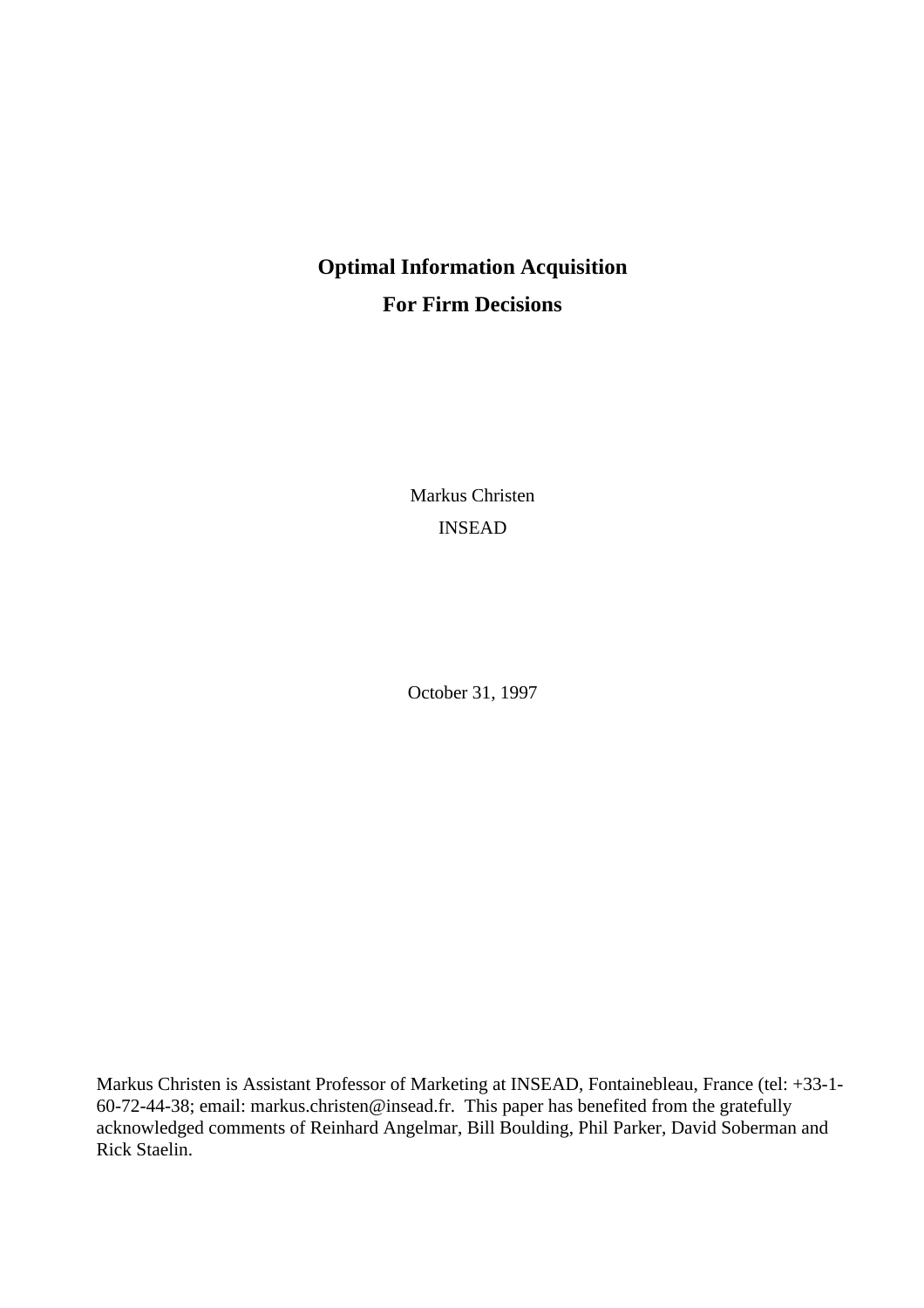# **Optimal Information Acquisition For Firm Decisions**

Markus Christen INSEAD

October 31, 1997

Markus Christen is Assistant Professor of Marketing at INSEAD, Fontainebleau, France (tel: +33-1- 60-72-44-38; email: markus.christen@insead.fr. This paper has benefited from the gratefully acknowledged comments of Reinhard Angelmar, Bill Boulding, Phil Parker, David Soberman and Rick Staelin.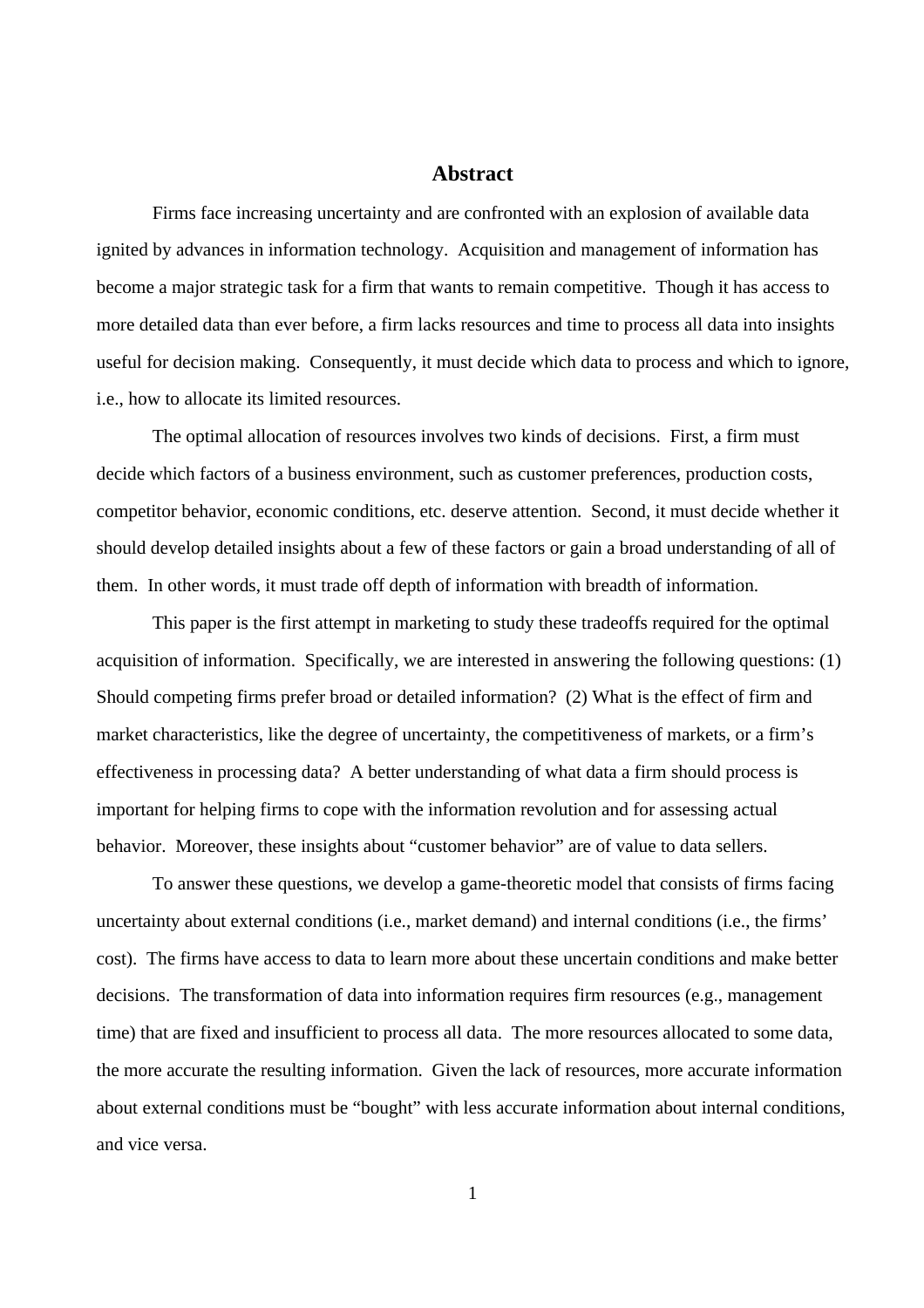## **Abstract**

Firms face increasing uncertainty and are confronted with an explosion of available data ignited by advances in information technology. Acquisition and management of information has become a major strategic task for a firm that wants to remain competitive. Though it has access to more detailed data than ever before, a firm lacks resources and time to process all data into insights useful for decision making. Consequently, it must decide which data to process and which to ignore, i.e., how to allocate its limited resources.

The optimal allocation of resources involves two kinds of decisions. First, a firm must decide which factors of a business environment, such as customer preferences, production costs, competitor behavior, economic conditions, etc. deserve attention. Second, it must decide whether it should develop detailed insights about a few of these factors or gain a broad understanding of all of them. In other words, it must trade off depth of information with breadth of information.

This paper is the first attempt in marketing to study these tradeoffs required for the optimal acquisition of information. Specifically, we are interested in answering the following questions: (1) Should competing firms prefer broad or detailed information? (2) What is the effect of firm and market characteristics, like the degree of uncertainty, the competitiveness of markets, or a firm's effectiveness in processing data? A better understanding of what data a firm should process is important for helping firms to cope with the information revolution and for assessing actual behavior. Moreover, these insights about "customer behavior" are of value to data sellers.

To answer these questions, we develop a game-theoretic model that consists of firms facing uncertainty about external conditions (i.e., market demand) and internal conditions (i.e., the firms' cost). The firms have access to data to learn more about these uncertain conditions and make better decisions. The transformation of data into information requires firm resources (e.g., management time) that are fixed and insufficient to process all data. The more resources allocated to some data, the more accurate the resulting information. Given the lack of resources, more accurate information about external conditions must be "bought" with less accurate information about internal conditions, and vice versa.

1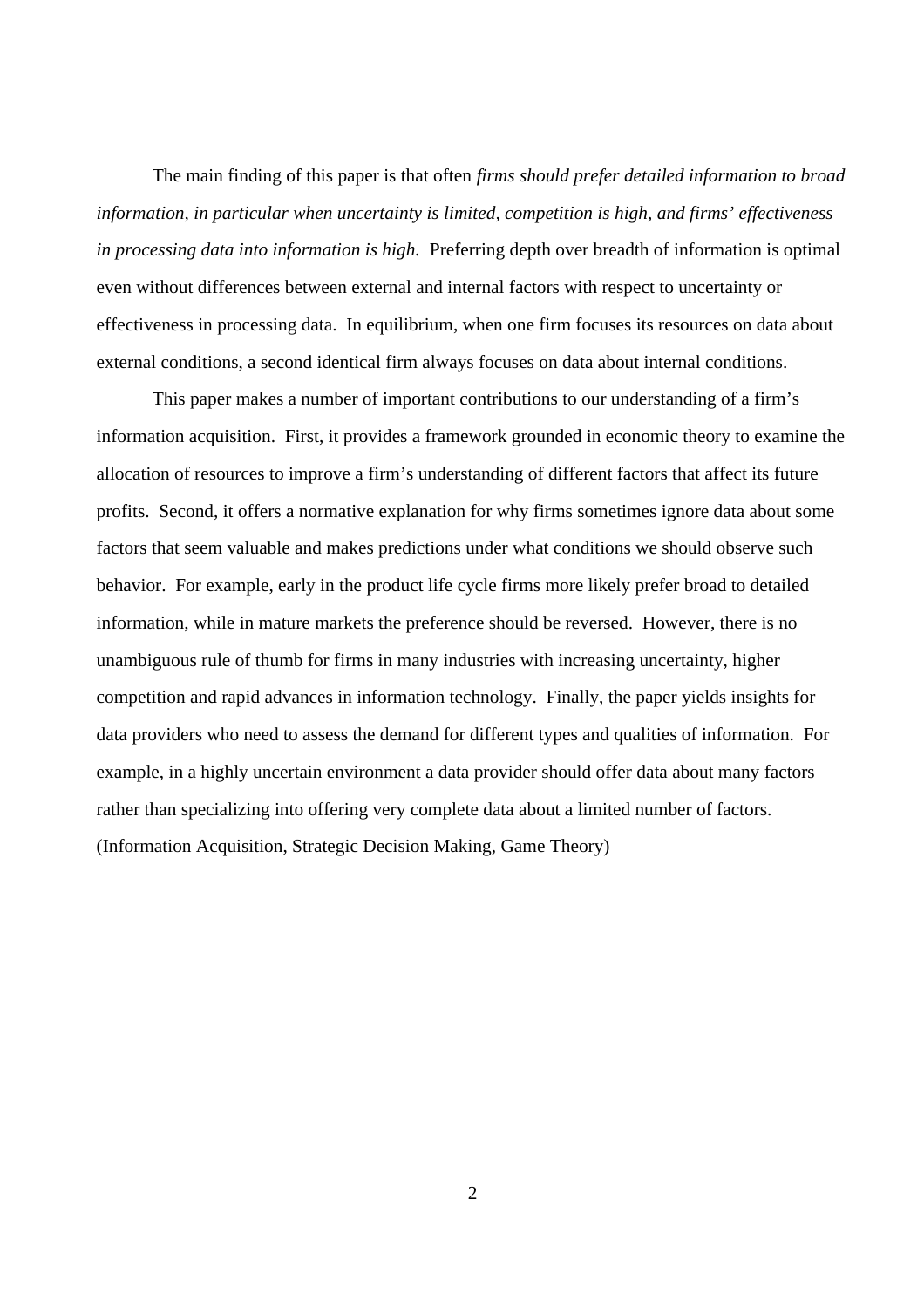The main finding of this paper is that often *firms should prefer detailed information to broad information, in particular when uncertainty is limited, competition is high, and firms' effectiveness in processing data into information is high.* Preferring depth over breadth of information is optimal even without differences between external and internal factors with respect to uncertainty or effectiveness in processing data. In equilibrium, when one firm focuses its resources on data about external conditions, a second identical firm always focuses on data about internal conditions.

This paper makes a number of important contributions to our understanding of a firm's information acquisition. First, it provides a framework grounded in economic theory to examine the allocation of resources to improve a firm's understanding of different factors that affect its future profits. Second, it offers a normative explanation for why firms sometimes ignore data about some factors that seem valuable and makes predictions under what conditions we should observe such behavior. For example, early in the product life cycle firms more likely prefer broad to detailed information, while in mature markets the preference should be reversed. However, there is no unambiguous rule of thumb for firms in many industries with increasing uncertainty, higher competition and rapid advances in information technology. Finally, the paper yields insights for data providers who need to assess the demand for different types and qualities of information. For example, in a highly uncertain environment a data provider should offer data about many factors rather than specializing into offering very complete data about a limited number of factors. (Information Acquisition, Strategic Decision Making, Game Theory)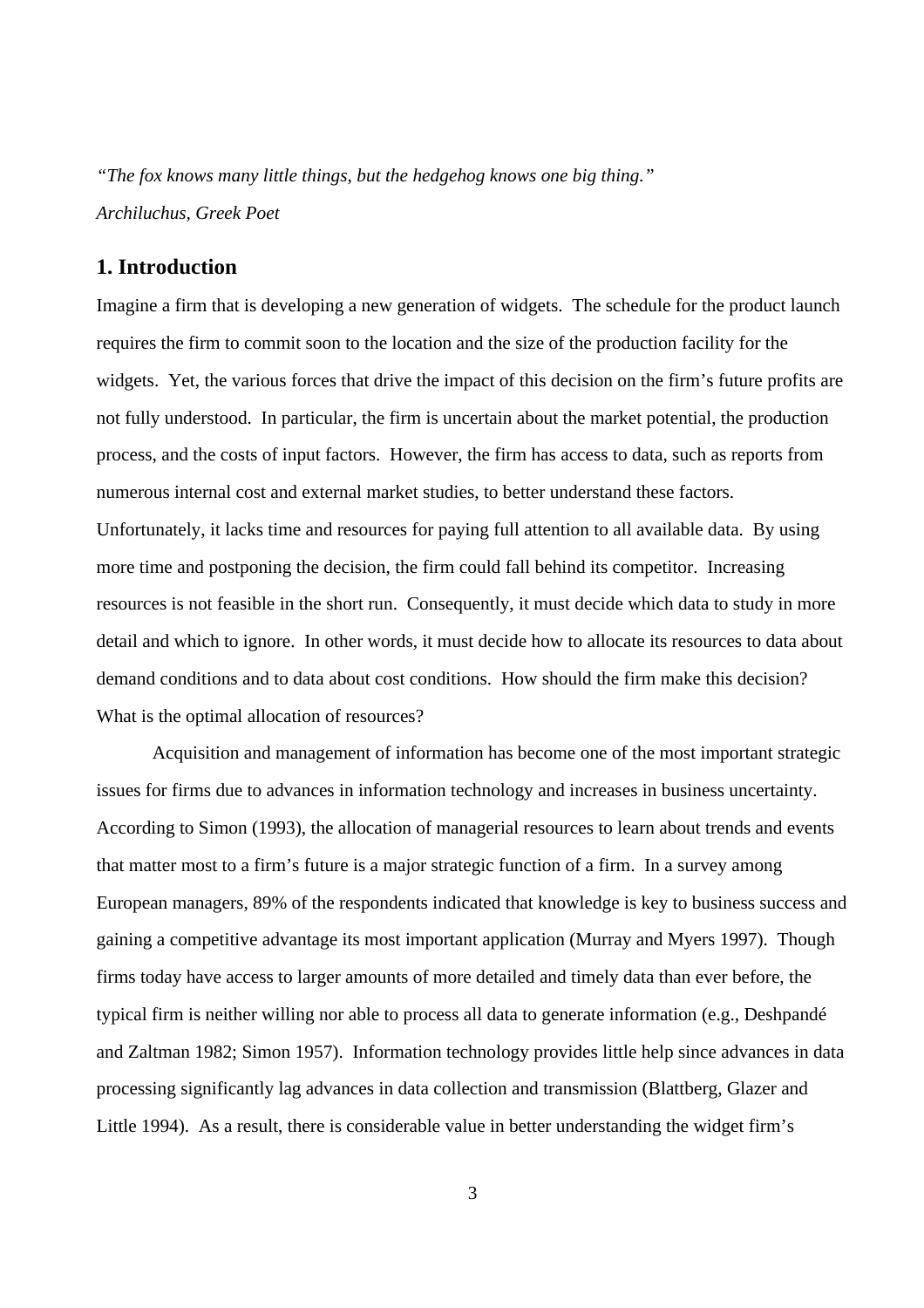*"The fox knows many little things, but the hedgehog knows one big thing." Archiluchus, Greek Poet*

# **1. Introduction**

Imagine a firm that is developing a new generation of widgets. The schedule for the product launch requires the firm to commit soon to the location and the size of the production facility for the widgets. Yet, the various forces that drive the impact of this decision on the firm's future profits are not fully understood. In particular, the firm is uncertain about the market potential, the production process, and the costs of input factors. However, the firm has access to data, such as reports from numerous internal cost and external market studies, to better understand these factors. Unfortunately, it lacks time and resources for paying full attention to all available data. By using more time and postponing the decision, the firm could fall behind its competitor. Increasing resources is not feasible in the short run. Consequently, it must decide which data to study in more detail and which to ignore. In other words, it must decide how to allocate its resources to data about demand conditions and to data about cost conditions. How should the firm make this decision? What is the optimal allocation of resources?

Acquisition and management of information has become one of the most important strategic issues for firms due to advances in information technology and increases in business uncertainty. According to Simon (1993), the allocation of managerial resources to learn about trends and events that matter most to a firm's future is a major strategic function of a firm. In a survey among European managers, 89% of the respondents indicated that knowledge is key to business success and gaining a competitive advantage its most important application (Murray and Myers 1997). Though firms today have access to larger amounts of more detailed and timely data than ever before, the typical firm is neither willing nor able to process all data to generate information (e.g., Deshpandé and Zaltman 1982; Simon 1957). Information technology provides little help since advances in data processing significantly lag advances in data collection and transmission (Blattberg, Glazer and Little 1994). As a result, there is considerable value in better understanding the widget firm's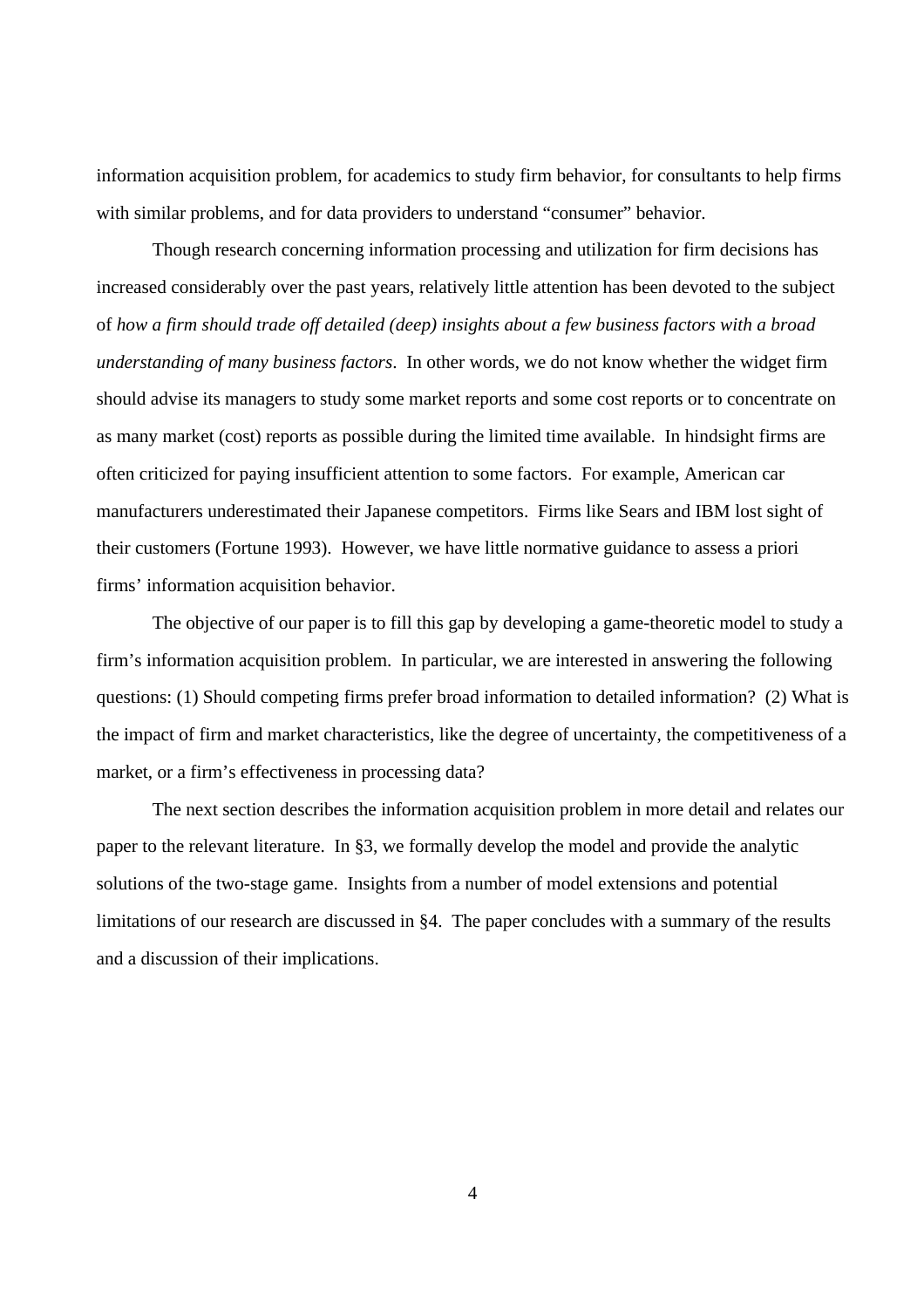information acquisition problem, for academics to study firm behavior, for consultants to help firms with similar problems, and for data providers to understand "consumer" behavior.

Though research concerning information processing and utilization for firm decisions has increased considerably over the past years, relatively little attention has been devoted to the subject of *how a firm should trade off detailed (deep) insights about a few business factors with a broad understanding of many business factors*. In other words, we do not know whether the widget firm should advise its managers to study some market reports and some cost reports or to concentrate on as many market (cost) reports as possible during the limited time available. In hindsight firms are often criticized for paying insufficient attention to some factors. For example, American car manufacturers underestimated their Japanese competitors. Firms like Sears and IBM lost sight of their customers (Fortune 1993). However, we have little normative guidance to assess a priori firms' information acquisition behavior.

The objective of our paper is to fill this gap by developing a game-theoretic model to study a firm's information acquisition problem. In particular, we are interested in answering the following questions: (1) Should competing firms prefer broad information to detailed information? (2) What is the impact of firm and market characteristics, like the degree of uncertainty, the competitiveness of a market, or a firm's effectiveness in processing data?

The next section describes the information acquisition problem in more detail and relates our paper to the relevant literature. In §3, we formally develop the model and provide the analytic solutions of the two-stage game. Insights from a number of model extensions and potential limitations of our research are discussed in §4. The paper concludes with a summary of the results and a discussion of their implications.

4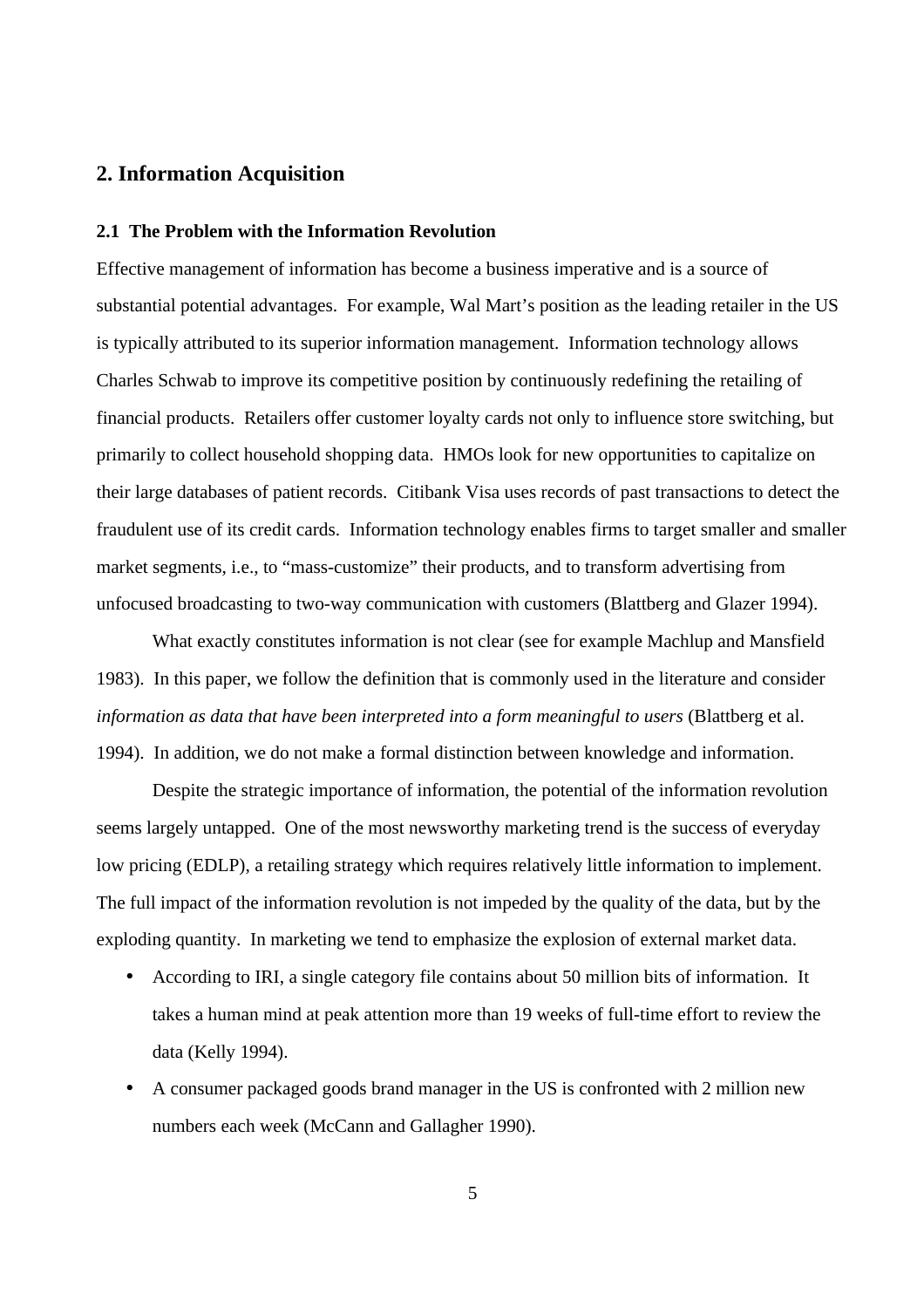# **2. Information Acquisition**

## **2.1 The Problem with the Information Revolution**

Effective management of information has become a business imperative and is a source of substantial potential advantages. For example, Wal Mart's position as the leading retailer in the US is typically attributed to its superior information management. Information technology allows Charles Schwab to improve its competitive position by continuously redefining the retailing of financial products. Retailers offer customer loyalty cards not only to influence store switching, but primarily to collect household shopping data. HMOs look for new opportunities to capitalize on their large databases of patient records. Citibank Visa uses records of past transactions to detect the fraudulent use of its credit cards. Information technology enables firms to target smaller and smaller market segments, i.e., to "mass-customize" their products, and to transform advertising from unfocused broadcasting to two-way communication with customers (Blattberg and Glazer 1994).

What exactly constitutes information is not clear (see for example Machlup and Mansfield 1983). In this paper, we follow the definition that is commonly used in the literature and consider *information as data that have been interpreted into a form meaningful to users* (Blattberg et al. 1994). In addition, we do not make a formal distinction between knowledge and information.

Despite the strategic importance of information, the potential of the information revolution seems largely untapped. One of the most newsworthy marketing trend is the success of everyday low pricing (EDLP), a retailing strategy which requires relatively little information to implement. The full impact of the information revolution is not impeded by the quality of the data, but by the exploding quantity. In marketing we tend to emphasize the explosion of external market data.

- According to IRI, a single category file contains about 50 million bits of information. It takes a human mind at peak attention more than 19 weeks of full-time effort to review the data (Kelly 1994).
- A consumer packaged goods brand manager in the US is confronted with 2 million new numbers each week (McCann and Gallagher 1990).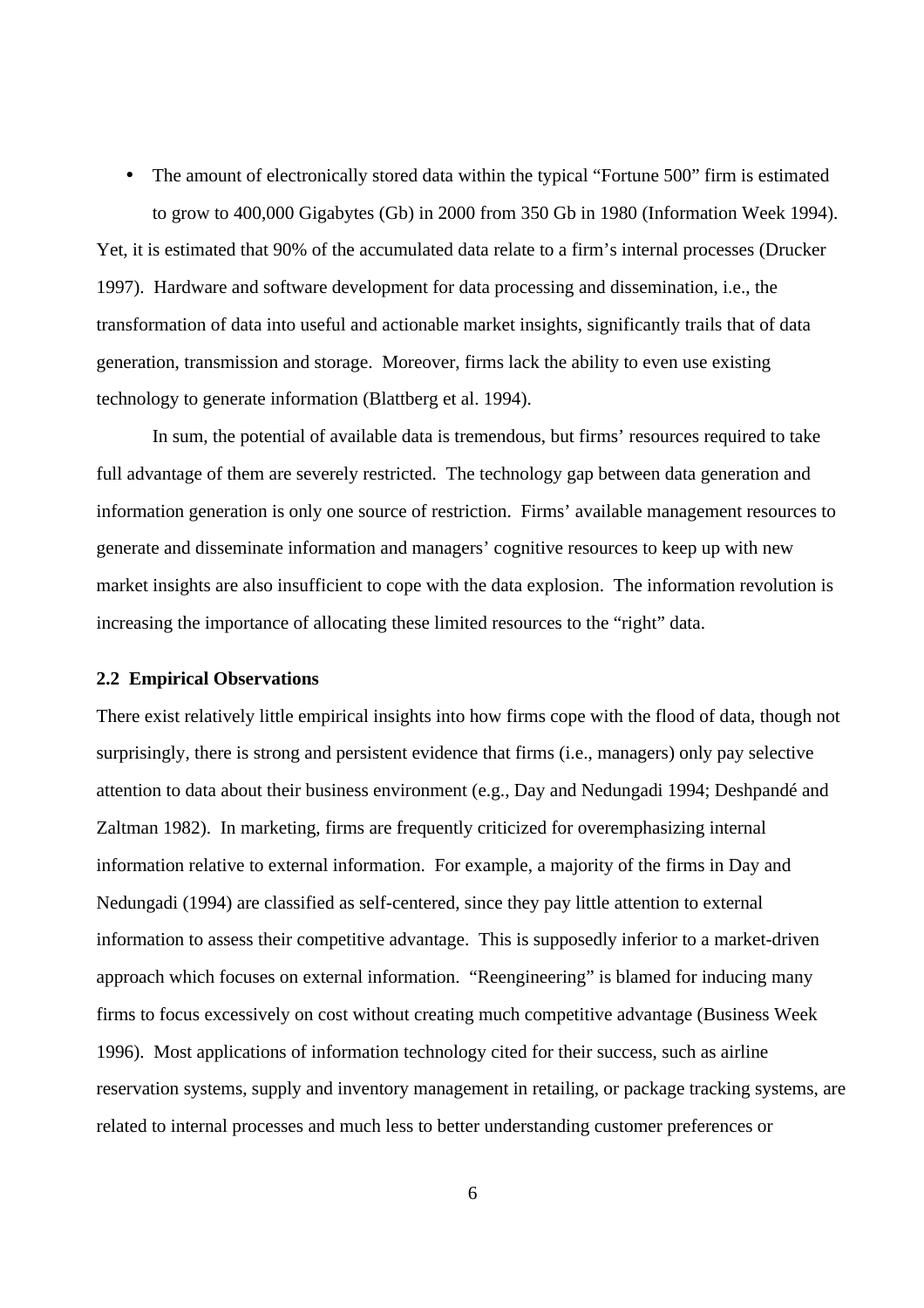• The amount of electronically stored data within the typical "Fortune 500" firm is estimated to grow to 400,000 Gigabytes (Gb) in 2000 from 350 Gb in 1980 (Information Week 1994).

Yet, it is estimated that 90% of the accumulated data relate to a firm's internal processes (Drucker 1997). Hardware and software development for data processing and dissemination, i.e., the transformation of data into useful and actionable market insights, significantly trails that of data generation, transmission and storage. Moreover, firms lack the ability to even use existing technology to generate information (Blattberg et al. 1994).

In sum, the potential of available data is tremendous, but firms' resources required to take full advantage of them are severely restricted. The technology gap between data generation and information generation is only one source of restriction. Firms' available management resources to generate and disseminate information and managers' cognitive resources to keep up with new market insights are also insufficient to cope with the data explosion. The information revolution is increasing the importance of allocating these limited resources to the "right" data.

# **2.2 Empirical Observations**

There exist relatively little empirical insights into how firms cope with the flood of data, though not surprisingly, there is strong and persistent evidence that firms (i.e., managers) only pay selective attention to data about their business environment (e.g., Day and Nedungadi 1994; Deshpandé and Zaltman 1982). In marketing, firms are frequently criticized for overemphasizing internal information relative to external information. For example, a majority of the firms in Day and Nedungadi (1994) are classified as self-centered, since they pay little attention to external information to assess their competitive advantage. This is supposedly inferior to a market-driven approach which focuses on external information. "Reengineering" is blamed for inducing many firms to focus excessively on cost without creating much competitive advantage (Business Week 1996). Most applications of information technology cited for their success, such as airline reservation systems, supply and inventory management in retailing, or package tracking systems, are related to internal processes and much less to better understanding customer preferences or

6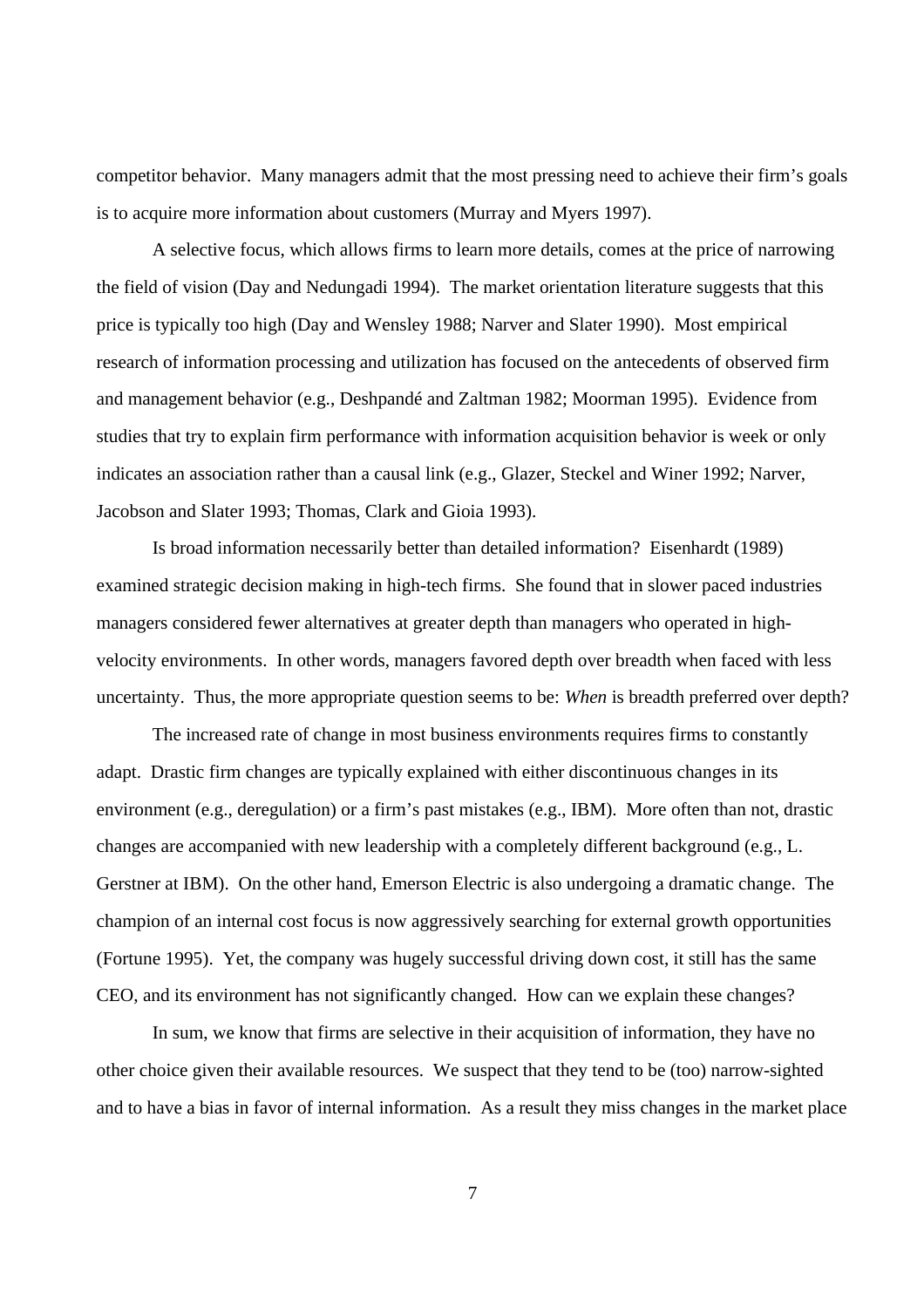competitor behavior. Many managers admit that the most pressing need to achieve their firm's goals is to acquire more information about customers (Murray and Myers 1997).

A selective focus, which allows firms to learn more details, comes at the price of narrowing the field of vision (Day and Nedungadi 1994). The market orientation literature suggests that this price is typically too high (Day and Wensley 1988; Narver and Slater 1990). Most empirical research of information processing and utilization has focused on the antecedents of observed firm and management behavior (e.g., Deshpandé and Zaltman 1982; Moorman 1995). Evidence from studies that try to explain firm performance with information acquisition behavior is week or only indicates an association rather than a causal link (e.g., Glazer, Steckel and Winer 1992; Narver, Jacobson and Slater 1993; Thomas, Clark and Gioia 1993).

Is broad information necessarily better than detailed information? Eisenhardt (1989) examined strategic decision making in high-tech firms. She found that in slower paced industries managers considered fewer alternatives at greater depth than managers who operated in highvelocity environments. In other words, managers favored depth over breadth when faced with less uncertainty. Thus, the more appropriate question seems to be: *When* is breadth preferred over depth?

The increased rate of change in most business environments requires firms to constantly adapt. Drastic firm changes are typically explained with either discontinuous changes in its environment (e.g., deregulation) or a firm's past mistakes (e.g., IBM). More often than not, drastic changes are accompanied with new leadership with a completely different background (e.g., L. Gerstner at IBM). On the other hand, Emerson Electric is also undergoing a dramatic change. The champion of an internal cost focus is now aggressively searching for external growth opportunities (Fortune 1995). Yet, the company was hugely successful driving down cost, it still has the same CEO, and its environment has not significantly changed. How can we explain these changes?

In sum, we know that firms are selective in their acquisition of information, they have no other choice given their available resources. We suspect that they tend to be (too) narrow-sighted and to have a bias in favor of internal information. As a result they miss changes in the market place

7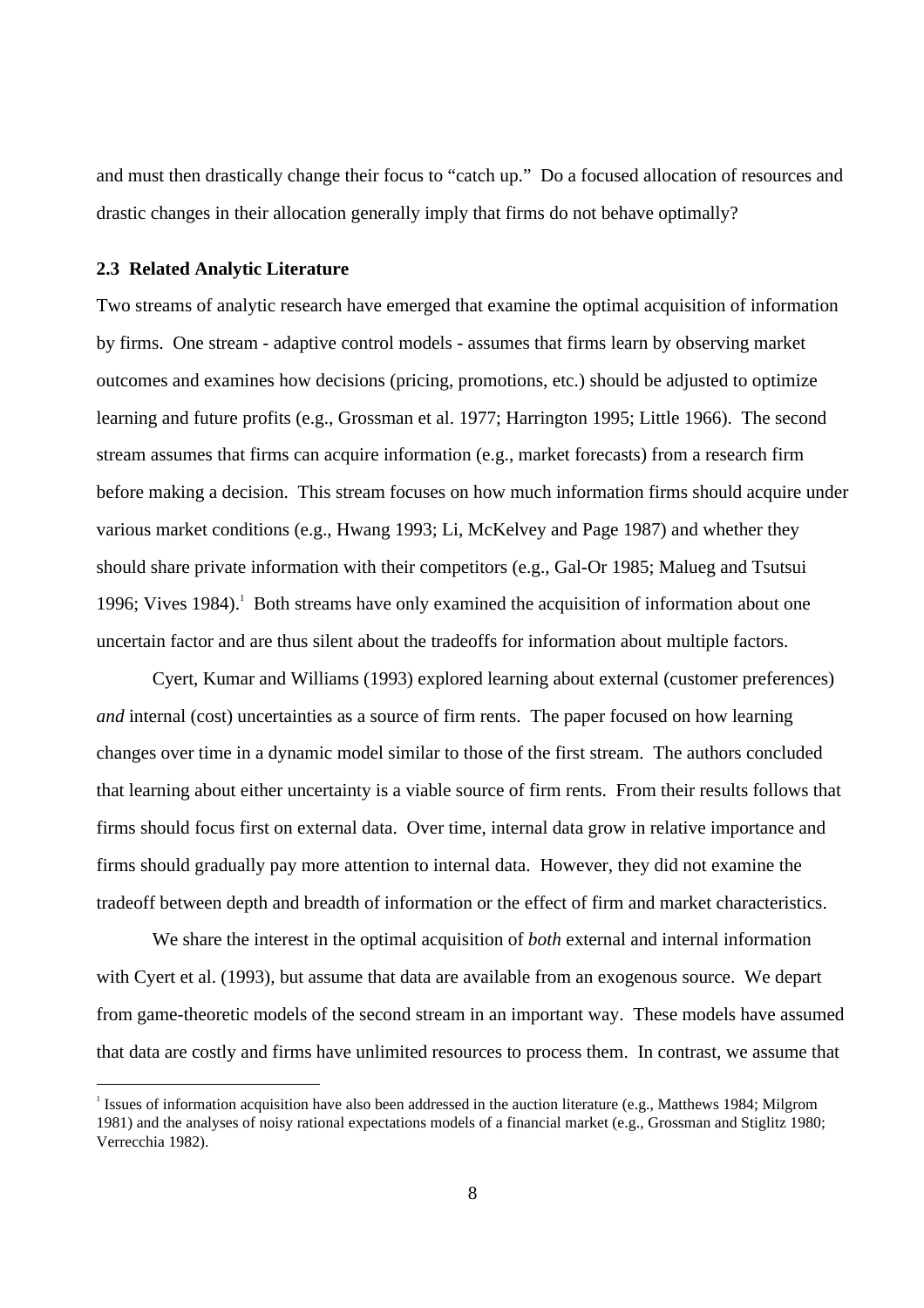and must then drastically change their focus to "catch up." Do a focused allocation of resources and drastic changes in their allocation generally imply that firms do not behave optimally?

#### **2.3 Related Analytic Literature**

Two streams of analytic research have emerged that examine the optimal acquisition of information by firms. One stream - adaptive control models - assumes that firms learn by observing market outcomes and examines how decisions (pricing, promotions, etc.) should be adjusted to optimize learning and future profits (e.g., Grossman et al. 1977; Harrington 1995; Little 1966). The second stream assumes that firms can acquire information (e.g., market forecasts) from a research firm before making a decision. This stream focuses on how much information firms should acquire under various market conditions (e.g., Hwang 1993; Li, McKelvey and Page 1987) and whether they should share private information with their competitors (e.g., Gal-Or 1985; Malueg and Tsutsui 1996; Vives 1984).<sup>1</sup> Both streams have only examined the acquisition of information about one uncertain factor and are thus silent about the tradeoffs for information about multiple factors.

Cyert, Kumar and Williams (1993) explored learning about external (customer preferences) *and* internal (cost) uncertainties as a source of firm rents. The paper focused on how learning changes over time in a dynamic model similar to those of the first stream. The authors concluded that learning about either uncertainty is a viable source of firm rents. From their results follows that firms should focus first on external data. Over time, internal data grow in relative importance and firms should gradually pay more attention to internal data. However, they did not examine the tradeoff between depth and breadth of information or the effect of firm and market characteristics.

We share the interest in the optimal acquisition of *both* external and internal information with Cyert et al. (1993), but assume that data are available from an exogenous source. We depart from game-theoretic models of the second stream in an important way. These models have assumed that data are costly and firms have unlimited resources to process them. In contrast, we assume that

 $\frac{1}{1}$ <sup>1</sup> Issues of information acquisition have also been addressed in the auction literature (e.g., Matthews 1984; Milgrom 1981) and the analyses of noisy rational expectations models of a financial market (e.g., Grossman and Stiglitz 1980; Verrecchia 1982).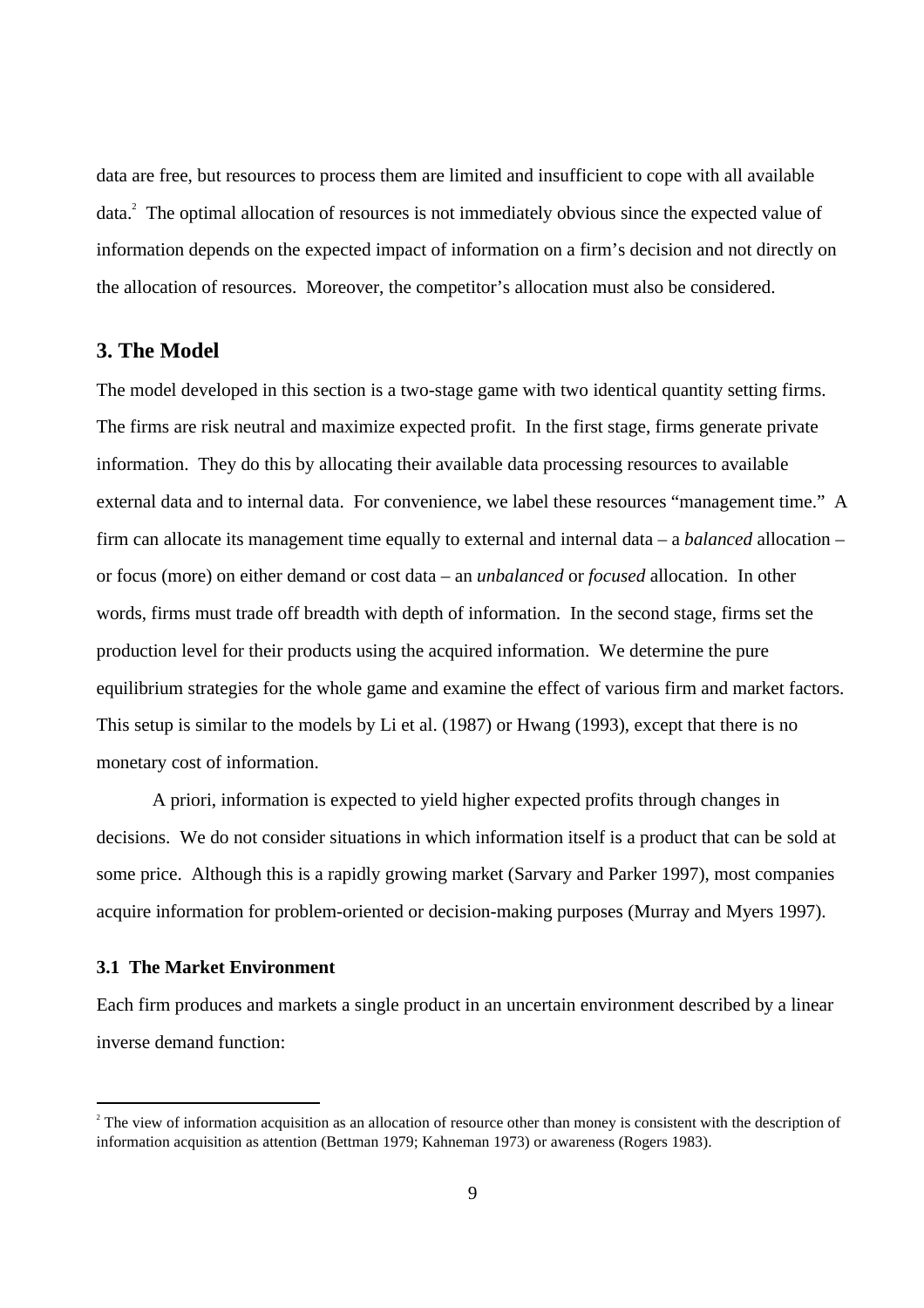data are free, but resources to process them are limited and insufficient to cope with all available data.<sup>2</sup> The optimal allocation of resources is not immediately obvious since the expected value of information depends on the expected impact of information on a firm's decision and not directly on the allocation of resources. Moreover, the competitor's allocation must also be considered.

# **3. The Model**

The model developed in this section is a two-stage game with two identical quantity setting firms. The firms are risk neutral and maximize expected profit. In the first stage, firms generate private information. They do this by allocating their available data processing resources to available external data and to internal data. For convenience, we label these resources "management time." A firm can allocate its management time equally to external and internal data – a *balanced* allocation – or focus (more) on either demand or cost data – an *unbalanced* or *focused* allocation. In other words, firms must trade off breadth with depth of information. In the second stage, firms set the production level for their products using the acquired information. We determine the pure equilibrium strategies for the whole game and examine the effect of various firm and market factors. This setup is similar to the models by Li et al. (1987) or Hwang (1993), except that there is no monetary cost of information.

A priori, information is expected to yield higher expected profits through changes in decisions. We do not consider situations in which information itself is a product that can be sold at some price. Although this is a rapidly growing market (Sarvary and Parker 1997), most companies acquire information for problem-oriented or decision-making purposes (Murray and Myers 1997).

## **3.1 The Market Environment**

Each firm produces and markets a single product in an uncertain environment described by a linear inverse demand function:

 $\frac{1}{2}$  $2^{\circ}$  The view of information acquisition as an allocation of resource other than money is consistent with the description of information acquisition as attention (Bettman 1979; Kahneman 1973) or awareness (Rogers 1983).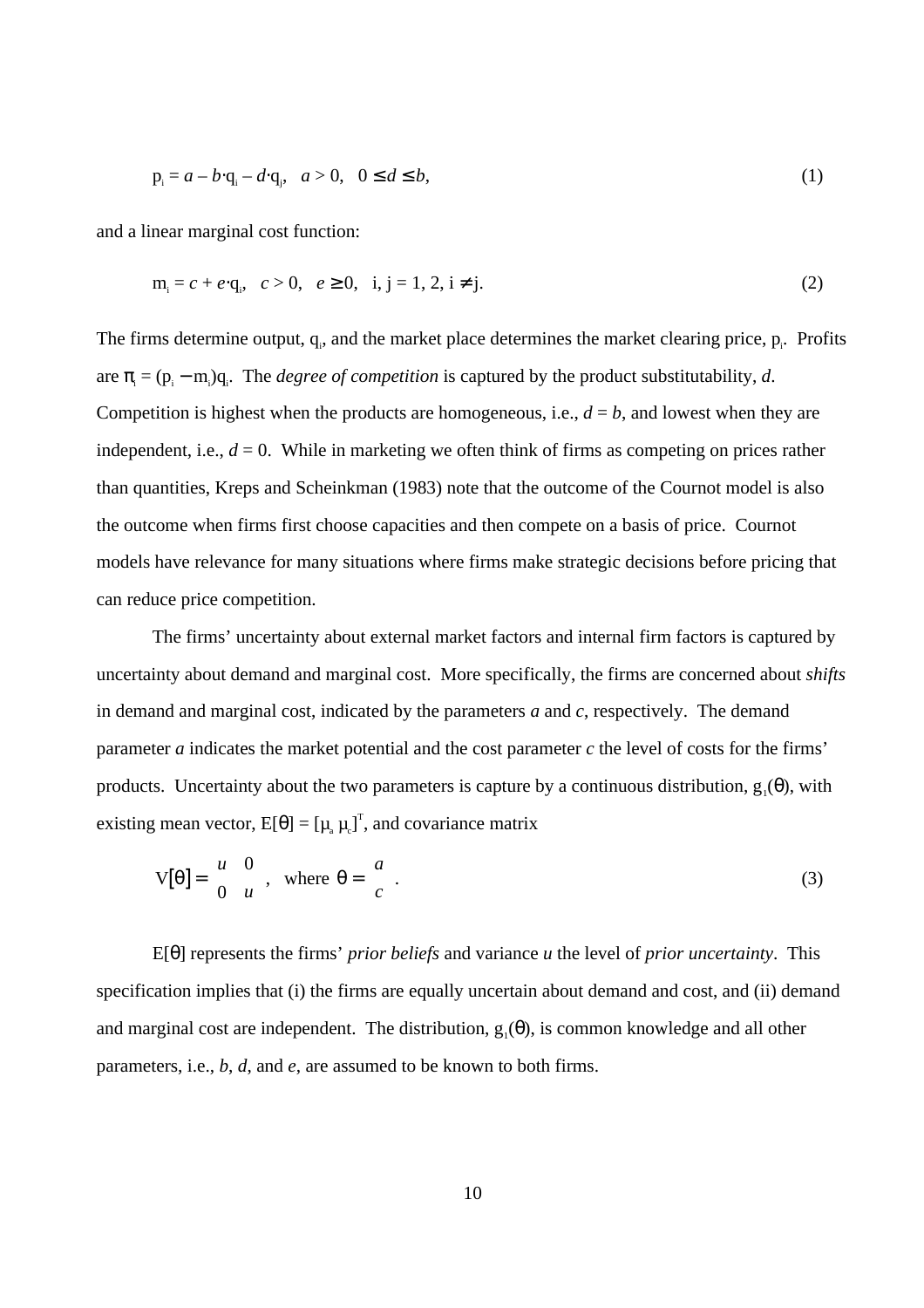$$
p_i = a - b \cdot q_i - d \cdot q_j, \quad a > 0, \quad 0 \le d \le b,
$$
\n(1)

and a linear marginal cost function:

$$
m_i = c + e \cdot q_i, \quad c > 0, \quad e \ge 0, \quad i, j = 1, 2, i \ne j.
$$
 (2)

The firms determine output,  $q_i$ , and the market place determines the market clearing price,  $p_i$ . Profits are  $\pi_i = (p_i - m_i)q_i$ . The *degree of competition* is captured by the product substitutability, *d*. Competition is highest when the products are homogeneous, i.e.,  $d = b$ , and lowest when they are independent, i.e.,  $d = 0$ . While in marketing we often think of firms as competing on prices rather than quantities, Kreps and Scheinkman (1983) note that the outcome of the Cournot model is also the outcome when firms first choose capacities and then compete on a basis of price. Cournot models have relevance for many situations where firms make strategic decisions before pricing that can reduce price competition.

The firms' uncertainty about external market factors and internal firm factors is captured by uncertainty about demand and marginal cost. More specifically, the firms are concerned about *shifts* in demand and marginal cost, indicated by the parameters *a* and *c*, respectively. The demand parameter  $a$  indicates the market potential and the cost parameter  $c$  the level of costs for the firms' products. Uncertainty about the two parameters is capture by a continuous distribution,  $g_1(\theta)$ , with existing mean vector,  $E[\theta] = [\mu_a \mu_c]^T$ , and covariance matrix

$$
V[\theta] = \begin{bmatrix} u & 0 \\ 0 & u \end{bmatrix}, \text{ where } \theta = \begin{bmatrix} a \\ c \end{bmatrix}. \tag{3}
$$

E[θ] represents the firms' *prior beliefs* and variance *u* the level of *prior uncertainty*. This specification implies that (i) the firms are equally uncertain about demand and cost, and (ii) demand and marginal cost are independent. The distribution,  $g_1(\theta)$ , is common knowledge and all other parameters, i.e., *b*, *d*, and *e*, are assumed to be known to both firms.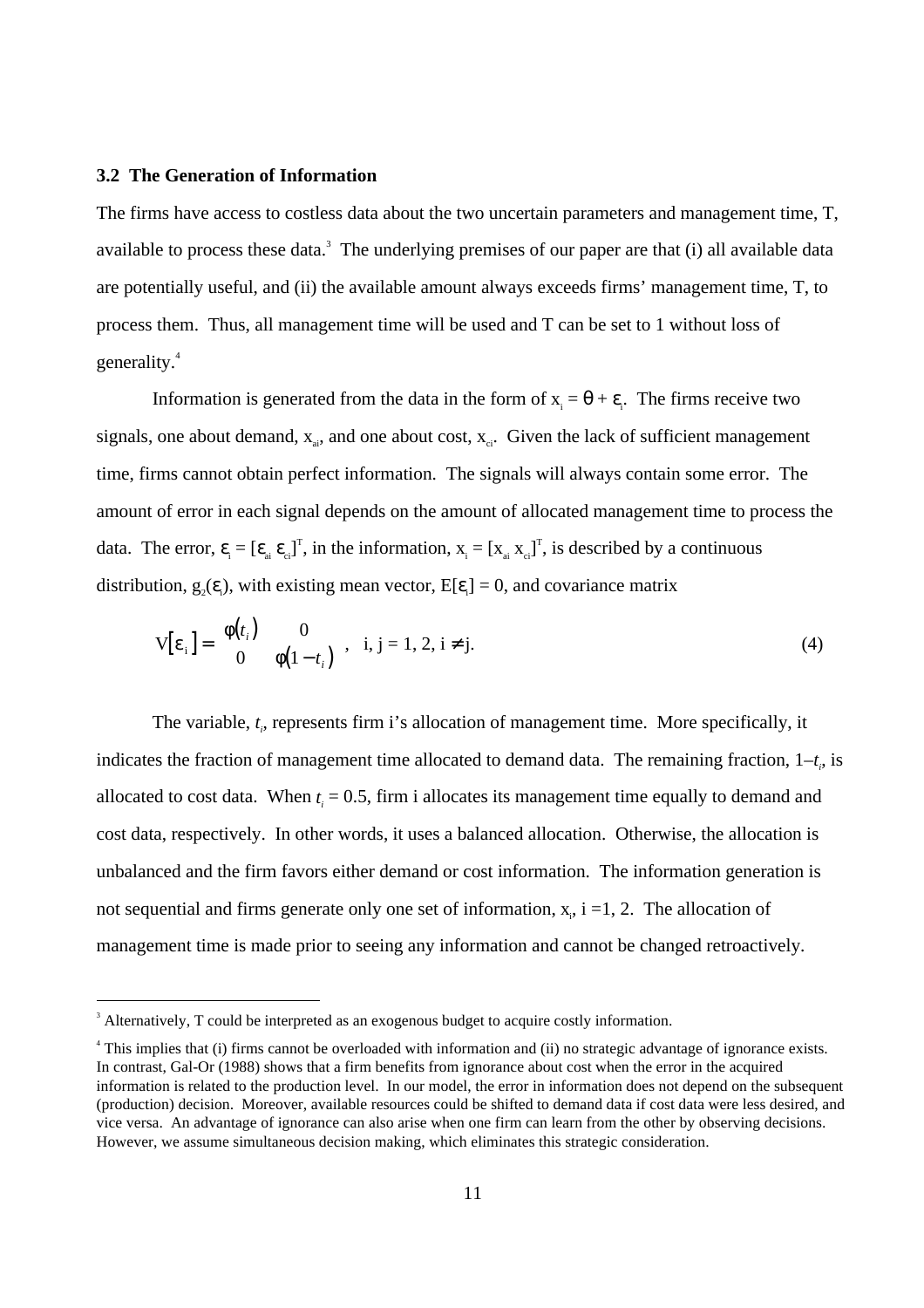#### **3.2 The Generation of Information**

The firms have access to costless data about the two uncertain parameters and management time, T, available to process these data.<sup>3</sup> The underlying premises of our paper are that  $(i)$  all available data are potentially useful, and (ii) the available amount always exceeds firms' management time, T, to process them. Thus, all management time will be used and T can be set to 1 without loss of generality.<sup>4</sup>

Information is generated from the data in the form of  $x_i = \theta + \varepsilon_i$ . The firms receive two signals, one about demand,  $x_{\text{a}}$ , and one about cost,  $x_{\text{a}}$ . Given the lack of sufficient management time, firms cannot obtain perfect information. The signals will always contain some error. The amount of error in each signal depends on the amount of allocated management time to process the data. The error,  $\varepsilon_i = [\varepsilon_{ai} \varepsilon_{ci}]^T$ , in the information,  $x_i = [x_{ai} x_{ci}]^T$ , is described by a continuous distribution,  $g_2(\varepsilon)$ , with existing mean vector,  $E[\varepsilon] = 0$ , and covariance matrix

$$
V[\varepsilon_i] = \begin{bmatrix} \phi(t_i) & 0 \\ 0 & \phi(1-t_i) \end{bmatrix}, i, j = 1, 2, i \neq j.
$$
 (4)

The variable,  $t_i$ , represents firm i's allocation of management time. More specifically, it indicates the fraction of management time allocated to demand data. The remaining fraction,  $1-t_i$ , is allocated to cost data. When  $t_i = 0.5$ , firm i allocates its management time equally to demand and cost data, respectively. In other words, it uses a balanced allocation. Otherwise, the allocation is unbalanced and the firm favors either demand or cost information. The information generation is not sequential and firms generate only one set of information,  $x_i$ , i =1, 2. The allocation of management time is made prior to seeing any information and cannot be changed retroactively.

 $\frac{1}{3}$ <sup>3</sup> Alternatively, T could be interpreted as an exogenous budget to acquire costly information.

<sup>&</sup>lt;sup>4</sup> This implies that (i) firms cannot be overloaded with information and (ii) no strategic advantage of ignorance exists. In contrast, Gal-Or (1988) shows that a firm benefits from ignorance about cost when the error in the acquired information is related to the production level. In our model, the error in information does not depend on the subsequent (production) decision. Moreover, available resources could be shifted to demand data if cost data were less desired, and vice versa. An advantage of ignorance can also arise when one firm can learn from the other by observing decisions. However, we assume simultaneous decision making, which eliminates this strategic consideration.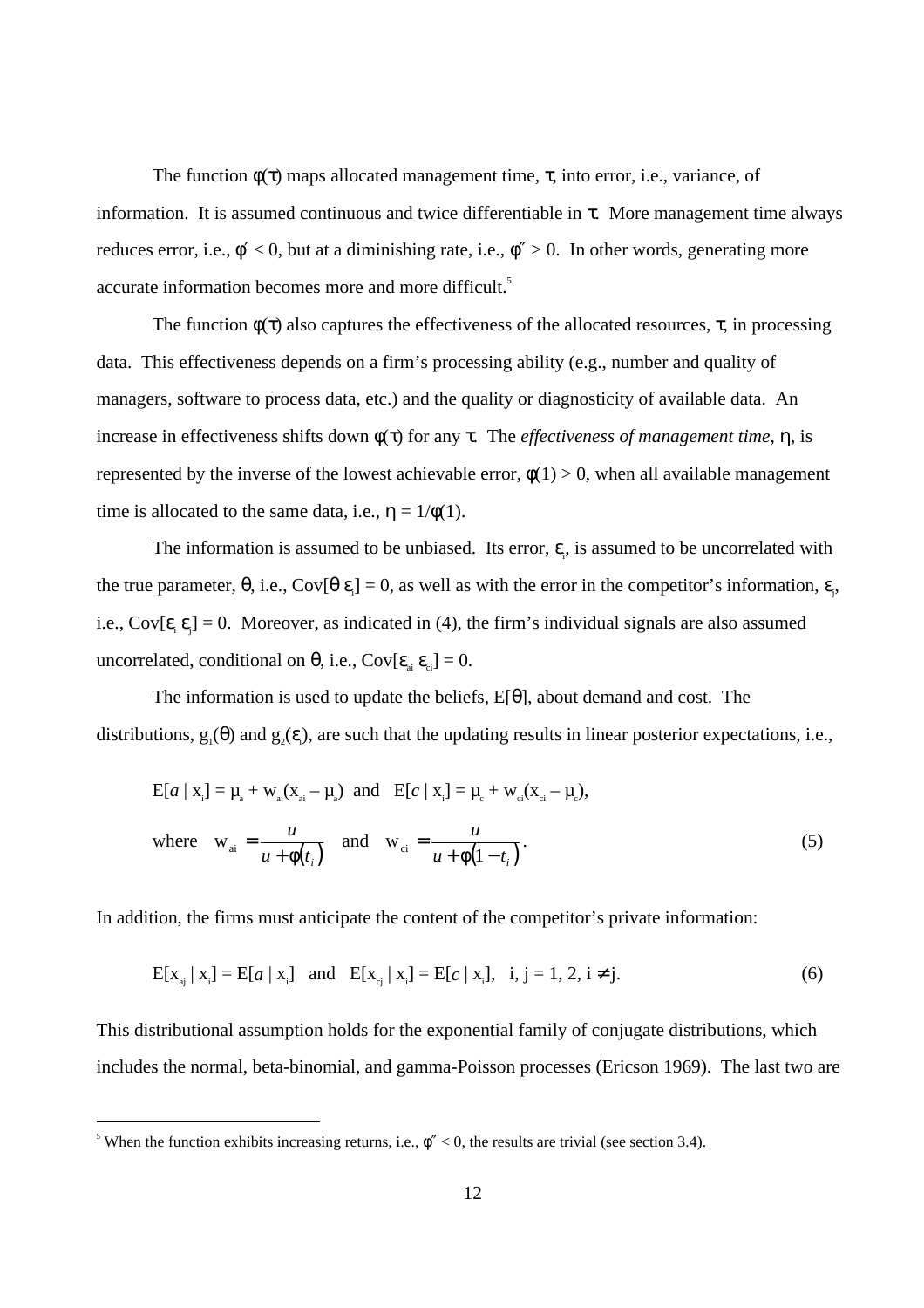The function  $\phi(\tau)$  maps allocated management time,  $\tau$ , into error, i.e., variance, of information. It is assumed continuous and twice differentiable in  $\tau$ . More management time always reduces error, i.e.,  $\phi' < 0$ , but at a diminishing rate, i.e.,  $\phi'' > 0$ . In other words, generating more accurate information becomes more and more difficult.<sup>5</sup>

The function  $\phi(\tau)$  also captures the effectiveness of the allocated resources,  $\tau$ , in processing data. This effectiveness depends on a firm's processing ability (e.g., number and quality of managers, software to process data, etc.) and the quality or diagnosticity of available data. An increase in effectiveness shifts down φ(τ) for any τ. The *effectiveness of management time*, η, is represented by the inverse of the lowest achievable error,  $\phi(1) > 0$ , when all available management time is allocated to the same data, i.e.,  $\eta = 1/\phi(1)$ .

The information is assumed to be unbiased. Its error,  $\varepsilon$ <sub>i</sub>, is assumed to be uncorrelated with the true parameter,  $\theta$ , i.e., Cov[ $\theta \epsilon$ <sub>i</sub>] = 0, as well as with the error in the competitor's information,  $\epsilon$ <sub>j</sub>, i.e., Cov[ $\epsilon_i \epsilon_j$ ] = 0. Moreover, as indicated in (4), the firm's individual signals are also assumed uncorrelated, conditional on  $\theta$ , i.e., Cov[ $\epsilon_{ai} \epsilon_{ci}$ ] = 0.

The information is used to update the beliefs,  $E[\theta]$ , about demand and cost. The distributions,  $g_1(\theta)$  and  $g_2(\varepsilon)$ , are such that the updating results in linear posterior expectations, i.e.,

$$
E[a \mid x_{i}] = \mu_{a} + w_{ai}(x_{ai} - \mu_{a}) \text{ and } E[c \mid x_{i}] = \mu_{c} + w_{ci}(x_{ci} - \mu_{c}),
$$
  
where  $w_{ai} = \frac{u}{u + \phi(t_{i})}$  and  $w_{ci} = \frac{u}{u + \phi(1 - t_{i})}$ . (5)

In addition, the firms must anticipate the content of the competitor's private information:

$$
E[x_{a_j} | x_i] = E[a | x_i] \text{ and } E[x_{c_j} | x_i] = E[c | x_i], \text{ i, } j = 1, 2, i \neq j. \tag{6}
$$

This distributional assumption holds for the exponential family of conjugate distributions, which includes the normal, beta-binomial, and gamma-Poisson processes (Ericson 1969). The last two are

 $\frac{1}{5}$ <sup>5</sup> When the function exhibits increasing returns, i.e.,  $\phi'' < 0$ , the results are trivial (see section 3.4).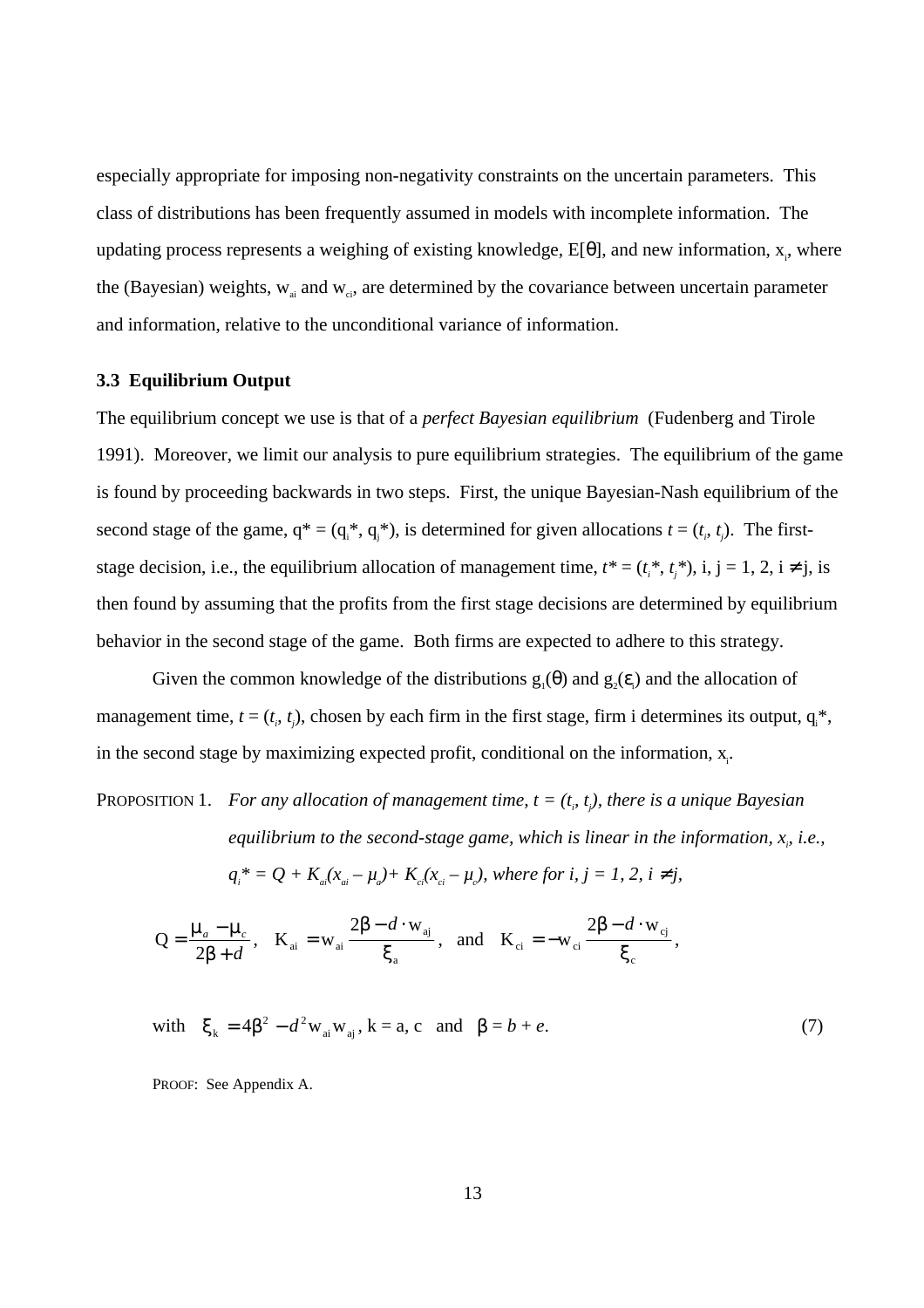especially appropriate for imposing non-negativity constraints on the uncertain parameters. This class of distributions has been frequently assumed in models with incomplete information. The updating process represents a weighing of existing knowledge,  $E[\theta]$ , and new information,  $x_i$ , where the (Bayesian) weights,  $w_{ai}$  and  $w_{ci}$ , are determined by the covariance between uncertain parameter and information, relative to the unconditional variance of information.

## **3.3 Equilibrium Output**

The equilibrium concept we use is that of a *perfect Bayesian equilibrium* (Fudenberg and Tirole 1991). Moreover, we limit our analysis to pure equilibrium strategies. The equilibrium of the game is found by proceeding backwards in two steps. First, the unique Bayesian-Nash equilibrium of the second stage of the game,  $q^* = (q_i^*, q_j^*)$ , is determined for given allocations  $t = (t_i, t_j)$ . The firststage decision, i.e., the equilibrium allocation of management time,  $t^* = (t_i^*, t_j^*)$ , i, j = 1, 2, i  $\neq$  j, is then found by assuming that the profits from the first stage decisions are determined by equilibrium behavior in the second stage of the game. Both firms are expected to adhere to this strategy.

Given the common knowledge of the distributions  $g_1(\theta)$  and  $g_2(\varepsilon)$  and the allocation of management time,  $t = (t_i, t_j)$ , chosen by each firm in the first stage, firm i determines its output,  $q_i^*$ , in the second stage by maximizing expected profit, conditional on the information,  $x_i$ .

PROPOSITION 1. For any allocation of management time,  $t = (t_i, t_j)$ , there is a unique Bayesian equilibrium to the second-stage game, which is linear in the information,  $x_{\rho}$  *i.e.*,

$$
q_i^* = Q + K_{ai}(x_{ai} - \mu_a) + K_{ci}(x_{ci} - \mu_c), where for i, j = 1, 2, i \neq j,
$$

$$
Q = \frac{\mu_a - \mu_c}{2\beta + d}, \quad K_{ai} = w_{ai} \frac{2\beta - d \cdot w_{aj}}{\xi_a}, \quad \text{and} \quad K_{ci} = -w_{ci} \frac{2\beta - d \cdot w_{cj}}{\xi_c},
$$

with  $\xi_k = 4\beta^2 - d^2 w_{ai} w_{aj}$ ,  $k = a$ , c and  $\beta = b + e$ . (7)

PROOF: See Appendix A.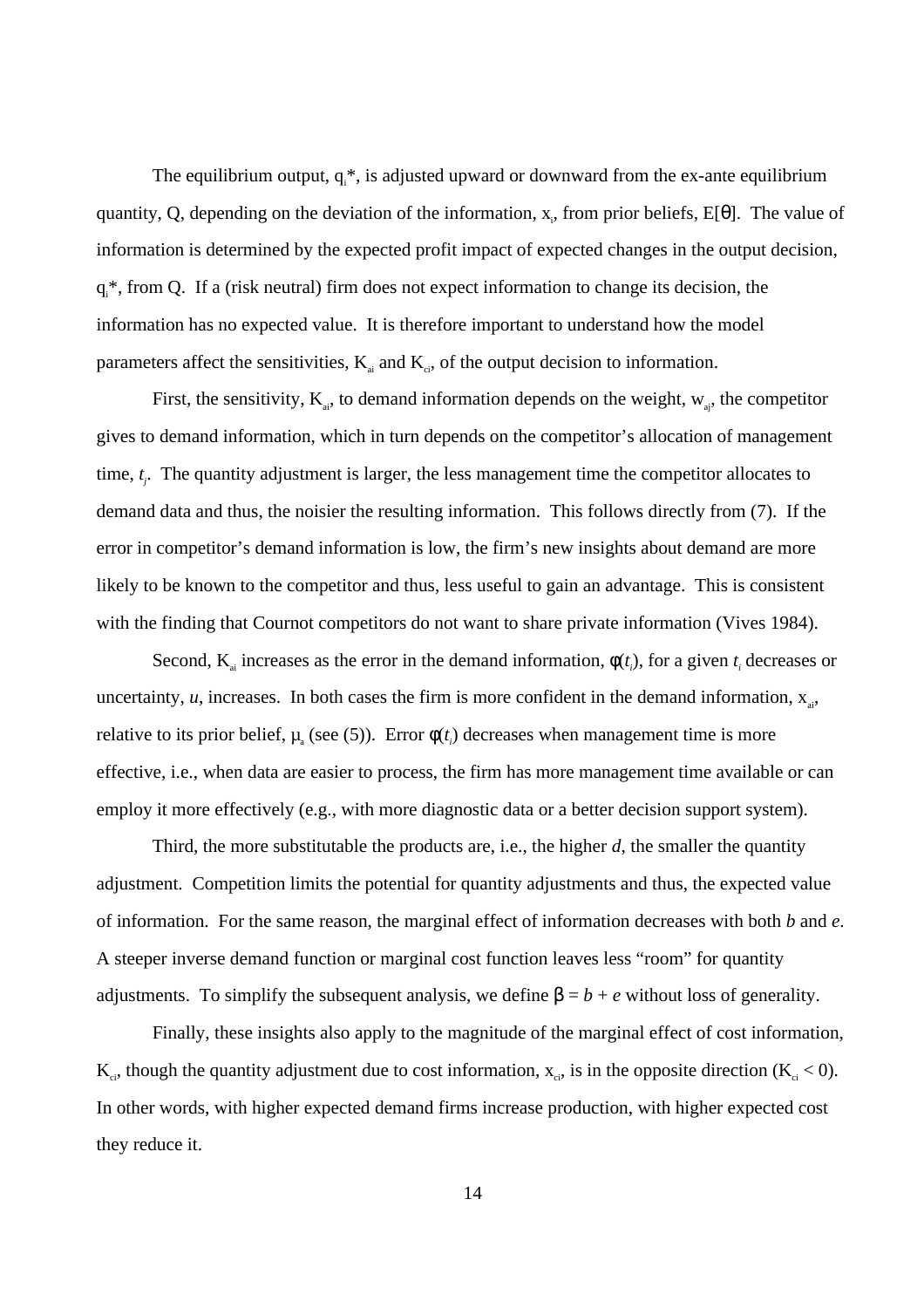The equilibrium output,  $q_i^*$ , is adjusted upward or downward from the ex-ante equilibrium quantity, Q, depending on the deviation of the information,  $x_i$ , from prior beliefs, E[ $\theta$ ]. The value of information is determined by the expected profit impact of expected changes in the output decision, q<sup>\*</sup>, from Q. If a (risk neutral) firm does not expect information to change its decision, the information has no expected value. It is therefore important to understand how the model parameters affect the sensitivities,  $K_{ai}$  and  $K_{ci}$ , of the output decision to information.

First, the sensitivity,  $K_{ai}$ , to demand information depends on the weight,  $W_{ai}$ , the competitor gives to demand information, which in turn depends on the competitor's allocation of management time, *tj* . The quantity adjustment is larger, the less management time the competitor allocates to demand data and thus, the noisier the resulting information. This follows directly from (7). If the error in competitor's demand information is low, the firm's new insights about demand are more likely to be known to the competitor and thus, less useful to gain an advantage. This is consistent with the finding that Cournot competitors do not want to share private information (Vives 1984).

Second,  $K_{ai}$  increases as the error in the demand information,  $\phi(t_i)$ , for a given  $t_i$  decreases or uncertainty,  $u$ , increases. In both cases the firm is more confident in the demand information,  $x_{ai}$ , relative to its prior belief,  $\mu_a$  (see (5)). Error  $\phi(t_i)$  decreases when management time is more effective, i.e., when data are easier to process, the firm has more management time available or can employ it more effectively (e.g., with more diagnostic data or a better decision support system).

Third, the more substitutable the products are, i.e., the higher *d*, the smaller the quantity adjustment. Competition limits the potential for quantity adjustments and thus, the expected value of information. For the same reason, the marginal effect of information decreases with both *b* and *e*. A steeper inverse demand function or marginal cost function leaves less "room" for quantity adjustments. To simplify the subsequent analysis, we define  $\beta = b + e$  without loss of generality.

Finally, these insights also apply to the magnitude of the marginal effect of cost information,  $K_{ci}$ , though the quantity adjustment due to cost information,  $x_{ci}$ , is in the opposite direction ( $K_{ci}$  < 0). In other words, with higher expected demand firms increase production, with higher expected cost they reduce it.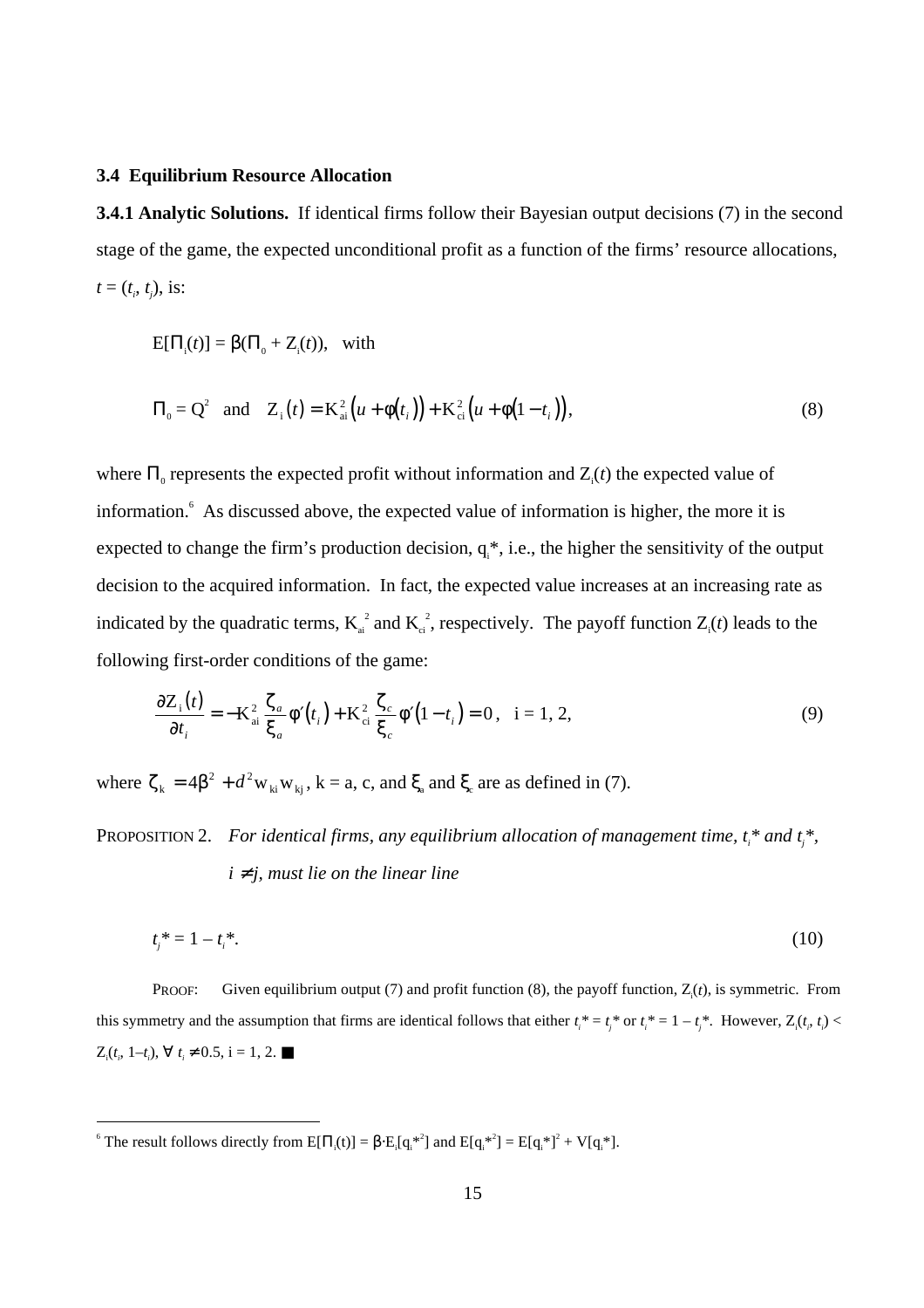### **3.4 Equilibrium Resource Allocation**

**3.4.1 Analytic Solutions.** If identical firms follow their Bayesian output decisions (7) in the second stage of the game, the expected unconditional profit as a function of the firms' resource allocations,  $t = (t_i, t_j)$ , is:

 $E[\Pi_i(t)] = \beta(\Pi_0 + Z_i(t)),$  with

$$
\Pi_0 = Q^2 \text{ and } Z_i(t) = K_{ai}^2(u + \phi(t_i)) + K_{ci}^2(u + \phi(1 - t_i)),
$$
\n(8)

where  $\Pi_0$  represents the expected profit without information and  $Z_i(t)$  the expected value of information.<sup>6</sup> As discussed above, the expected value of information is higher, the more it is expected to change the firm's production decision,  $q_i^*$ , i.e., the higher the sensitivity of the output decision to the acquired information. In fact, the expected value increases at an increasing rate as indicated by the quadratic terms,  $K_{ai}^2$  and  $K_{ci}^2$ , respectively. The payoff function  $Z_i(t)$  leads to the following first-order conditions of the game:

$$
\frac{\partial Z_i(t)}{\partial t_i} = -\mathbf{K}_{ai}^2 \frac{\zeta_a}{\xi_a} \phi'(t_i) + \mathbf{K}_{ci}^2 \frac{\zeta_c}{\xi_c} \phi'(1 - t_i) = 0, \quad i = 1, 2,
$$
\n(9)

where  $\zeta_k = 4\beta^2 + d^2 w_{ki} w_{kj}$ ,  $k = a$ , c, and  $\xi_a$  and  $\xi_c$  are as defined in (7).

PROPOSITION 2. For identical firms, any equilibrium allocation of management time,  $t_i^*$  and  $t_j^*$ ,  $i \neq j$ , must lie on the linear line

$$
t_j^* = 1 - t_i^*.\tag{10}
$$

PROOF: Given equilibrium output (7) and profit function (8), the payoff function,  $Z_i(t)$ , is symmetric. From this symmetry and the assumption that firms are identical follows that either  $t_i^* = t_j^*$  or  $t_i^* = 1 - t_j^*$ . However,  $Z_i(t_j, t_j)$  $Z_i(t_i, 1-t_i), \forall t_i \neq 0.5, i = 1, 2. \blacksquare$ 

 $-$ <br>6 The result follows directly from  $E[\Pi_i(t)] = \beta \cdot E_i[q_i^{*2}]$  and  $E[q_i^{*2}] = E[q_i^{*2}] + V[q_i^{*}].$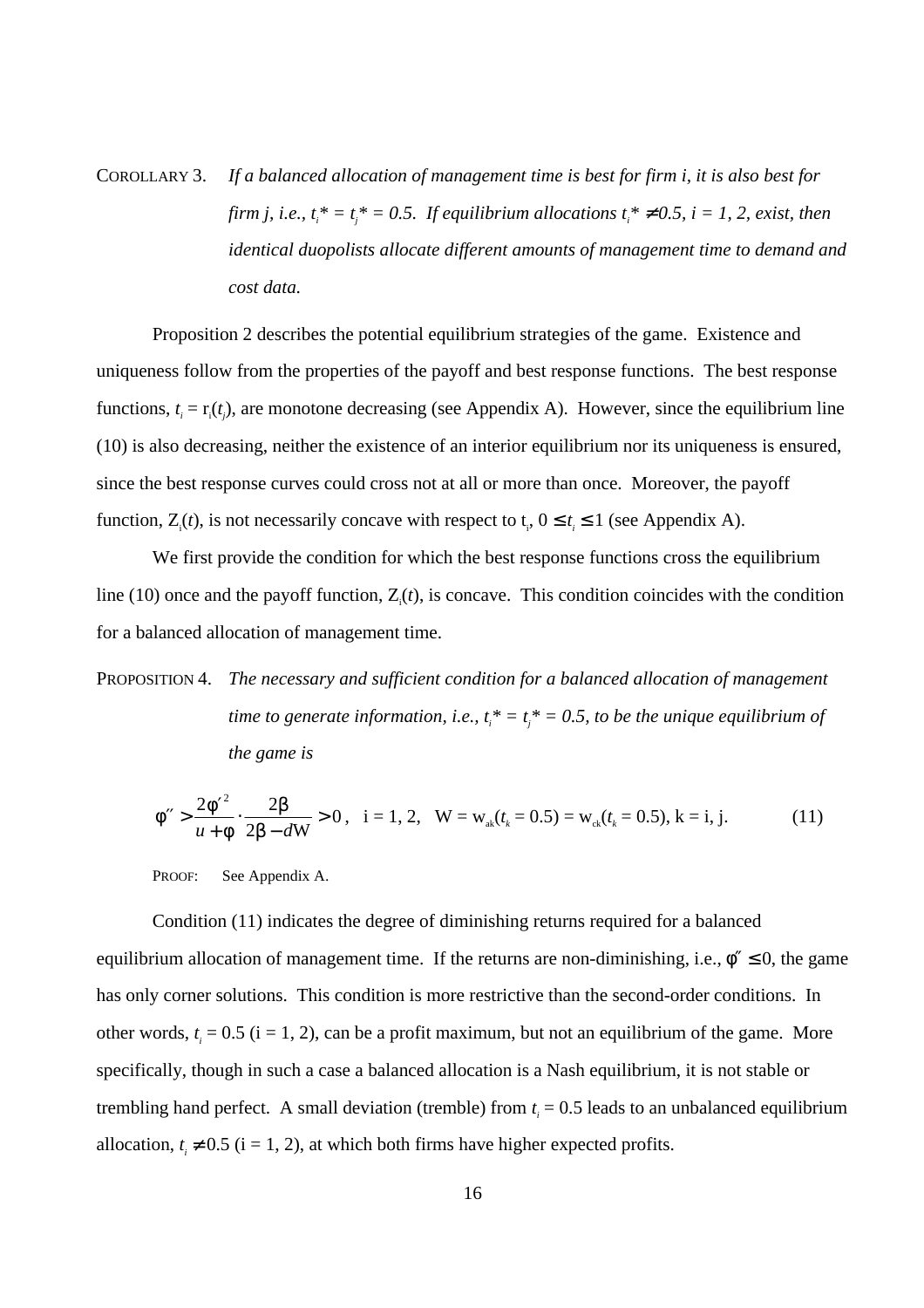COROLLARY 3. *If a balanced allocation of management time is best for firm i, it is also best for firm j, i.e.,*  $t_i^* = t_j^* = 0.5$ . If equilibrium allocations  $t_i^* \neq 0.5$ , i = 1, 2, exist, then *identical duopolists allocate different amounts of management time to demand and cost data.*

Proposition 2 describes the potential equilibrium strategies of the game. Existence and uniqueness follow from the properties of the payoff and best response functions. The best response functions,  $t_i = r_i(t_j)$ , are monotone decreasing (see Appendix A). However, since the equilibrium line (10) is also decreasing, neither the existence of an interior equilibrium nor its uniqueness is ensured, since the best response curves could cross not at all or more than once. Moreover, the payoff function,  $Z_i(t)$ , is not necessarily concave with respect to  $t_i$ ,  $0 \le t_i \le 1$  (see Appendix A).

We first provide the condition for which the best response functions cross the equilibrium line (10) once and the payoff function,  $Z_i(t)$ , is concave. This condition coincides with the condition for a balanced allocation of management time.

PROPOSITION 4. *The necessary and sufficient condition for a balanced allocation of management time to generate information, i.e.,*  $t_i^* = t_j^* = 0.5$ , to be the unique equilibrium of *the game is*

$$
\phi'' > \frac{2\phi'^2}{u + \phi} \cdot \frac{2\beta}{2\beta - dW} > 0, \quad i = 1, 2, \quad W = w_{ak}(t_k = 0.5) = w_{ck}(t_k = 0.5), \quad k = i, j. \tag{11}
$$

PROOF: See Appendix A.

Condition (11) indicates the degree of diminishing returns required for a balanced equilibrium allocation of management time. If the returns are non-diminishing, i.e.,  $\phi'' \le 0$ , the game has only corner solutions. This condition is more restrictive than the second-order conditions. In other words,  $t_i = 0.5$  (i = 1, 2), can be a profit maximum, but not an equilibrium of the game. More specifically, though in such a case a balanced allocation is a Nash equilibrium, it is not stable or trembling hand perfect. A small deviation (tremble) from  $t_i = 0.5$  leads to an unbalanced equilibrium allocation,  $t_i \neq 0.5$  (i = 1, 2), at which both firms have higher expected profits.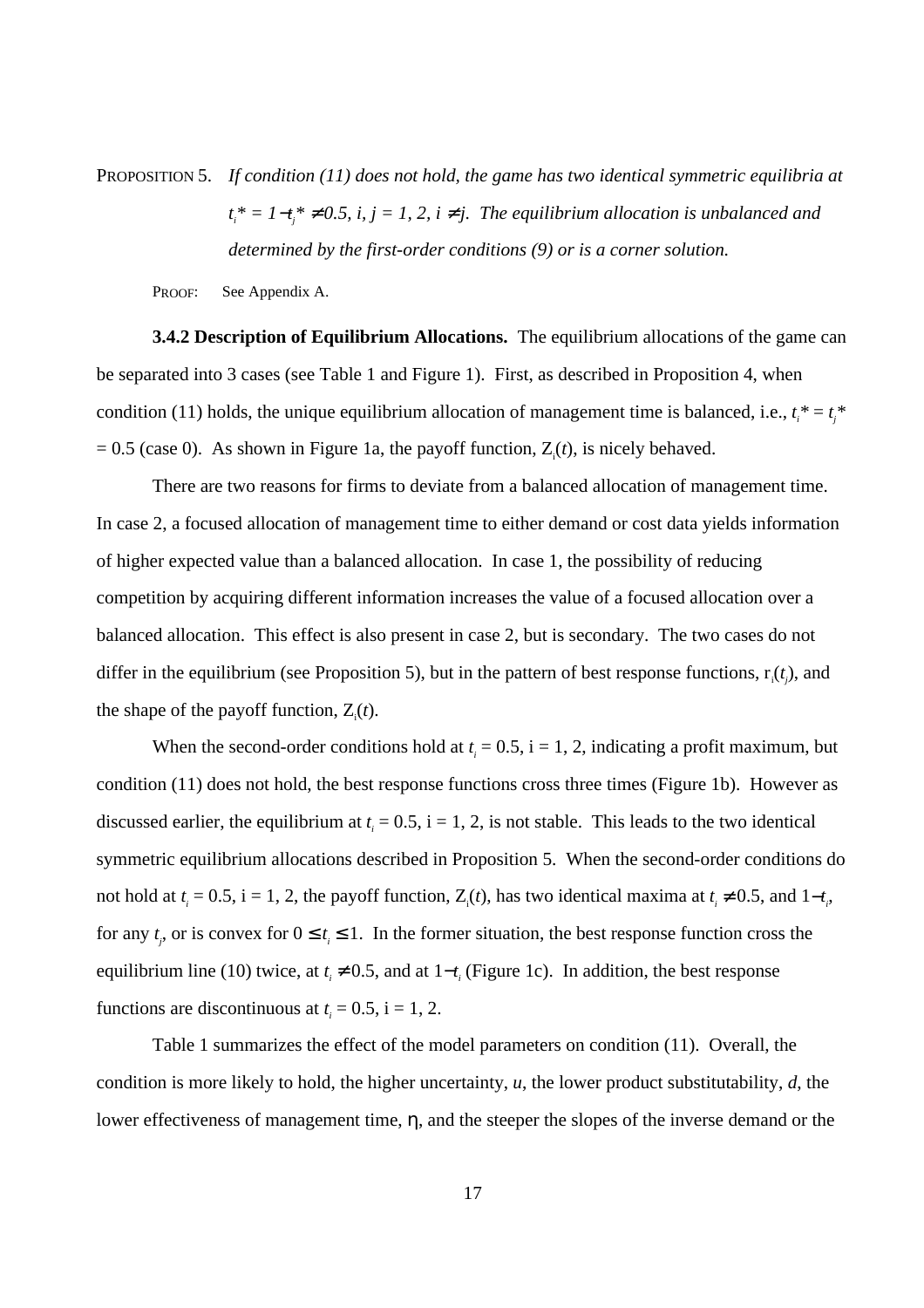PROPOSITION 5. *If condition (11) does not hold, the game has two identical symmetric equilibria at t*<sub>*i*</sub><sup>\*</sup> = 1−*t<sub>j</sub>*<sup>\*</sup> ≠ 0.5, *i, j* = 1, 2, *i* ≠ *j.* The equilibrium allocation is unbalanced and *determined by the first-order conditions (9) or is a corner solution.*

PROOF: See Appendix A.

**3.4.2 Description of Equilibrium Allocations.** The equilibrium allocations of the game can be separated into 3 cases (see Table 1 and Figure 1). First, as described in Proposition 4, when condition (11) holds, the unique equilibrium allocation of management time is balanced, i.e.,  $t_i^* = t_j^*$  $= 0.5$  (case 0). As shown in Figure 1a, the payoff function,  $Z_i(t)$ , is nicely behaved.

There are two reasons for firms to deviate from a balanced allocation of management time. In case 2, a focused allocation of management time to either demand or cost data yields information of higher expected value than a balanced allocation. In case 1, the possibility of reducing competition by acquiring different information increases the value of a focused allocation over a balanced allocation. This effect is also present in case 2, but is secondary. The two cases do not differ in the equilibrium (see Proposition 5), but in the pattern of best response functions,  $r_i(t_j)$ , and the shape of the payoff function,  $Z_i(t)$ .

When the second-order conditions hold at  $t_i = 0.5$ ,  $i = 1, 2$ , indicating a profit maximum, but condition (11) does not hold, the best response functions cross three times (Figure 1b). However as discussed earlier, the equilibrium at  $t_i = 0.5$ ,  $i = 1, 2$ , is not stable. This leads to the two identical symmetric equilibrium allocations described in Proposition 5. When the second-order conditions do not hold at  $t_i = 0.5$ ,  $i = 1, 2$ , the payoff function,  $Z_i(t)$ , has two identical maxima at  $t_i \neq 0.5$ , and  $1-t_i$ , for any  $t_j$ , or is convex for  $0 \le t_i \le 1$ . In the former situation, the best response function cross the equilibrium line (10) twice, at  $t_i \neq 0.5$ , and at  $1-t_i$  (Figure 1c). In addition, the best response functions are discontinuous at  $t_i = 0.5$ ,  $i = 1, 2$ .

Table 1 summarizes the effect of the model parameters on condition (11). Overall, the condition is more likely to hold, the higher uncertainty, *u*, the lower product substitutability, *d*, the lower effectiveness of management time, η, and the steeper the slopes of the inverse demand or the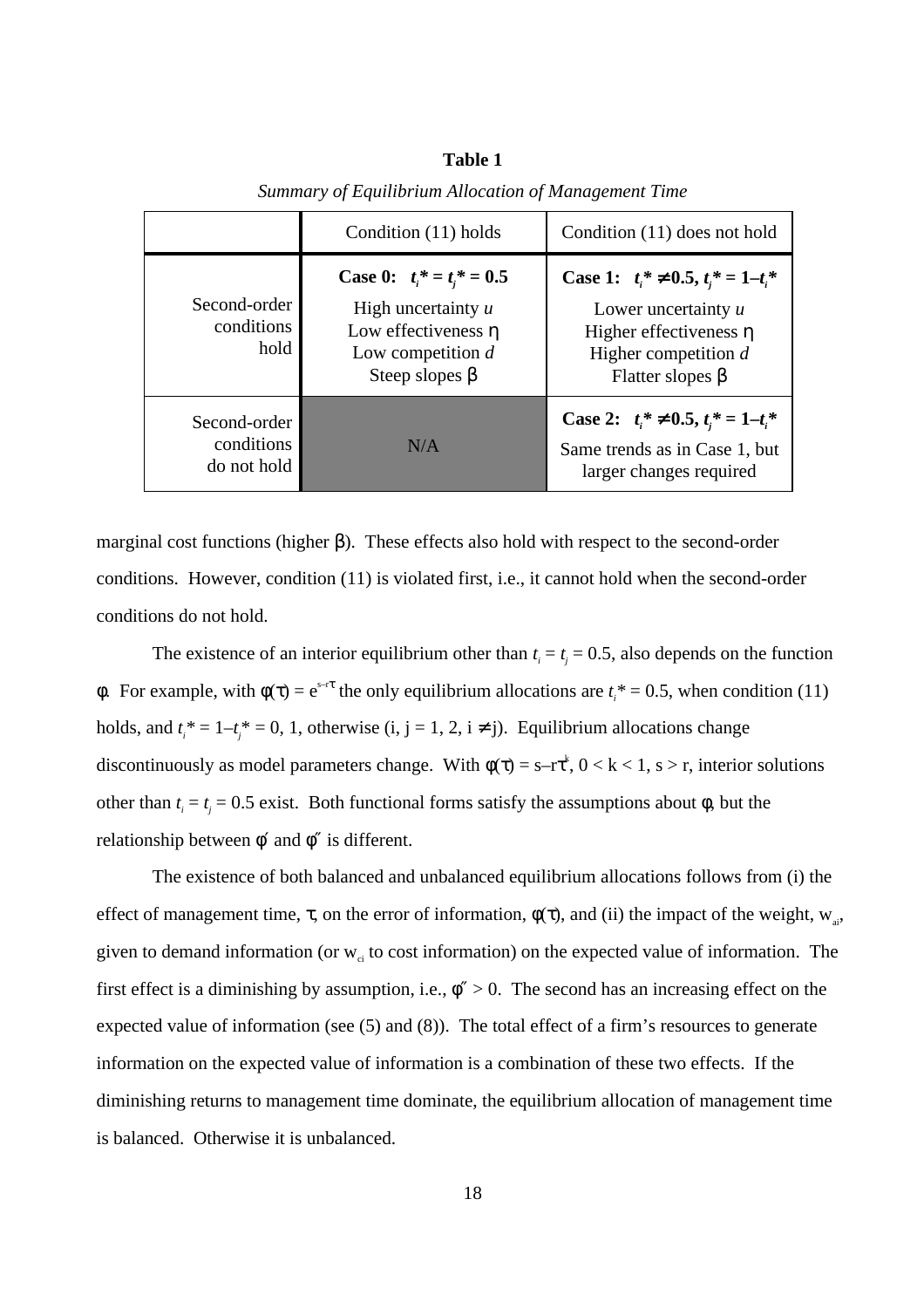|                                           | Condition (11) holds                                                                                                                    | Condition (11) does not hold                                                                                                                             |
|-------------------------------------------|-----------------------------------------------------------------------------------------------------------------------------------------|----------------------------------------------------------------------------------------------------------------------------------------------------------|
| Second-order<br>conditions<br>hold        | <b>Case 0:</b> $t_i^* = t_i^* = 0.5$<br>High uncertainty $u$<br>Low effectiveness $\eta$<br>Low competition $d$<br>Steep slopes $\beta$ | Case 1: $t_i^* \neq 0.5$ , $t_i^* = 1-t_i^*$<br>Lower uncertainty $u$<br>Higher effectiveness $\eta$<br>Higher competition $d$<br>Flatter slopes $\beta$ |
| Second-order<br>conditions<br>do not hold | N/A                                                                                                                                     | Case 2: $t_i^* \neq 0.5$ , $t_i^* = 1-t_i^*$<br>Same trends as in Case 1, but<br>larger changes required                                                 |

**Table 1** *Summary of Equilibrium Allocation of Management Time*

marginal cost functions (higher β). These effects also hold with respect to the second-order conditions. However, condition (11) is violated first, i.e., it cannot hold when the second-order conditions do not hold.

The existence of an interior equilibrium other than  $t_i = t_j = 0.5$ , also depends on the function φ. For example, with  $φ(τ) = e^{s-τ}$  the only equilibrium allocations are  $t<sub>i</sub>$ <sup>\*</sup> = 0.5, when condition (11) holds, and  $t_i^* = 1 - t_j^* = 0$ , 1, otherwise (i, j = 1, 2, i  $\neq$  j). Equilibrium allocations change discontinuously as model parameters change. With  $\phi(\tau) = s - r\tau^k$ ,  $0 < k < 1$ ,  $s > r$ , interior solutions other than  $t_i = t_j = 0.5$  exist. Both functional forms satisfy the assumptions about  $\phi$ , but the relationship between  $\phi'$  and  $\phi''$  is different.

The existence of both balanced and unbalanced equilibrium allocations follows from (i) the effect of management time,  $\tau$ , on the error of information,  $\phi(\tau)$ , and (ii) the impact of the weight,  $w_{ai}$ , given to demand information (or  $w_{ci}$  to cost information) on the expected value of information. The first effect is a diminishing by assumption, i.e.,  $\phi'' > 0$ . The second has an increasing effect on the expected value of information (see (5) and (8)). The total effect of a firm's resources to generate information on the expected value of information is a combination of these two effects. If the diminishing returns to management time dominate, the equilibrium allocation of management time is balanced. Otherwise it is unbalanced.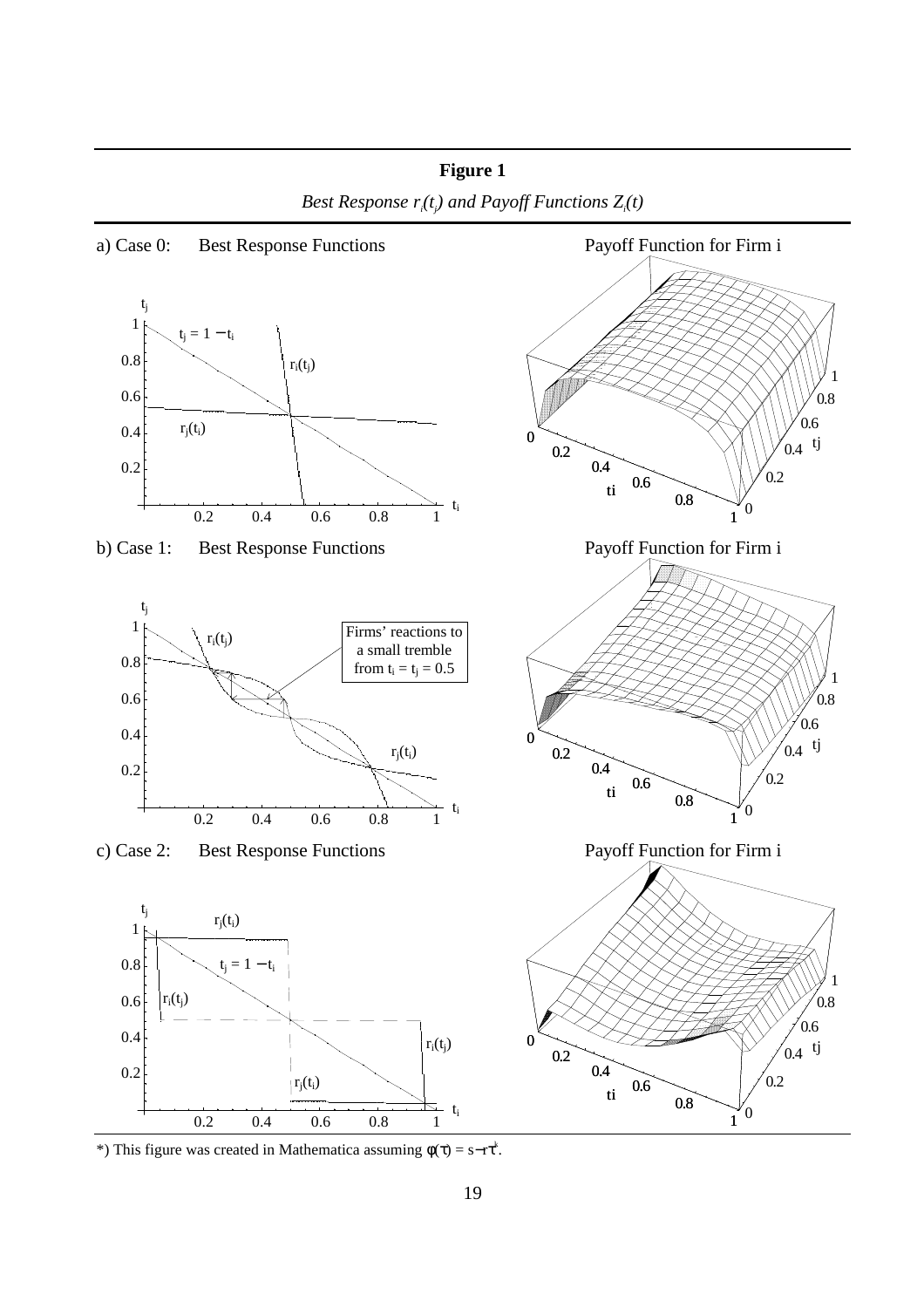

**Figure 1** Best Response  $r_i(t_j)$  and Payoff Functions  $Z_i(t)$ 

\*) This figure was created in Mathematica assuming  $\phi(\tau) = s - r\tau^k$ .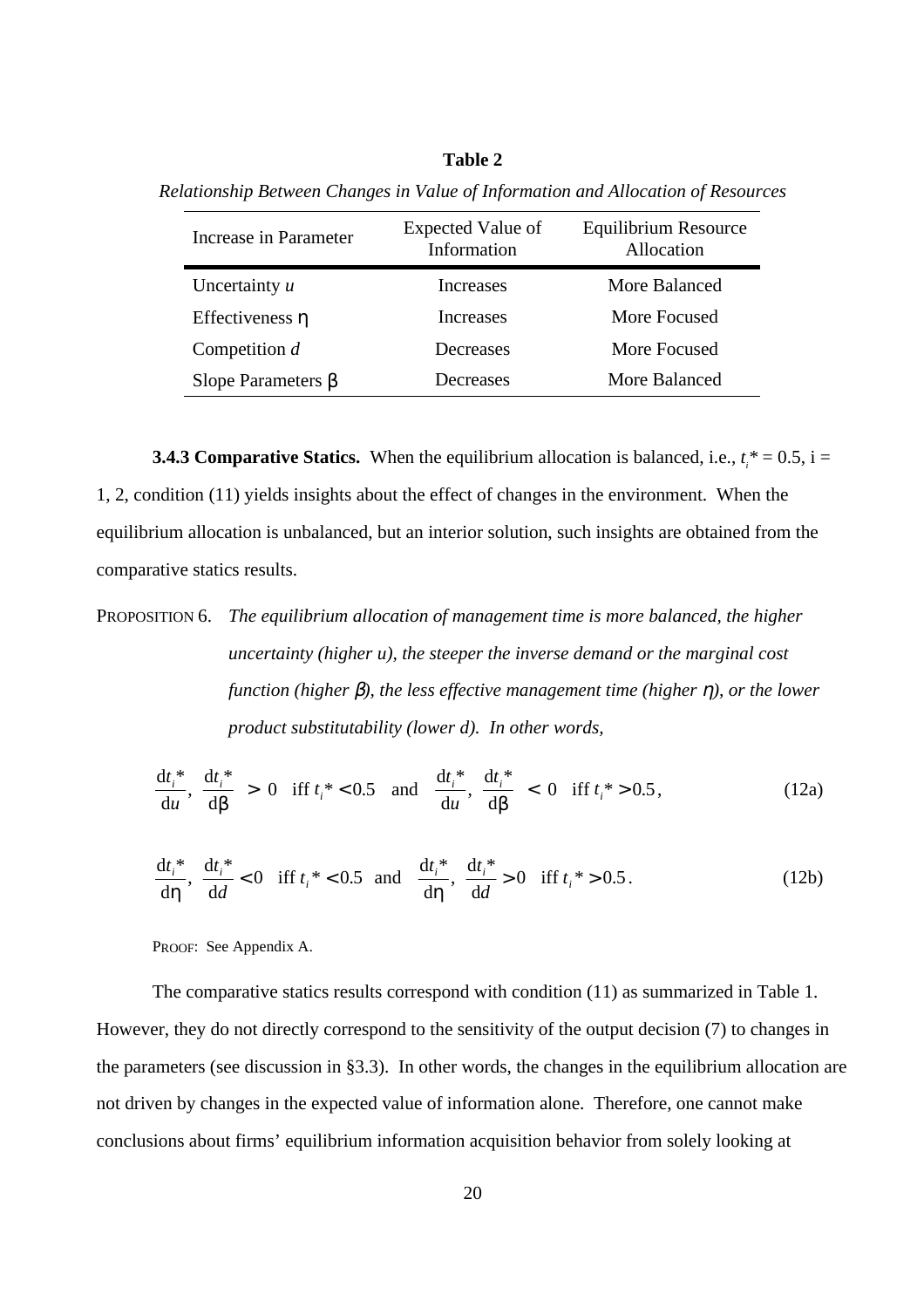## **Table 2**

| Increase in Parameter    | Expected Value of<br>Information | Equilibrium Resource<br>Allocation |
|--------------------------|----------------------------------|------------------------------------|
| Uncertainty $u$          | Increases                        | More Balanced                      |
| Effectiveness $\eta$     | Increases                        | More Focused                       |
| Competition $d$          | Decreases                        | More Focused                       |
| Slope Parameters $\beta$ | Decreases                        | More Balanced                      |

*Relationship Between Changes in Value of Information and Allocation of Resources*

**3.4.3 Comparative Statics.** When the equilibrium allocation is balanced, i.e.,  $t_i^* = 0.5$ , i = 1, 2, condition (11) yields insights about the effect of changes in the environment. When the equilibrium allocation is unbalanced, but an interior solution, such insights are obtained from the comparative statics results.

PROPOSITION 6. *The equilibrium allocation of management time is more balanced, the higher uncertainty (higher u), the steeper the inverse demand or the marginal cost function (higher* β*), the less effective management time (higher* η*), or the lower product substitutability (lower d). In other words,*

$$
\frac{dt_i^*}{du}, \frac{dt_i^*}{d\beta} > 0 \quad \text{iff } t_i^* < 0.5 \quad \text{and} \quad \frac{dt_i^*}{du}, \frac{dt_i^*}{d\beta} < 0 \quad \text{iff } t_i^* > 0.5, \tag{12a}
$$

$$
\frac{dt_i^*}{d\eta}, \frac{dt_i^*}{dd} < 0 \quad \text{iff } t_i^* < 0.5 \quad \text{and} \quad \frac{dt_i^*}{d\eta}, \frac{dt_i^*}{dd} > 0 \quad \text{iff } t_i^* > 0.5 \,. \tag{12b}
$$

PROOF: See Appendix A.

The comparative statics results correspond with condition (11) as summarized in Table 1. However, they do not directly correspond to the sensitivity of the output decision (7) to changes in the parameters (see discussion in §3.3). In other words, the changes in the equilibrium allocation are not driven by changes in the expected value of information alone. Therefore, one cannot make conclusions about firms' equilibrium information acquisition behavior from solely looking at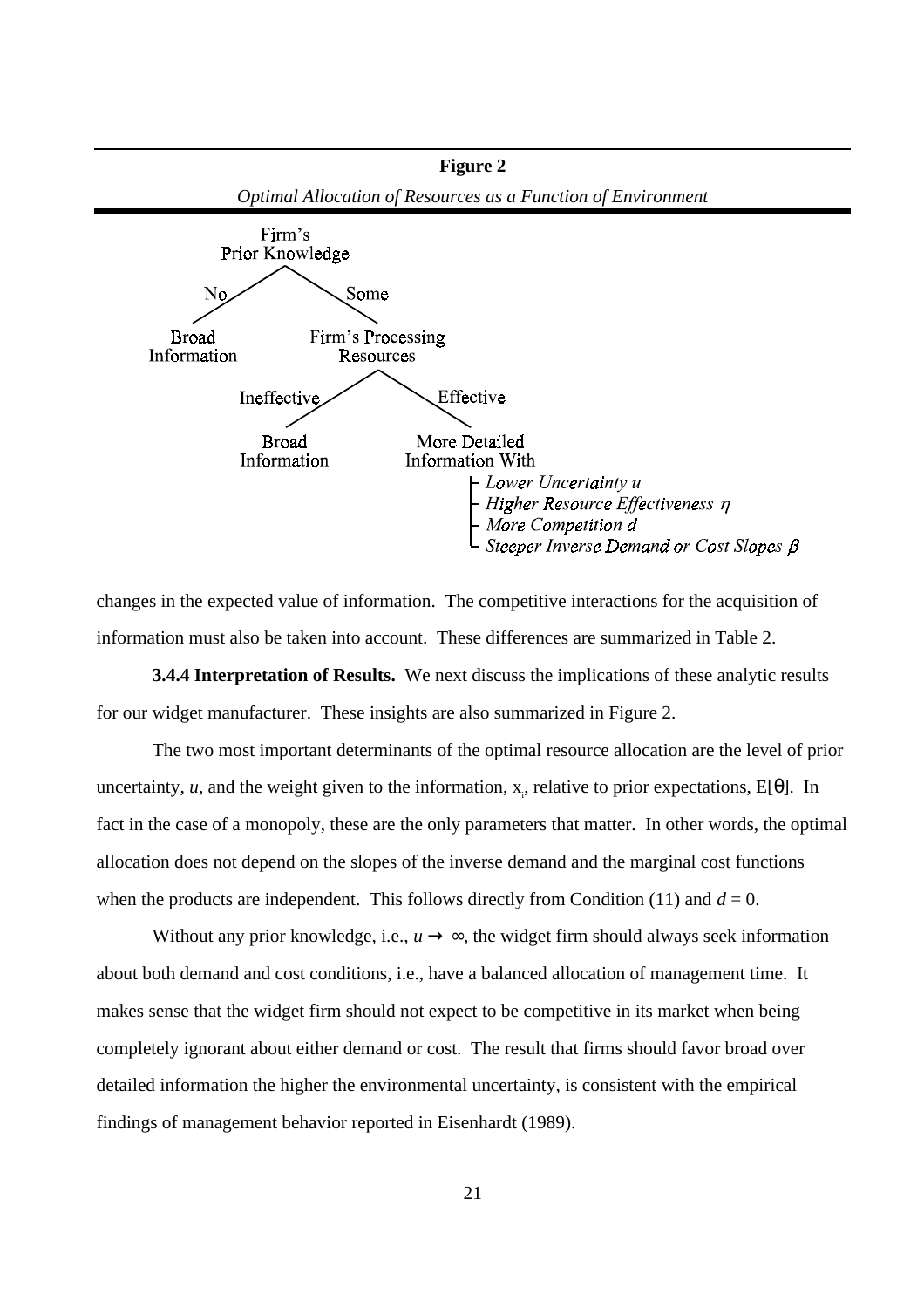

changes in the expected value of information. The competitive interactions for the acquisition of information must also be taken into account. These differences are summarized in Table 2.

**3.4.4 Interpretation of Results.** We next discuss the implications of these analytic results for our widget manufacturer. These insights are also summarized in Figure 2.

The two most important determinants of the optimal resource allocation are the level of prior uncertainty, *u*, and the weight given to the information,  $x_i$ , relative to prior expectations,  $E[\theta]$ . In fact in the case of a monopoly, these are the only parameters that matter. In other words, the optimal allocation does not depend on the slopes of the inverse demand and the marginal cost functions when the products are independent. This follows directly from Condition (11) and  $d = 0$ .

Without any prior knowledge, i.e.,  $u \rightarrow \infty$ , the widget firm should always seek information about both demand and cost conditions, i.e., have a balanced allocation of management time. It makes sense that the widget firm should not expect to be competitive in its market when being completely ignorant about either demand or cost. The result that firms should favor broad over detailed information the higher the environmental uncertainty, is consistent with the empirical findings of management behavior reported in Eisenhardt (1989).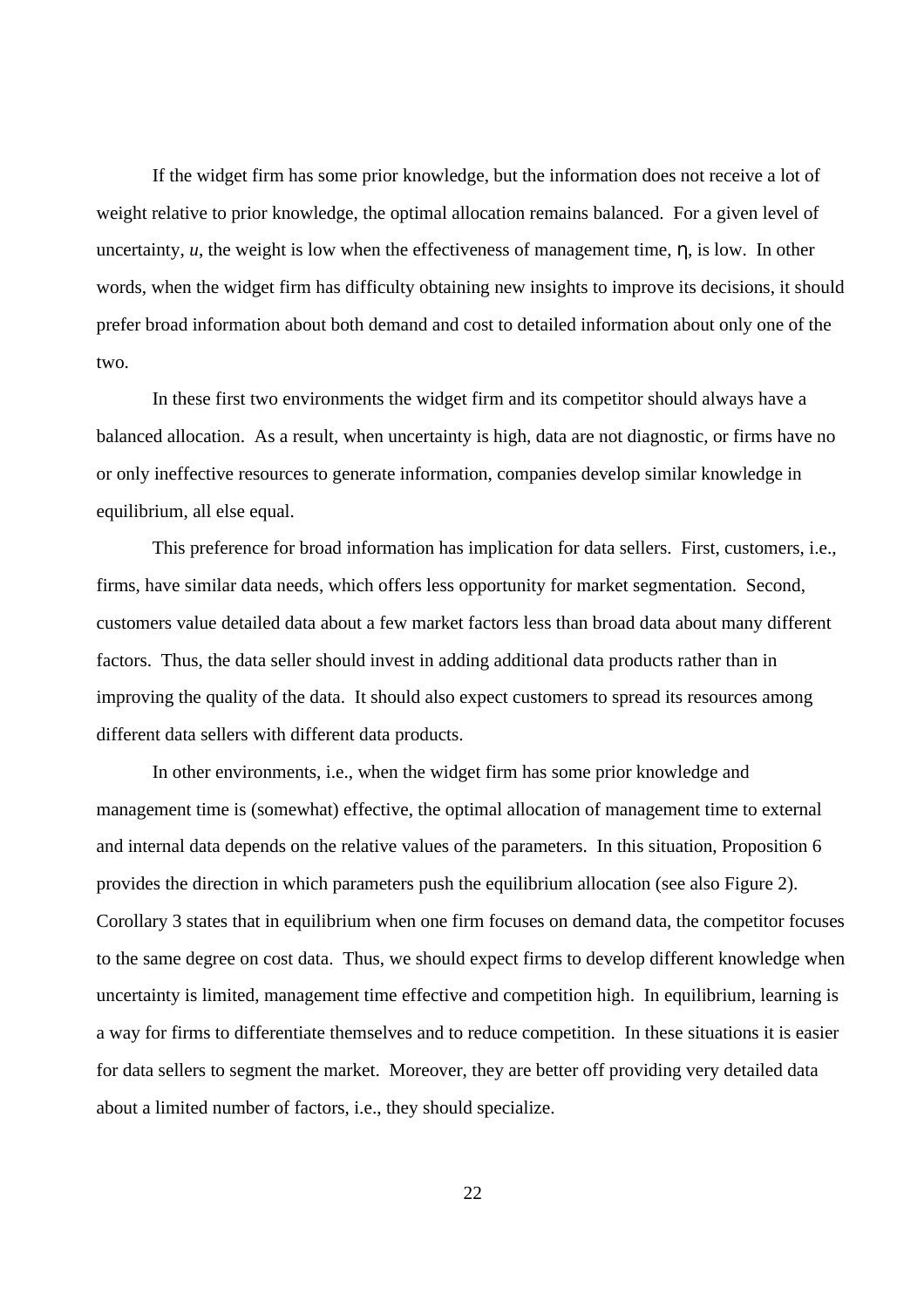If the widget firm has some prior knowledge, but the information does not receive a lot of weight relative to prior knowledge, the optimal allocation remains balanced. For a given level of uncertainty,  $u$ , the weight is low when the effectiveness of management time,  $\eta$ , is low. In other words, when the widget firm has difficulty obtaining new insights to improve its decisions, it should prefer broad information about both demand and cost to detailed information about only one of the two.

In these first two environments the widget firm and its competitor should always have a balanced allocation. As a result, when uncertainty is high, data are not diagnostic, or firms have no or only ineffective resources to generate information, companies develop similar knowledge in equilibrium, all else equal.

This preference for broad information has implication for data sellers. First, customers, i.e., firms, have similar data needs, which offers less opportunity for market segmentation. Second, customers value detailed data about a few market factors less than broad data about many different factors. Thus, the data seller should invest in adding additional data products rather than in improving the quality of the data. It should also expect customers to spread its resources among different data sellers with different data products.

In other environments, i.e., when the widget firm has some prior knowledge and management time is (somewhat) effective, the optimal allocation of management time to external and internal data depends on the relative values of the parameters. In this situation, Proposition 6 provides the direction in which parameters push the equilibrium allocation (see also Figure 2). Corollary 3 states that in equilibrium when one firm focuses on demand data, the competitor focuses to the same degree on cost data. Thus, we should expect firms to develop different knowledge when uncertainty is limited, management time effective and competition high. In equilibrium, learning is a way for firms to differentiate themselves and to reduce competition. In these situations it is easier for data sellers to segment the market. Moreover, they are better off providing very detailed data about a limited number of factors, i.e., they should specialize.

22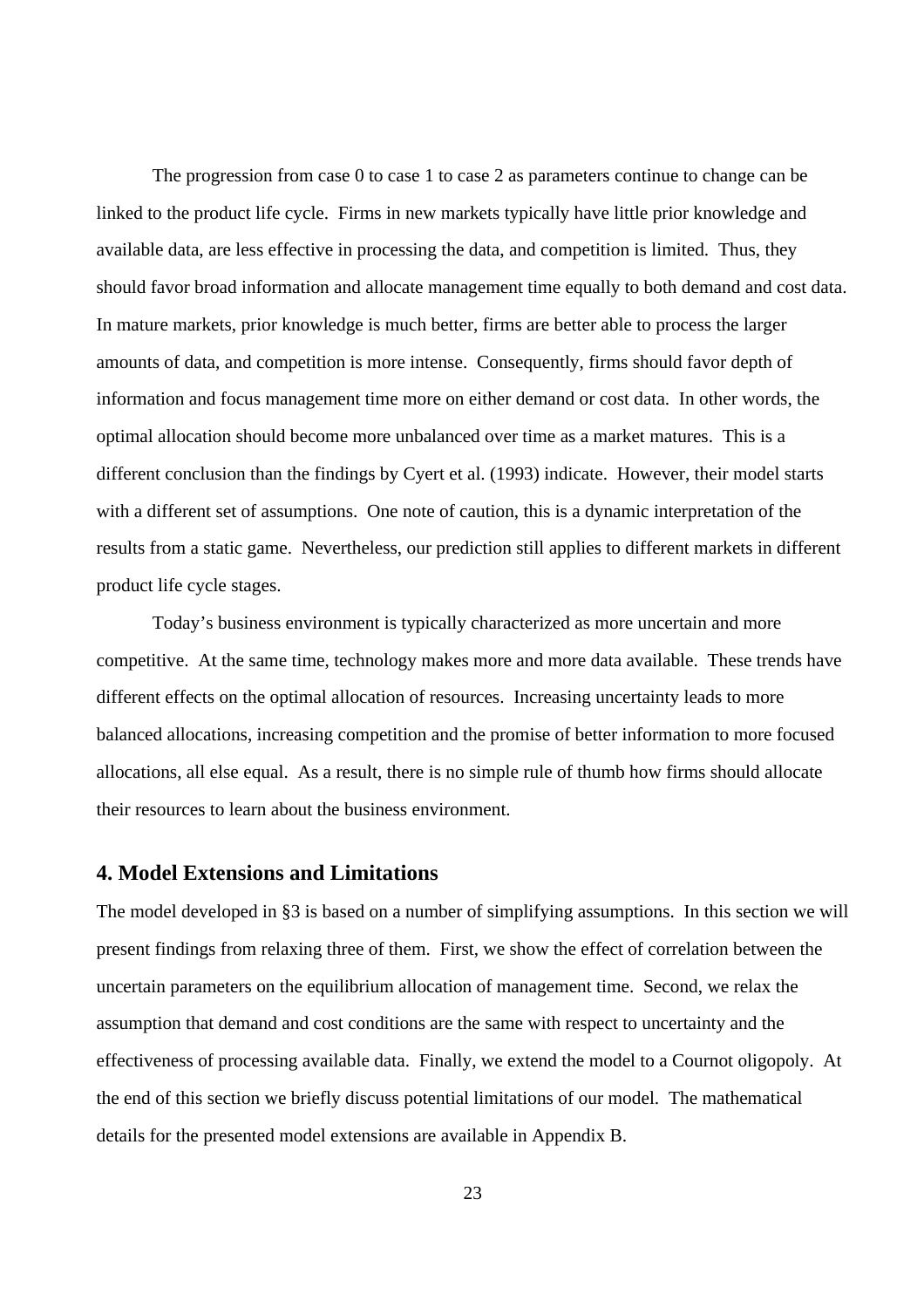The progression from case 0 to case 1 to case 2 as parameters continue to change can be linked to the product life cycle. Firms in new markets typically have little prior knowledge and available data, are less effective in processing the data, and competition is limited. Thus, they should favor broad information and allocate management time equally to both demand and cost data. In mature markets, prior knowledge is much better, firms are better able to process the larger amounts of data, and competition is more intense. Consequently, firms should favor depth of information and focus management time more on either demand or cost data. In other words, the optimal allocation should become more unbalanced over time as a market matures. This is a different conclusion than the findings by Cyert et al. (1993) indicate. However, their model starts with a different set of assumptions. One note of caution, this is a dynamic interpretation of the results from a static game. Nevertheless, our prediction still applies to different markets in different product life cycle stages.

Today's business environment is typically characterized as more uncertain and more competitive. At the same time, technology makes more and more data available. These trends have different effects on the optimal allocation of resources. Increasing uncertainty leads to more balanced allocations, increasing competition and the promise of better information to more focused allocations, all else equal. As a result, there is no simple rule of thumb how firms should allocate their resources to learn about the business environment.

## **4. Model Extensions and Limitations**

The model developed in §3 is based on a number of simplifying assumptions. In this section we will present findings from relaxing three of them. First, we show the effect of correlation between the uncertain parameters on the equilibrium allocation of management time. Second, we relax the assumption that demand and cost conditions are the same with respect to uncertainty and the effectiveness of processing available data. Finally, we extend the model to a Cournot oligopoly. At the end of this section we briefly discuss potential limitations of our model. The mathematical details for the presented model extensions are available in Appendix B.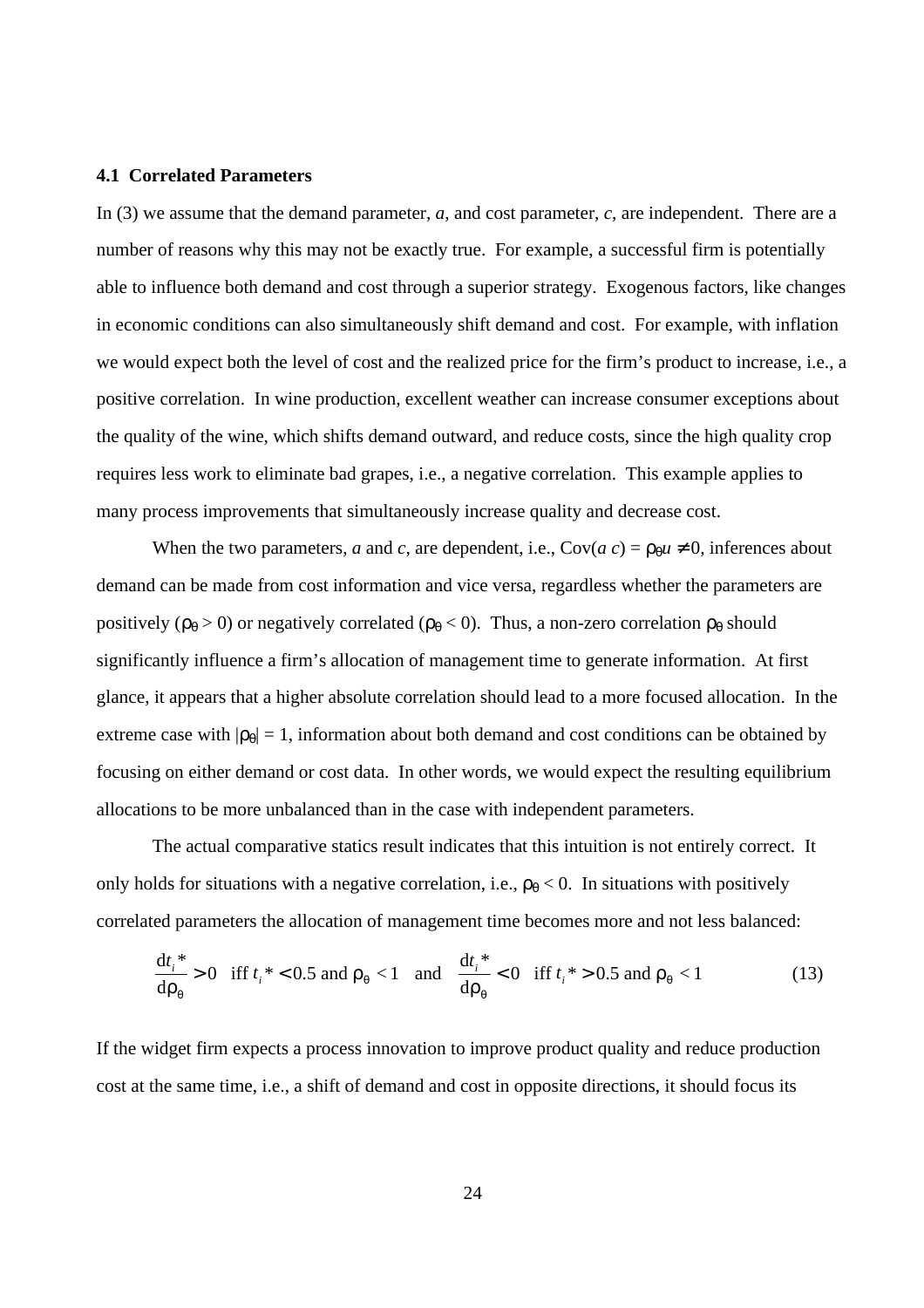## **4.1 Correlated Parameters**

In (3) we assume that the demand parameter, *a*, and cost parameter, *c*, are independent. There are a number of reasons why this may not be exactly true. For example, a successful firm is potentially able to influence both demand and cost through a superior strategy. Exogenous factors, like changes in economic conditions can also simultaneously shift demand and cost. For example, with inflation we would expect both the level of cost and the realized price for the firm's product to increase, i.e., a positive correlation. In wine production, excellent weather can increase consumer exceptions about the quality of the wine, which shifts demand outward, and reduce costs, since the high quality crop requires less work to eliminate bad grapes, i.e., a negative correlation. This example applies to many process improvements that simultaneously increase quality and decrease cost.

When the two parameters, *a* and *c*, are dependent, i.e.,  $Cov(a c) = \rho_0 u \neq 0$ , inferences about demand can be made from cost information and vice versa, regardless whether the parameters are positively ( $\rho_{\theta} > 0$ ) or negatively correlated ( $\rho_{\theta} < 0$ ). Thus, a non-zero correlation  $\rho_{\theta}$  should significantly influence a firm's allocation of management time to generate information. At first glance, it appears that a higher absolute correlation should lead to a more focused allocation. In the extreme case with  $|\rho_{\theta}| = 1$ , information about both demand and cost conditions can be obtained by focusing on either demand or cost data. In other words, we would expect the resulting equilibrium allocations to be more unbalanced than in the case with independent parameters.

The actual comparative statics result indicates that this intuition is not entirely correct. It only holds for situations with a negative correlation, i.e.,  $\rho_{\theta} < 0$ . In situations with positively correlated parameters the allocation of management time becomes more and not less balanced:

$$
\frac{dt_i^*}{d\rho_\theta} > 0 \quad \text{iff } t_i^* < 0.5 \text{ and } \rho_\theta < 1 \quad \text{and} \quad \frac{dt_i^*}{d\rho_\theta} < 0 \quad \text{iff } t_i^* > 0.5 \text{ and } \rho_\theta < 1 \tag{13}
$$

If the widget firm expects a process innovation to improve product quality and reduce production cost at the same time, i.e., a shift of demand and cost in opposite directions, it should focus its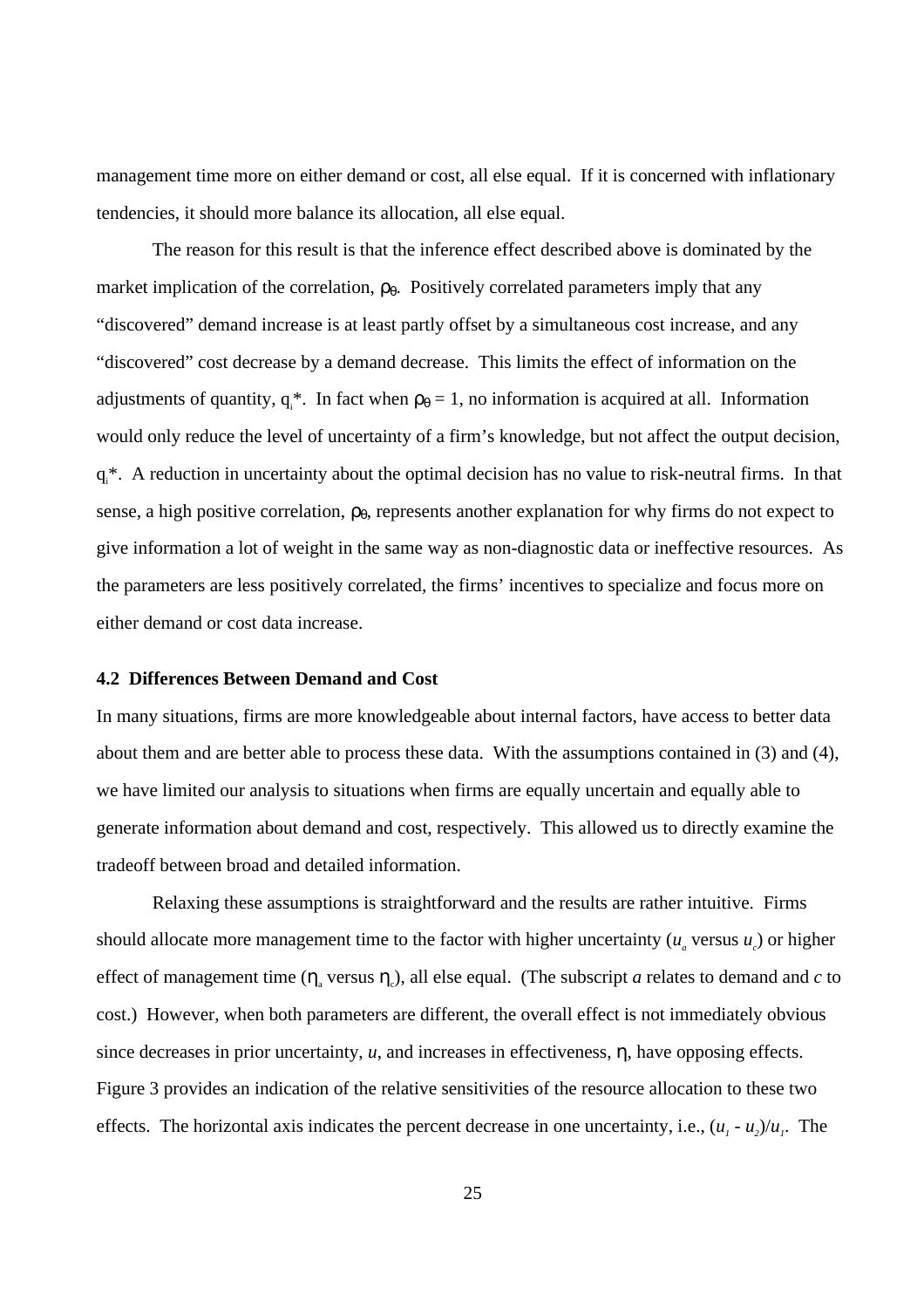management time more on either demand or cost, all else equal. If it is concerned with inflationary tendencies, it should more balance its allocation, all else equal.

The reason for this result is that the inference effect described above is dominated by the market implication of the correlation,  $\rho_{\theta}$ . Positively correlated parameters imply that any "discovered" demand increase is at least partly offset by a simultaneous cost increase, and any "discovered" cost decrease by a demand decrease. This limits the effect of information on the adjustments of quantity,  $q_i^*$ . In fact when  $p_\theta = 1$ , no information is acquired at all. Information would only reduce the level of uncertainty of a firm's knowledge, but not affect the output decision, q<sup>\*</sup>. A reduction in uncertainty about the optimal decision has no value to risk-neutral firms. In that sense, a high positive correlation,  $\rho_{\theta}$ , represents another explanation for why firms do not expect to give information a lot of weight in the same way as non-diagnostic data or ineffective resources. As the parameters are less positively correlated, the firms' incentives to specialize and focus more on either demand or cost data increase.

## **4.2 Differences Between Demand and Cost**

In many situations, firms are more knowledgeable about internal factors, have access to better data about them and are better able to process these data. With the assumptions contained in (3) and (4), we have limited our analysis to situations when firms are equally uncertain and equally able to generate information about demand and cost, respectively. This allowed us to directly examine the tradeoff between broad and detailed information.

Relaxing these assumptions is straightforward and the results are rather intuitive. Firms should allocate more management time to the factor with higher uncertainty  $(u_a$  versus  $u_c$ ) or higher effect of management time  $(\eta_a$  versus  $\eta_c$ ), all else equal. (The subscript *a* relates to demand and *c* to cost.) However, when both parameters are different, the overall effect is not immediately obvious since decreases in prior uncertainty, *u*, and increases in effectiveness, η, have opposing effects. Figure 3 provides an indication of the relative sensitivities of the resource allocation to these two effects. The horizontal axis indicates the percent decrease in one uncertainty, i.e.,  $(u_1 - u_2)/u_1$ . The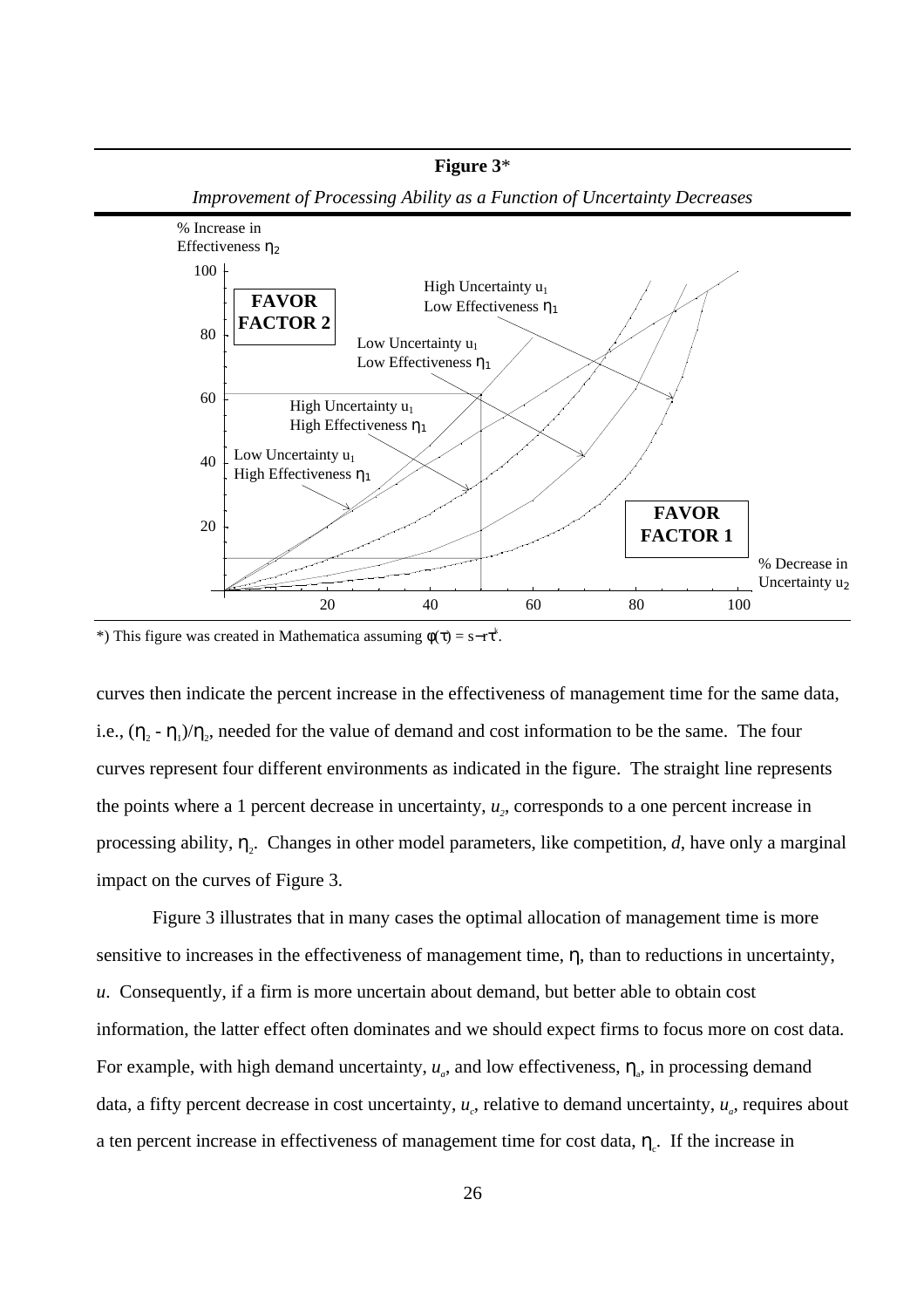

\*) This figure was created in Mathematica assuming  $\phi(\tau) = s - r\tau^k$ .

curves then indicate the percent increase in the effectiveness of management time for the same data, i.e.,  $(\eta_2 - \eta_1)/\eta_2$ , needed for the value of demand and cost information to be the same. The four curves represent four different environments as indicated in the figure. The straight line represents the points where a 1 percent decrease in uncertainty,  $u<sub>2</sub>$ , corresponds to a one percent increase in processing ability,  $\eta_2$ . Changes in other model parameters, like competition, *d*, have only a marginal impact on the curves of Figure 3.

Figure 3 illustrates that in many cases the optimal allocation of management time is more sensitive to increases in the effectiveness of management time, η, than to reductions in uncertainty, *u*. Consequently, if a firm is more uncertain about demand, but better able to obtain cost information, the latter effect often dominates and we should expect firms to focus more on cost data. For example, with high demand uncertainty,  $u_a$ , and low effectiveness,  $\eta_a$ , in processing demand data, a fifty percent decrease in cost uncertainty,  $u_c$ , relative to demand uncertainty,  $u_a$ , requires about a ten percent increase in effectiveness of management time for cost data,  $\eta_c$ . If the increase in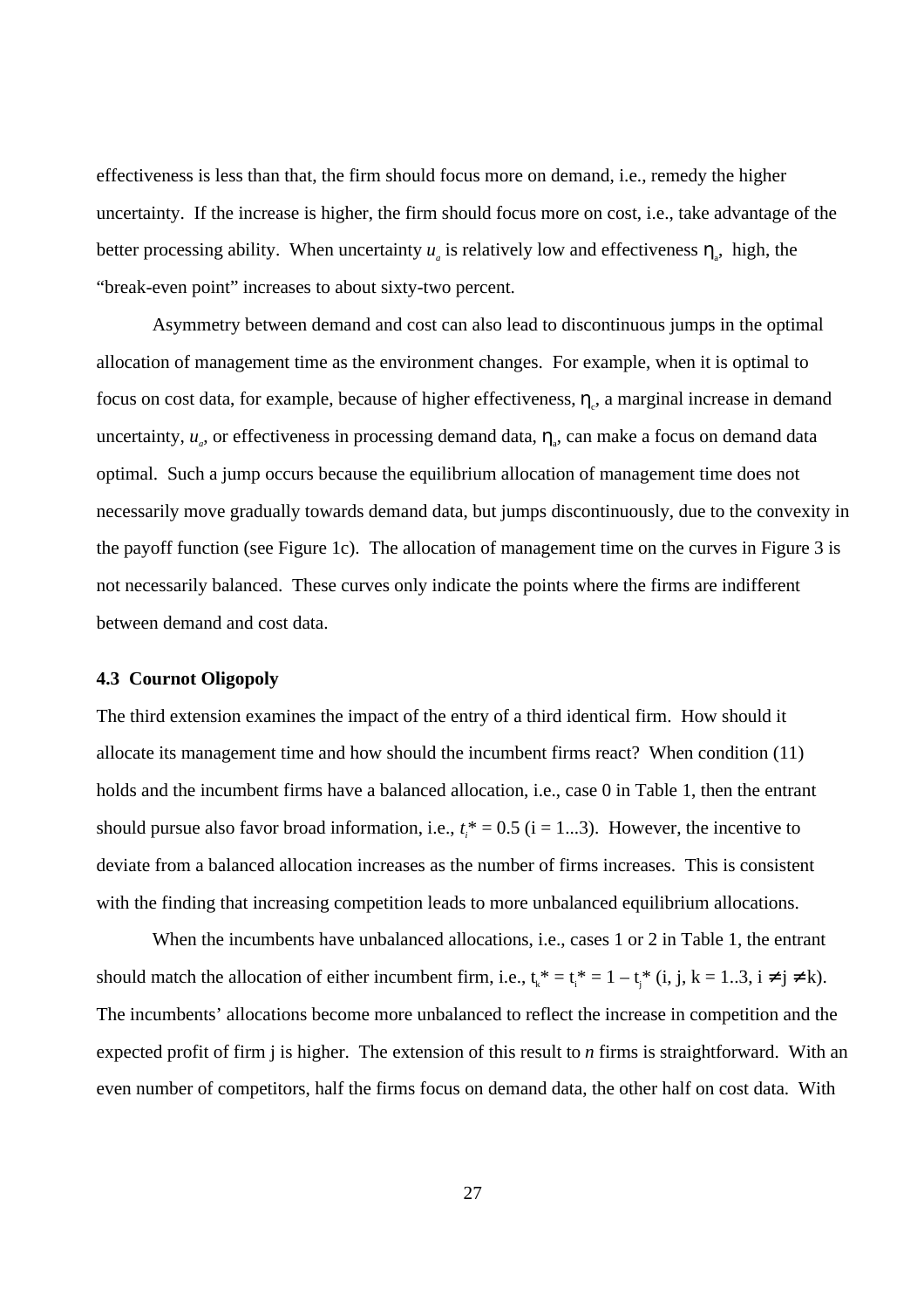effectiveness is less than that, the firm should focus more on demand, i.e., remedy the higher uncertainty. If the increase is higher, the firm should focus more on cost, i.e., take advantage of the better processing ability. When uncertainty  $u_a$  is relatively low and effectiveness  $\eta_a$ , high, the "break-even point" increases to about sixty-two percent.

Asymmetry between demand and cost can also lead to discontinuous jumps in the optimal allocation of management time as the environment changes. For example, when it is optimal to focus on cost data, for example, because of higher effectiveness,  $\eta_c$ , a marginal increase in demand uncertainty,  $u_a$ , or effectiveness in processing demand data,  $\eta_a$ , can make a focus on demand data optimal. Such a jump occurs because the equilibrium allocation of management time does not necessarily move gradually towards demand data, but jumps discontinuously, due to the convexity in the payoff function (see Figure 1c). The allocation of management time on the curves in Figure 3 is not necessarily balanced. These curves only indicate the points where the firms are indifferent between demand and cost data.

#### **4.3 Cournot Oligopoly**

The third extension examines the impact of the entry of a third identical firm. How should it allocate its management time and how should the incumbent firms react? When condition (11) holds and the incumbent firms have a balanced allocation, i.e., case 0 in Table 1, then the entrant should pursue also favor broad information, i.e.,  $t_i^* = 0.5$  (i = 1...3). However, the incentive to deviate from a balanced allocation increases as the number of firms increases. This is consistent with the finding that increasing competition leads to more unbalanced equilibrium allocations.

When the incumbents have unbalanced allocations, i.e., cases 1 or 2 in Table 1, the entrant should match the allocation of either incumbent firm, i.e.,  $t_k^* = t_i^* = 1 - t_j^*$  (i, j, k = 1..3, i  $\neq j \neq k$ ). The incumbents' allocations become more unbalanced to reflect the increase in competition and the expected profit of firm j is higher. The extension of this result to *n* firms is straightforward. With an even number of competitors, half the firms focus on demand data, the other half on cost data. With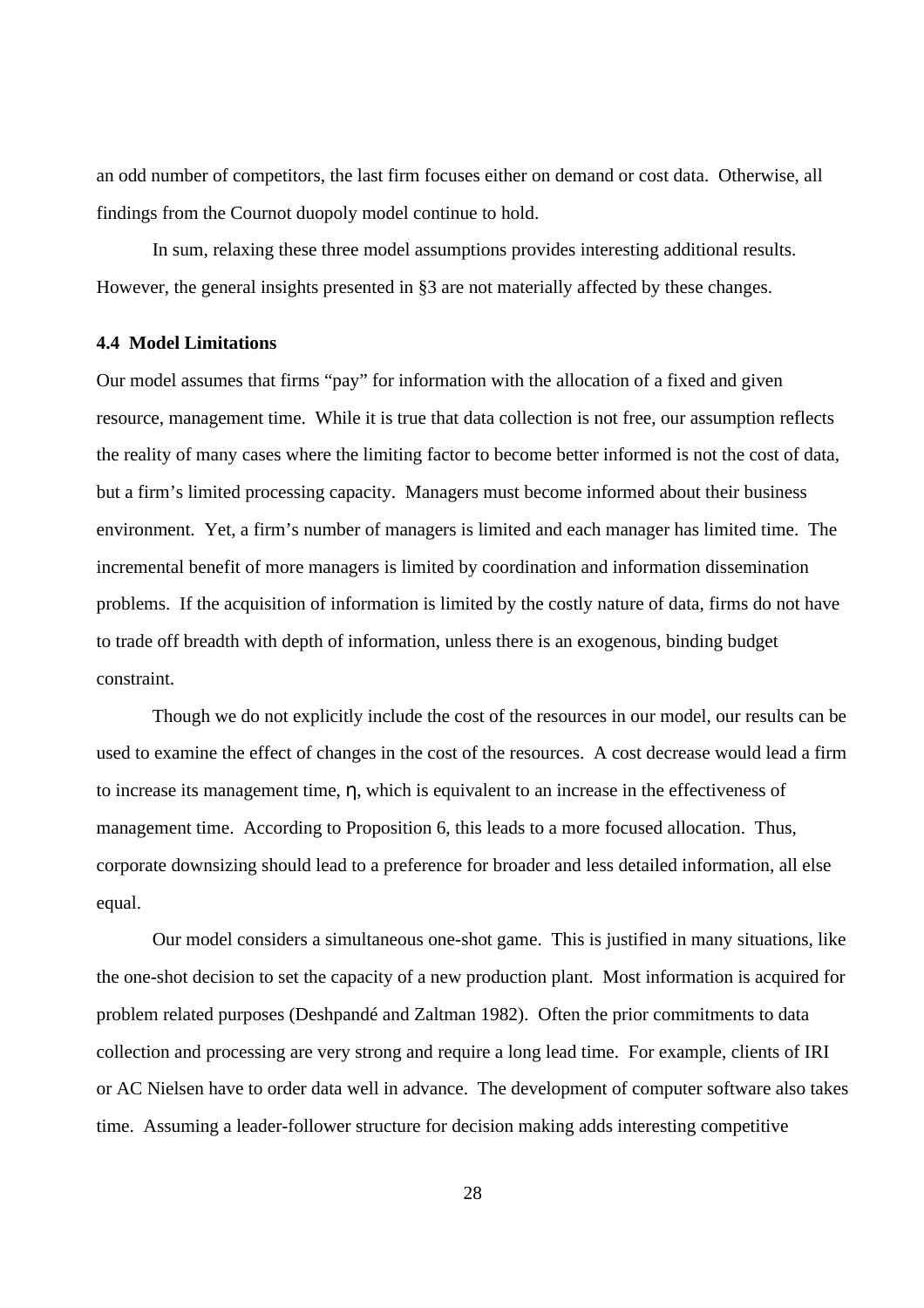an odd number of competitors, the last firm focuses either on demand or cost data. Otherwise, all findings from the Cournot duopoly model continue to hold.

In sum, relaxing these three model assumptions provides interesting additional results. However, the general insights presented in §3 are not materially affected by these changes.

#### **4.4 Model Limitations**

Our model assumes that firms "pay" for information with the allocation of a fixed and given resource, management time. While it is true that data collection is not free, our assumption reflects the reality of many cases where the limiting factor to become better informed is not the cost of data, but a firm's limited processing capacity. Managers must become informed about their business environment. Yet, a firm's number of managers is limited and each manager has limited time. The incremental benefit of more managers is limited by coordination and information dissemination problems. If the acquisition of information is limited by the costly nature of data, firms do not have to trade off breadth with depth of information, unless there is an exogenous, binding budget constraint.

Though we do not explicitly include the cost of the resources in our model, our results can be used to examine the effect of changes in the cost of the resources. A cost decrease would lead a firm to increase its management time, η, which is equivalent to an increase in the effectiveness of management time. According to Proposition 6, this leads to a more focused allocation. Thus, corporate downsizing should lead to a preference for broader and less detailed information, all else equal.

Our model considers a simultaneous one-shot game. This is justified in many situations, like the one-shot decision to set the capacity of a new production plant. Most information is acquired for problem related purposes (Deshpandé and Zaltman 1982). Often the prior commitments to data collection and processing are very strong and require a long lead time. For example, clients of IRI or AC Nielsen have to order data well in advance. The development of computer software also takes time. Assuming a leader-follower structure for decision making adds interesting competitive

28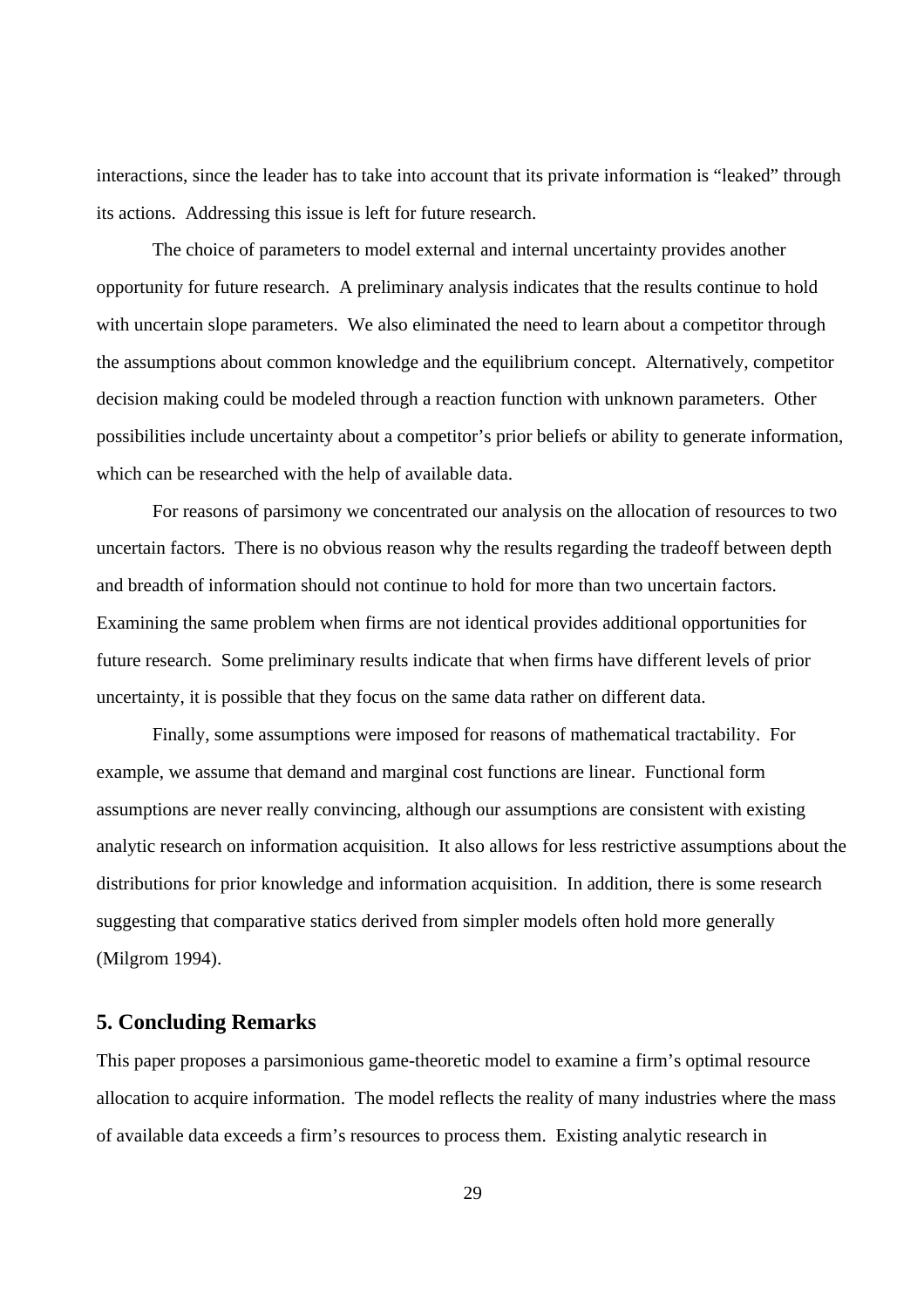interactions, since the leader has to take into account that its private information is "leaked" through its actions. Addressing this issue is left for future research.

The choice of parameters to model external and internal uncertainty provides another opportunity for future research. A preliminary analysis indicates that the results continue to hold with uncertain slope parameters. We also eliminated the need to learn about a competitor through the assumptions about common knowledge and the equilibrium concept. Alternatively, competitor decision making could be modeled through a reaction function with unknown parameters. Other possibilities include uncertainty about a competitor's prior beliefs or ability to generate information, which can be researched with the help of available data.

For reasons of parsimony we concentrated our analysis on the allocation of resources to two uncertain factors. There is no obvious reason why the results regarding the tradeoff between depth and breadth of information should not continue to hold for more than two uncertain factors. Examining the same problem when firms are not identical provides additional opportunities for future research. Some preliminary results indicate that when firms have different levels of prior uncertainty, it is possible that they focus on the same data rather on different data.

Finally, some assumptions were imposed for reasons of mathematical tractability. For example, we assume that demand and marginal cost functions are linear. Functional form assumptions are never really convincing, although our assumptions are consistent with existing analytic research on information acquisition. It also allows for less restrictive assumptions about the distributions for prior knowledge and information acquisition. In addition, there is some research suggesting that comparative statics derived from simpler models often hold more generally (Milgrom 1994).

# **5. Concluding Remarks**

This paper proposes a parsimonious game-theoretic model to examine a firm's optimal resource allocation to acquire information. The model reflects the reality of many industries where the mass of available data exceeds a firm's resources to process them. Existing analytic research in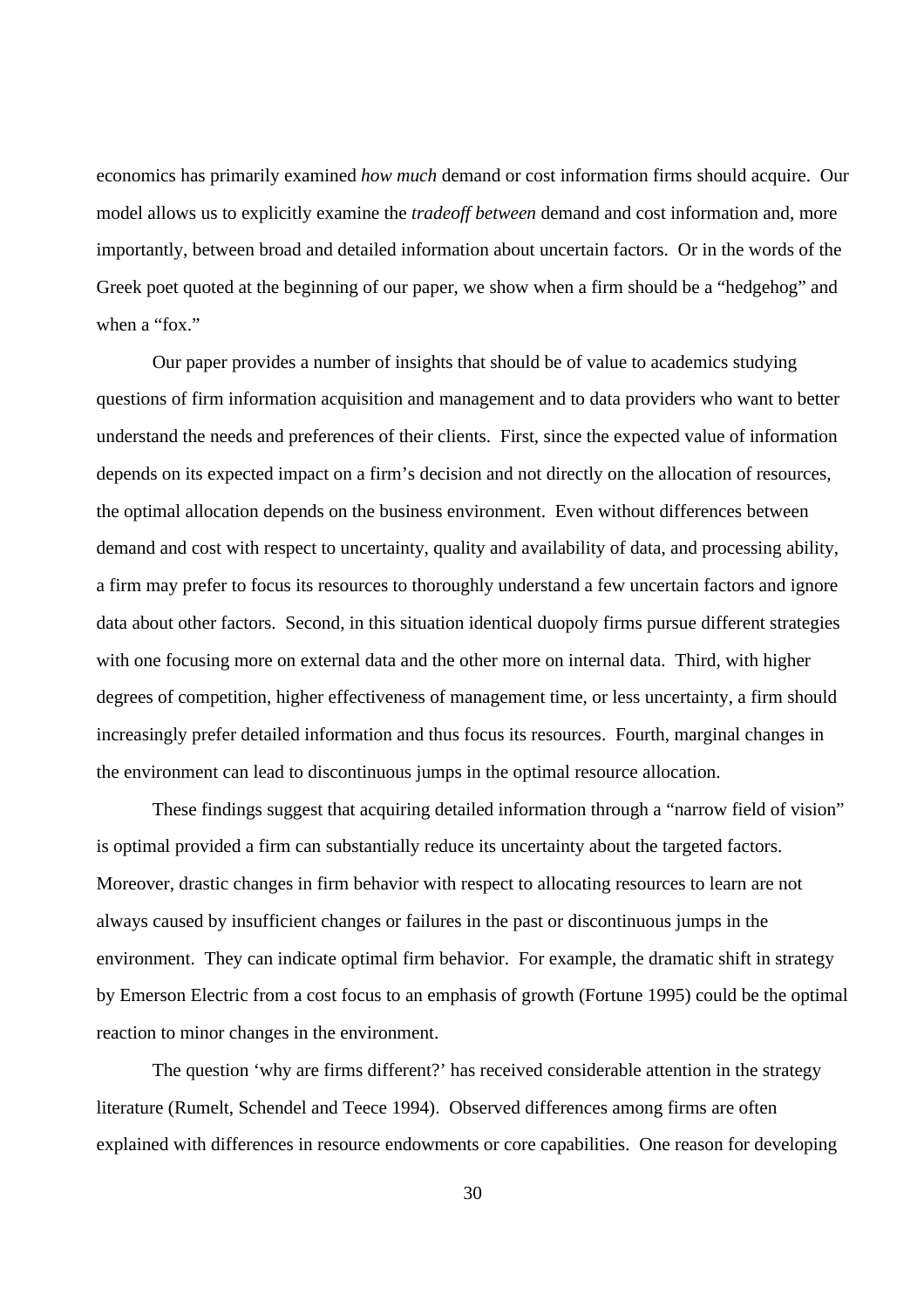economics has primarily examined *how much* demand or cost information firms should acquire. Our model allows us to explicitly examine the *tradeoff between* demand and cost information and, more importantly, between broad and detailed information about uncertain factors. Or in the words of the Greek poet quoted at the beginning of our paper, we show when a firm should be a "hedgehog" and when a "fox."

Our paper provides a number of insights that should be of value to academics studying questions of firm information acquisition and management and to data providers who want to better understand the needs and preferences of their clients. First, since the expected value of information depends on its expected impact on a firm's decision and not directly on the allocation of resources, the optimal allocation depends on the business environment. Even without differences between demand and cost with respect to uncertainty, quality and availability of data, and processing ability, a firm may prefer to focus its resources to thoroughly understand a few uncertain factors and ignore data about other factors. Second, in this situation identical duopoly firms pursue different strategies with one focusing more on external data and the other more on internal data. Third, with higher degrees of competition, higher effectiveness of management time, or less uncertainty, a firm should increasingly prefer detailed information and thus focus its resources. Fourth, marginal changes in the environment can lead to discontinuous jumps in the optimal resource allocation.

These findings suggest that acquiring detailed information through a "narrow field of vision" is optimal provided a firm can substantially reduce its uncertainty about the targeted factors. Moreover, drastic changes in firm behavior with respect to allocating resources to learn are not always caused by insufficient changes or failures in the past or discontinuous jumps in the environment. They can indicate optimal firm behavior. For example, the dramatic shift in strategy by Emerson Electric from a cost focus to an emphasis of growth (Fortune 1995) could be the optimal reaction to minor changes in the environment.

The question 'why are firms different?' has received considerable attention in the strategy literature (Rumelt, Schendel and Teece 1994). Observed differences among firms are often explained with differences in resource endowments or core capabilities. One reason for developing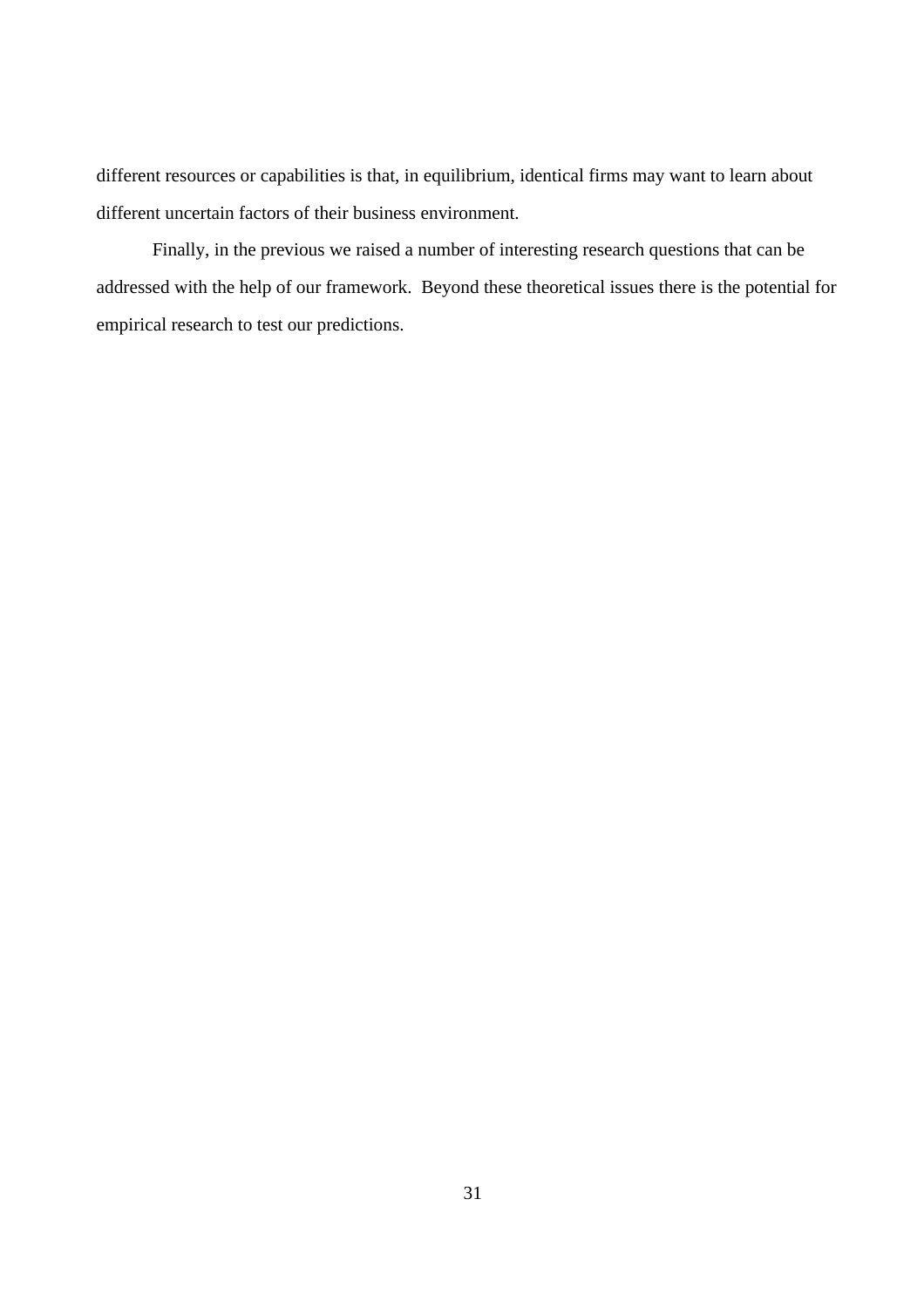different resources or capabilities is that, in equilibrium, identical firms may want to learn about different uncertain factors of their business environment.

Finally, in the previous we raised a number of interesting research questions that can be addressed with the help of our framework. Beyond these theoretical issues there is the potential for empirical research to test our predictions.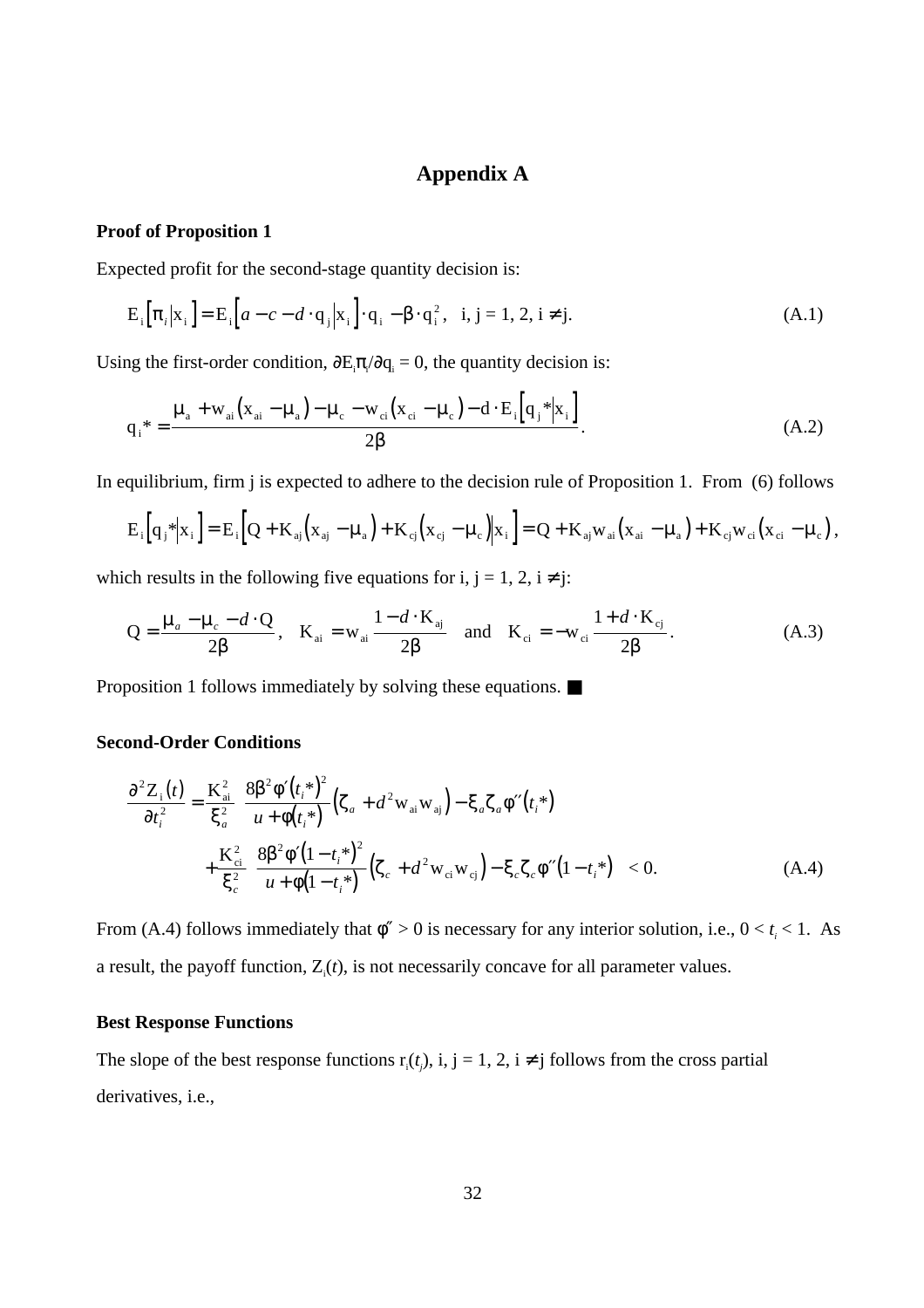# **Appendix A**

## **Proof of Proposition 1**

Expected profit for the second-stage quantity decision is:

$$
E_i\big[\pi_i\big| x_i\big] = E_i\big[a - c - d \cdot q_j\big| x_i\big] \cdot q_i - \beta \cdot q_i^2, \quad i, j = 1, 2, i \neq j. \tag{A.1}
$$

Using the first-order condition,  $\frac{\partial E_i \pi}{\partial q_i} = 0$ , the quantity decision is:

$$
q_{i}^* = \frac{\mu_a + w_{ai}(x_{ai} - \mu_a) - \mu_c - w_{ci}(x_{ci} - \mu_c) - d \cdot E_i[q_j^*|x_i]}{2\beta}.
$$
 (A.2)

In equilibrium, firm j is expected to adhere to the decision rule of Proposition 1. From (6) follows

$$
E_i\Big[q_j*|x_i\Big] = E_i\Big[Q + K_{aj}\Big(x_{aj} - \mu_a\Big) + K_{cj}\Big(x_{cj} - \mu_c\Big)|x_i\Big] = Q + K_{aj}w_{ai}\Big(x_{ai} - \mu_a\Big) + K_{cj}w_{ci}\Big(x_{ci} - \mu_c\Big),
$$

which results in the following five equations for i, j = 1, 2, i  $\neq$  j:

$$
Q = \frac{\mu_a - \mu_c - d \cdot Q}{2\beta}, \quad K_{ai} = w_{ai} \frac{1 - d \cdot K_{aj}}{2\beta} \quad \text{and} \quad K_{ci} = -w_{ci} \frac{1 + d \cdot K_{cj}}{2\beta}.
$$
 (A.3)

Proposition 1 follows immediately by solving these equations. ■

## **Second-Order Conditions**

$$
\frac{\partial^2 Z_i(t)}{\partial t_i^2} = \frac{K_{ai}^2}{\xi_a^2} \left[ \frac{8\beta^2 \phi'(t_i^*)^2}{u + \phi(t_i^*)} \left( \zeta_a + d^2 w_{ai} w_{aj} \right) - \xi_a \zeta_a \phi''(t_i^*) \right] + \frac{K_{ci}^2}{\xi_c^2} \left[ \frac{8\beta^2 \phi'(1 - t_i^*)^2}{u + \phi(1 - t_i^*)} \left( \zeta_c + d^2 w_{ci} w_{cj} \right) - \xi_c \zeta_c \phi''(1 - t_i^*) \right] < 0.
$$
\n(A.4)

From (A.4) follows immediately that  $\phi'' > 0$  is necessary for any interior solution, i.e.,  $0 < t_i < 1$ . As a result, the payoff function,  $Z_i(t)$ , is not necessarily concave for all parameter values.

## **Best Response Functions**

The slope of the best response functions  $r_i(t_j)$ , i, j = 1, 2, i  $\neq$  j follows from the cross partial derivatives, i.e.,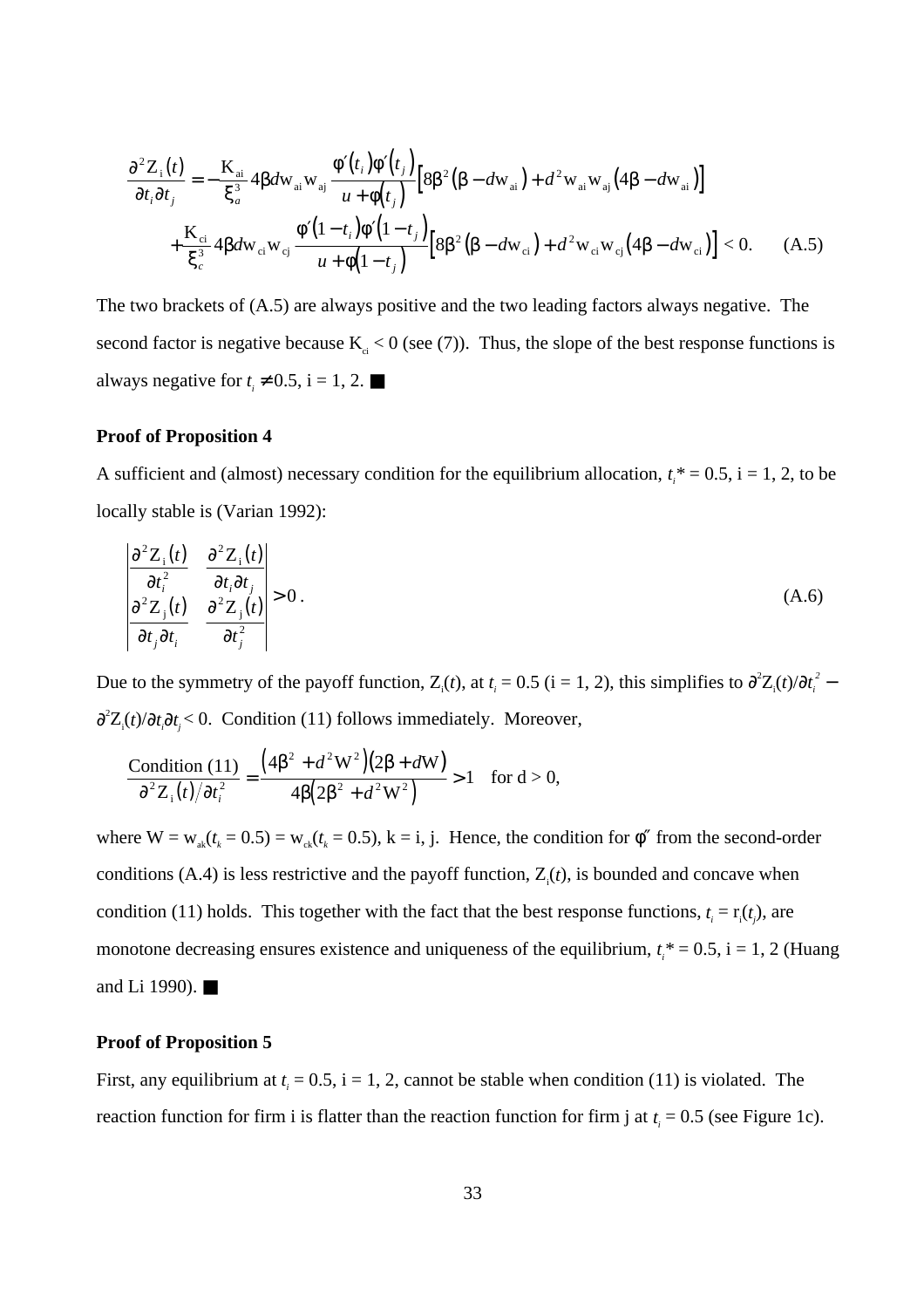$$
\frac{\partial^2 Z_i(t)}{\partial t_i \partial t_j} = -\frac{K_{ai}}{\xi_a^3} 4\beta d w_{ai} w_{aj} \frac{\phi'(t_i) \phi'(t_j)}{u + \phi(t_j)} \Big[ 8\beta^2 (\beta - d w_{ai}) + d^2 w_{ai} w_{aj} (4\beta - d w_{ai}) \Big] + \frac{K_{ci}}{\xi_c^3} 4\beta d w_{ci} w_{cj} \frac{\phi'(1 - t_i) \phi'(1 - t_j)}{u + \phi(1 - t_j)} \Big[ 8\beta^2 (\beta - d w_{ci}) + d^2 w_{ci} w_{cj} (4\beta - d w_{ci}) \Big] < 0. \tag{A.5}
$$

The two brackets of (A.5) are always positive and the two leading factors always negative. The second factor is negative because  $K_{ci} < 0$  (see (7)). Thus, the slope of the best response functions is always negative for  $t_i \neq 0.5$ , i = 1, 2.

#### **Proof of Proposition 4**

A sufficient and (almost) necessary condition for the equilibrium allocation,  $t_i^* = 0.5$ ,  $i = 1, 2$ , to be locally stable is (Varian 1992):

$$
\begin{vmatrix}\n\frac{\partial^2 Z_i(t)}{\partial t_i^2} & \frac{\partial^2 Z_i(t)}{\partial t_i \partial t_j} \\
\frac{\partial^2 Z_j(t)}{\partial t_j \partial t_i} & \frac{\partial^2 Z_j(t)}{\partial t_j^2}\n\end{vmatrix} > 0.
$$
\n(A.6)

Due to the symmetry of the payoff function,  $Z_i(t)$ , at  $t_i = 0.5$  (i = 1, 2), this simplifies to  $\frac{\partial^2 Z_i(t)}{\partial t_i^2}$  – ∂<sup>2</sup>Z<sub>i</sub>(*t*)/∂*t<sub>i</sub>*∂*t<sub>j</sub>* < 0. Condition (11) follows immediately. Moreover,

$$
\frac{\text{Condition (11)}}{\partial^2 Z_i(t)/\partial t_i^2} = \frac{(4\beta^2 + d^2W^2)(2\beta + dW)}{4\beta(2\beta^2 + d^2W^2)} > 1 \text{ for } d > 0,
$$

where  $W = w_{ak}(t_k = 0.5) = w_{ck}(t_k = 0.5)$ , k = i, j. Hence, the condition for  $\phi''$  from the second-order conditions  $(A.4)$  is less restrictive and the payoff function,  $Z_i(t)$ , is bounded and concave when condition (11) holds. This together with the fact that the best response functions,  $t_i = r_i(t_j)$ , are monotone decreasing ensures existence and uniqueness of the equilibrium,  $t_i^* = 0.5$ ,  $i = 1, 2$  (Huang and Li 1990). ■

#### **Proof of Proposition 5**

First, any equilibrium at  $t_i = 0.5$ , i = 1, 2, cannot be stable when condition (11) is violated. The reaction function for firm i is flatter than the reaction function for firm j at  $t_i = 0.5$  (see Figure 1c).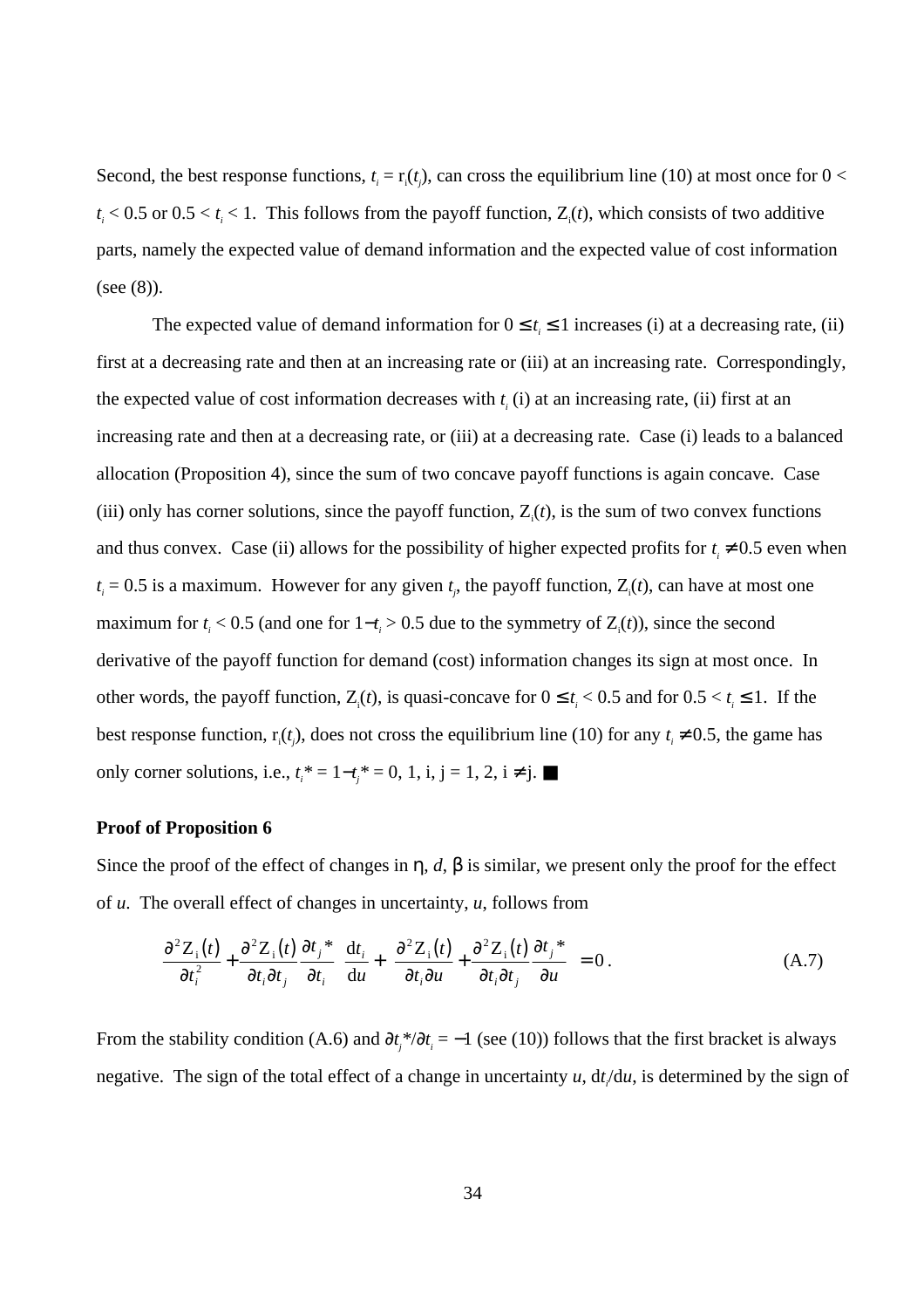Second, the best response functions,  $t_i = \mathbf{r}_i(t_j)$ , can cross the equilibrium line (10) at most once for  $0 <$  $t_i < 0.5$  or  $0.5 < t_i < 1$ . This follows from the payoff function,  $Z_i(t)$ , which consists of two additive parts, namely the expected value of demand information and the expected value of cost information (see (8)).

The expected value of demand information for  $0 \le t_i \le 1$  increases (i) at a decreasing rate, (ii) first at a decreasing rate and then at an increasing rate or (iii) at an increasing rate. Correspondingly, the expected value of cost information decreases with  $t_i$  (i) at an increasing rate, (ii) first at an increasing rate and then at a decreasing rate, or (iii) at a decreasing rate. Case (i) leads to a balanced allocation (Proposition 4), since the sum of two concave payoff functions is again concave. Case (iii) only has corner solutions, since the payoff function,  $Z_i(t)$ , is the sum of two convex functions and thus convex. Case (ii) allows for the possibility of higher expected profits for  $t_i \neq 0.5$  even when  $t_i = 0.5$  is a maximum. However for any given  $t_j$ , the payoff function,  $Z_i(t)$ , can have at most one maximum for  $t_i < 0.5$  (and one for  $1-t_i > 0.5$  due to the symmetry of  $Z_i(t)$ ), since the second derivative of the payoff function for demand (cost) information changes its sign at most once. In other words, the payoff function,  $Z_i(t)$ , is quasi-concave for  $0 \le t_i < 0.5$  and for  $0.5 < t_i \le 1$ . If the best response function,  $r_i(t_j)$ , does not cross the equilibrium line (10) for any  $t_i \neq 0.5$ , the game has only corner solutions, i.e.,  $t_i^* = 1 - t_j^* = 0$ , 1, i, j = 1, 2, i ≠ j. ■

#### **Proof of Proposition 6**

Since the proof of the effect of changes in  $\eta$ , *d*,  $\beta$  is similar, we present only the proof for the effect of *u*. The overall effect of changes in uncertainty, *u*, follows from

$$
\left[\frac{\partial^2 Z_i(t)}{\partial t_i^2} + \frac{\partial^2 Z_i(t)}{\partial t_i \partial t_j} \frac{\partial t_j^*}{\partial t_i}\right] \frac{dt_i}{du} + \left[\frac{\partial^2 Z_i(t)}{\partial t_i \partial u} + \frac{\partial^2 Z_i(t)}{\partial t_i \partial t_j} \frac{\partial t_j^*}{\partial u}\right] = 0.
$$
 (A.7)

From the stability condition (A.6) and  $\partial t_j^* / \partial t_i = -1$  (see (10)) follows that the first bracket is always negative. The sign of the total effect of a change in uncertainty  $u$ ,  $dt/du$ , is determined by the sign of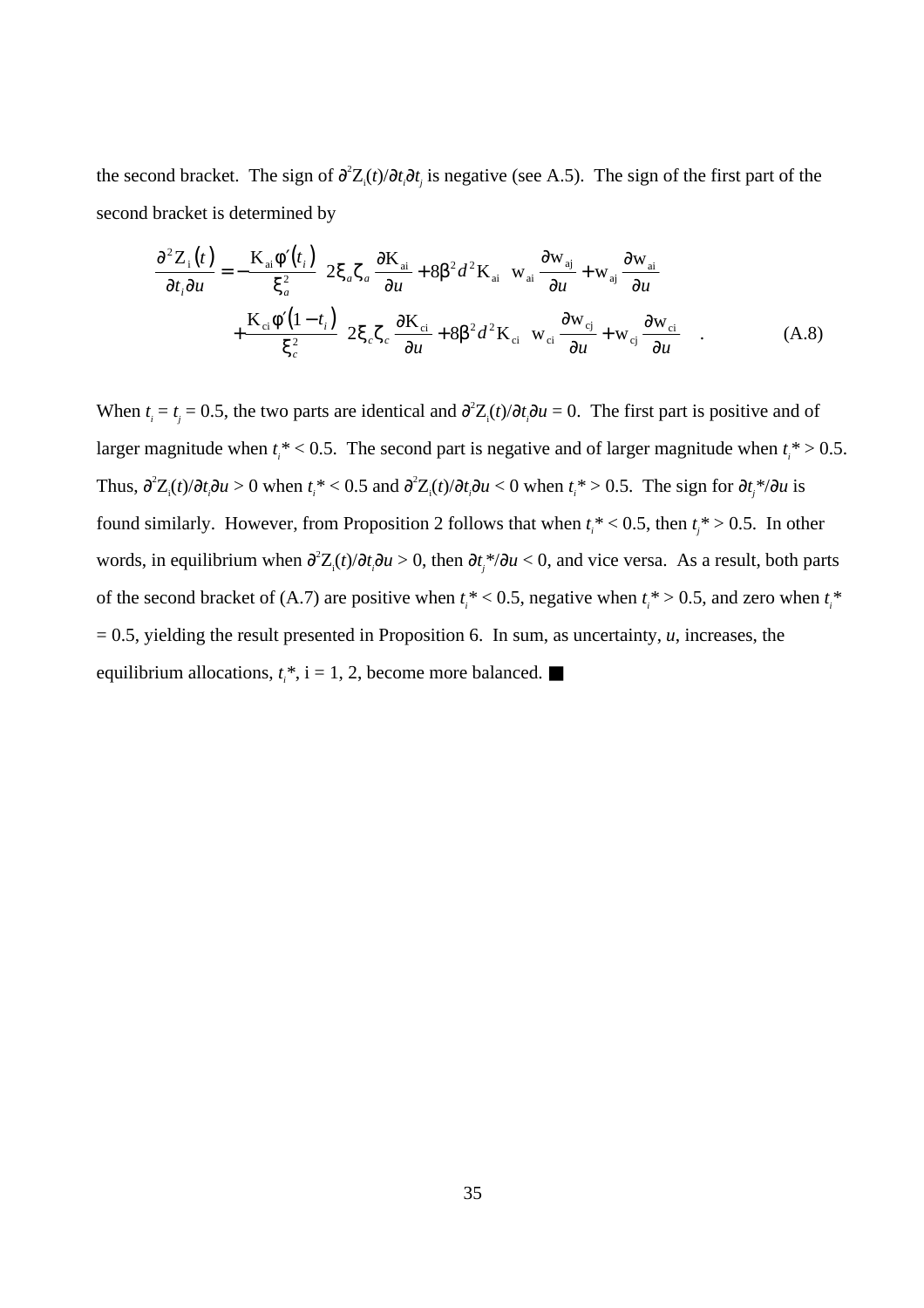the second bracket. The sign of  $\frac{\partial^2 Z_i(t)}{\partial t_i \partial t_j}$  is negative (see A.5). The sign of the first part of the second bracket is determined by

$$
\frac{\partial^2 Z_i(t)}{\partial t_i \partial u} = -\frac{K_{ai} \phi'(t_i)}{\xi_a^2} \left[ 2\xi_a \zeta_a \frac{\partial K_{ai}}{\partial u} + 8\beta^2 d^2 K_{ai} \left( w_{ai} \frac{\partial w_{aj}}{\partial u} + w_{aj} \frac{\partial w_{ai}}{\partial u} \right) \right] + \frac{K_{ci} \phi'(1-t_i)}{\xi_c^2} \left[ 2\xi_c \zeta_c \frac{\partial K_{ci}}{\partial u} + 8\beta^2 d^2 K_{ci} \left( w_{ci} \frac{\partial w_{cj}}{\partial u} + w_{cj} \frac{\partial w_{ci}}{\partial u} \right) \right].
$$
 (A.8)

When  $t_i = t_j = 0.5$ , the two parts are identical and  $\frac{\partial^2 Z_i(t)}{\partial t_i \partial u} = 0$ . The first part is positive and of larger magnitude when  $t_i^*$  < 0.5. The second part is negative and of larger magnitude when  $t_i^*$  > 0.5. Thus,  $\frac{\partial^2 Z_i(t)}{\partial t_i \partial u} > 0$  when  $t_i^* < 0.5$  and  $\frac{\partial^2 Z_i(t)}{\partial t_i \partial u} < 0$  when  $t_i^* > 0.5$ . The sign for  $\frac{\partial t_j^*}{\partial u}$  is found similarly. However, from Proposition 2 follows that when  $t_i^*$  < 0.5, then  $t_j^*$  > 0.5. In other words, in equilibrium when  $\partial^2 Z_i(t)/\partial t_i \partial u > 0$ , then  $\partial t_j^* / \partial u < 0$ , and vice versa. As a result, both parts of the second bracket of (A.7) are positive when  $t_i^*$  < 0.5, negative when  $t_i^*$  > 0.5, and zero when  $t_i^*$  $= 0.5$ , yielding the result presented in Proposition 6. In sum, as uncertainty, *u*, increases, the equilibrium allocations,  $t_i^*$ , i = 1, 2, become more balanced.  $\blacksquare$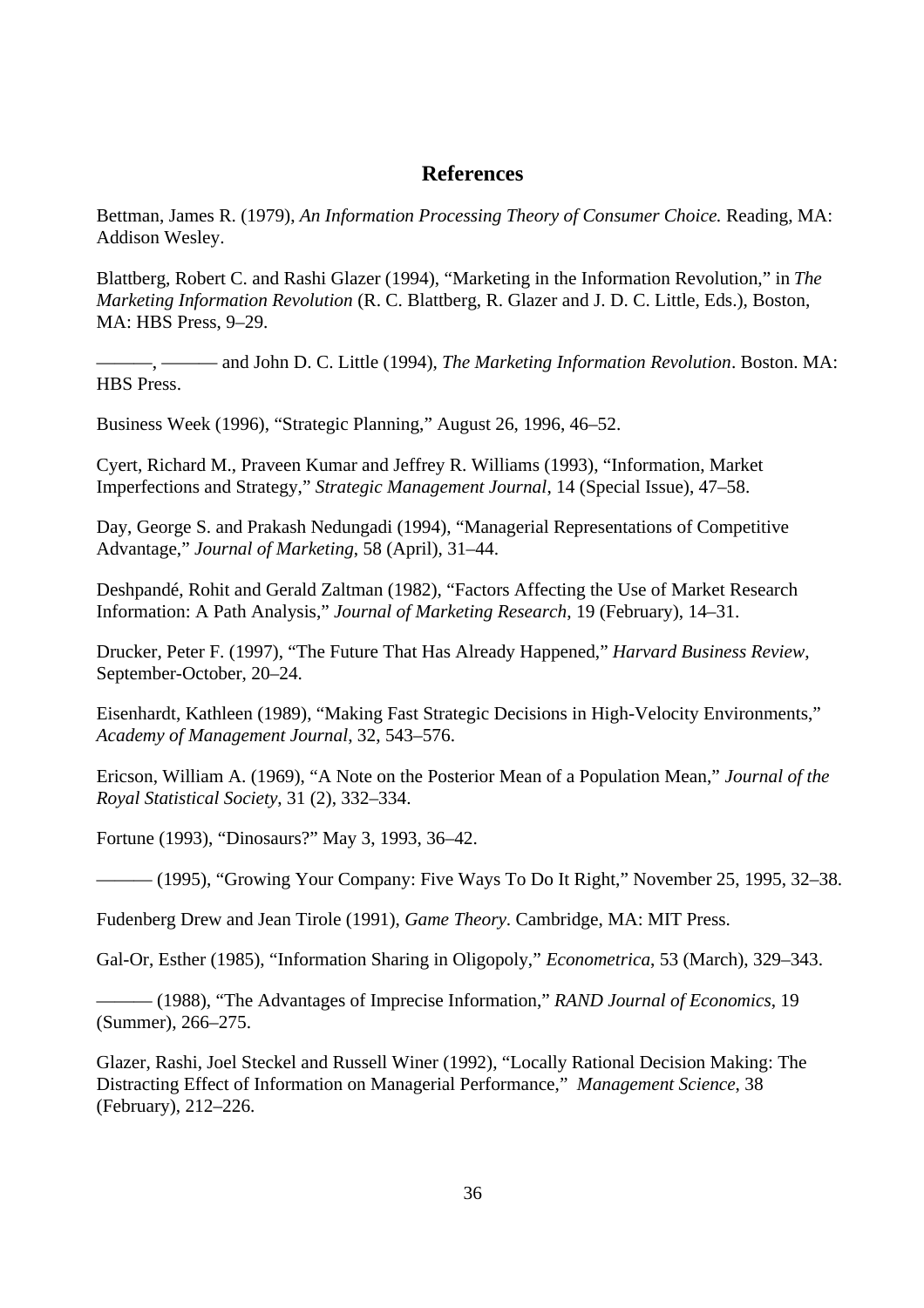# **References**

Bettman, James R. (1979), *An Information Processing Theory of Consumer Choice.* Reading, MA: Addison Wesley.

Blattberg, Robert C. and Rashi Glazer (1994), "Marketing in the Information Revolution," in *The Marketing Information Revolution* (R. C. Blattberg, R. Glazer and J. D. C. Little, Eds.), Boston, MA: HBS Press, 9–29.

———, ——— and John D. C. Little (1994), *The Marketing Information Revolution*. Boston. MA: HBS Press.

Business Week (1996), "Strategic Planning," August 26, 1996, 46–52.

Cyert, Richard M., Praveen Kumar and Jeffrey R. Williams (1993), "Information, Market Imperfections and Strategy," *Strategic Management Journal*, 14 (Special Issue), 47–58.

Day, George S. and Prakash Nedungadi (1994), "Managerial Representations of Competitive Advantage," *Journal of Marketing*, 58 (April), 31–44.

Deshpandé, Rohit and Gerald Zaltman (1982), "Factors Affecting the Use of Market Research Information: A Path Analysis," *Journal of Marketing Research*, 19 (February), 14–31.

Drucker, Peter F. (1997), "The Future That Has Already Happened," *Harvard Business Review*, September-October, 20–24.

Eisenhardt, Kathleen (1989), "Making Fast Strategic Decisions in High-Velocity Environments," *Academy of Management Journal*, 32, 543–576.

Ericson, William A. (1969), "A Note on the Posterior Mean of a Population Mean," *Journal of the Royal Statistical Society*, 31 (2), 332–334.

Fortune (1993), "Dinosaurs?" May 3, 1993, 36–42.

— (1995), "Growing Your Company: Five Ways To Do It Right," November 25, 1995, 32–38.

Fudenberg Drew and Jean Tirole (1991), *Game Theory*. Cambridge, MA: MIT Press.

Gal-Or, Esther (1985), "Information Sharing in Oligopoly," *Econometrica*, 53 (March), 329–343.

——— (1988), "The Advantages of Imprecise Information," *RAND Journal of Economics*, 19 (Summer), 266–275.

Glazer, Rashi, Joel Steckel and Russell Winer (1992), "Locally Rational Decision Making: The Distracting Effect of Information on Managerial Performance," *Management Science*, 38 (February), 212–226.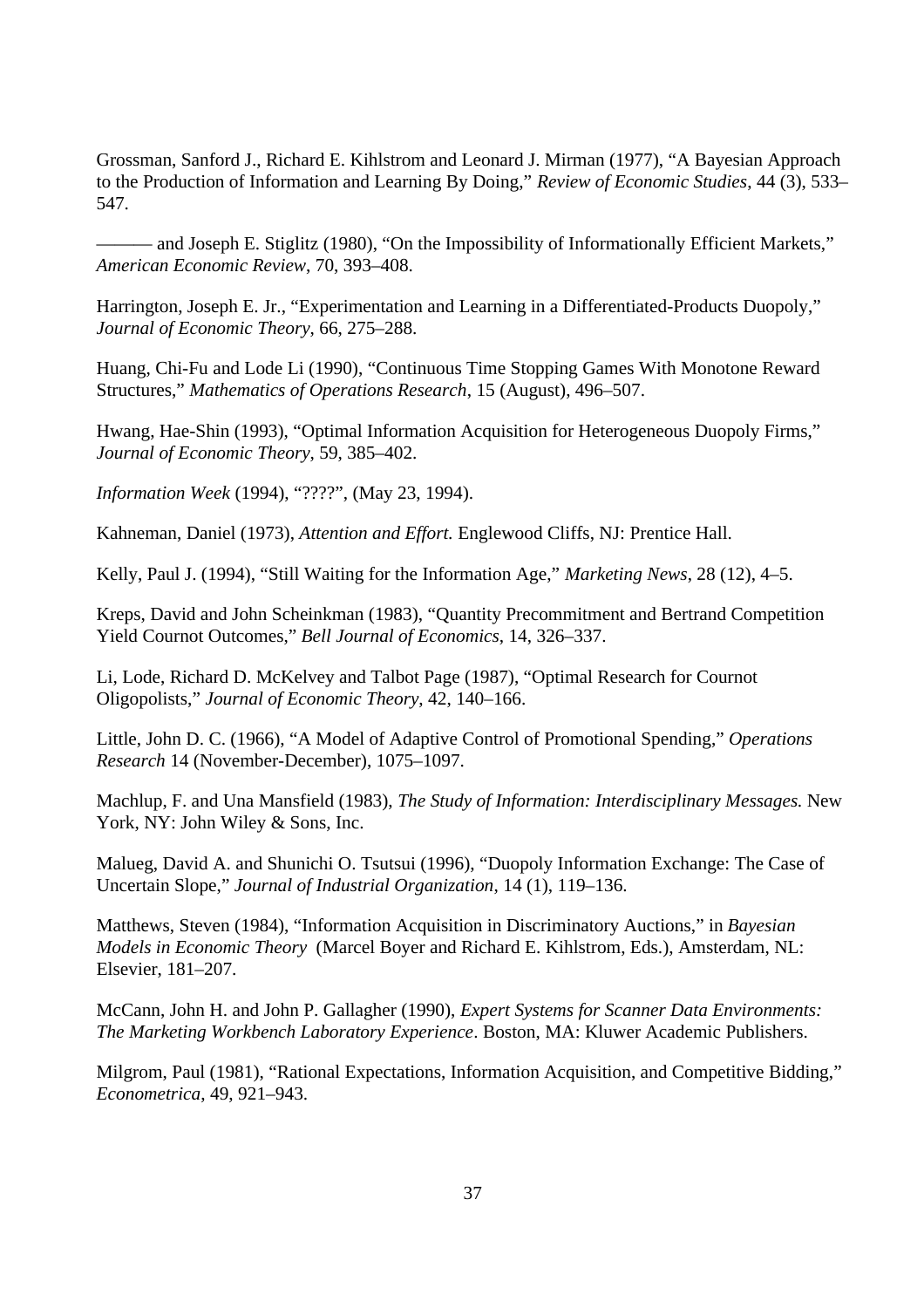Grossman, Sanford J., Richard E. Kihlstrom and Leonard J. Mirman (1977), "A Bayesian Approach to the Production of Information and Learning By Doing," *Review of Economic Studies*, 44 (3), 533– 547.

——— and Joseph E. Stiglitz (1980), "On the Impossibility of Informationally Efficient Markets," *American Economic Review*, 70, 393–408.

Harrington, Joseph E. Jr., "Experimentation and Learning in a Differentiated-Products Duopoly," *Journal of Economic Theory*, 66, 275–288.

Huang, Chi-Fu and Lode Li (1990), "Continuous Time Stopping Games With Monotone Reward Structures," *Mathematics of Operations Research*, 15 (August), 496–507.

Hwang, Hae-Shin (1993), "Optimal Information Acquisition for Heterogeneous Duopoly Firms," *Journal of Economic Theory*, 59, 385–402.

*Information Week* (1994), "????", (May 23, 1994).

Kahneman, Daniel (1973), *Attention and Effort.* Englewood Cliffs, NJ: Prentice Hall.

Kelly, Paul J. (1994), "Still Waiting for the Information Age," *Marketing News*, 28 (12), 4–5.

Kreps, David and John Scheinkman (1983), "Quantity Precommitment and Bertrand Competition Yield Cournot Outcomes," *Bell Journal of Economics*, 14, 326–337.

Li, Lode, Richard D. McKelvey and Talbot Page (1987), "Optimal Research for Cournot Oligopolists," *Journal of Economic Theory*, 42, 140–166.

Little, John D. C. (1966), "A Model of Adaptive Control of Promotional Spending," *Operations Research* 14 (November-December), 1075–1097.

Machlup, F. and Una Mansfield (1983), *The Study of Information: Interdisciplinary Messages.* New York, NY: John Wiley & Sons, Inc.

Malueg, David A. and Shunichi O. Tsutsui (1996), "Duopoly Information Exchange: The Case of Uncertain Slope," *Journal of Industrial Organization*, 14 (1), 119–136.

Matthews, Steven (1984), "Information Acquisition in Discriminatory Auctions," in *Bayesian Models in Economic Theory* (Marcel Boyer and Richard E. Kihlstrom, Eds.), Amsterdam, NL: Elsevier, 181–207.

McCann, John H. and John P. Gallagher (1990), *Expert Systems for Scanner Data Environments: The Marketing Workbench Laboratory Experience*. Boston, MA: Kluwer Academic Publishers.

Milgrom, Paul (1981), "Rational Expectations, Information Acquisition, and Competitive Bidding," *Econometrica*, 49, 921–943.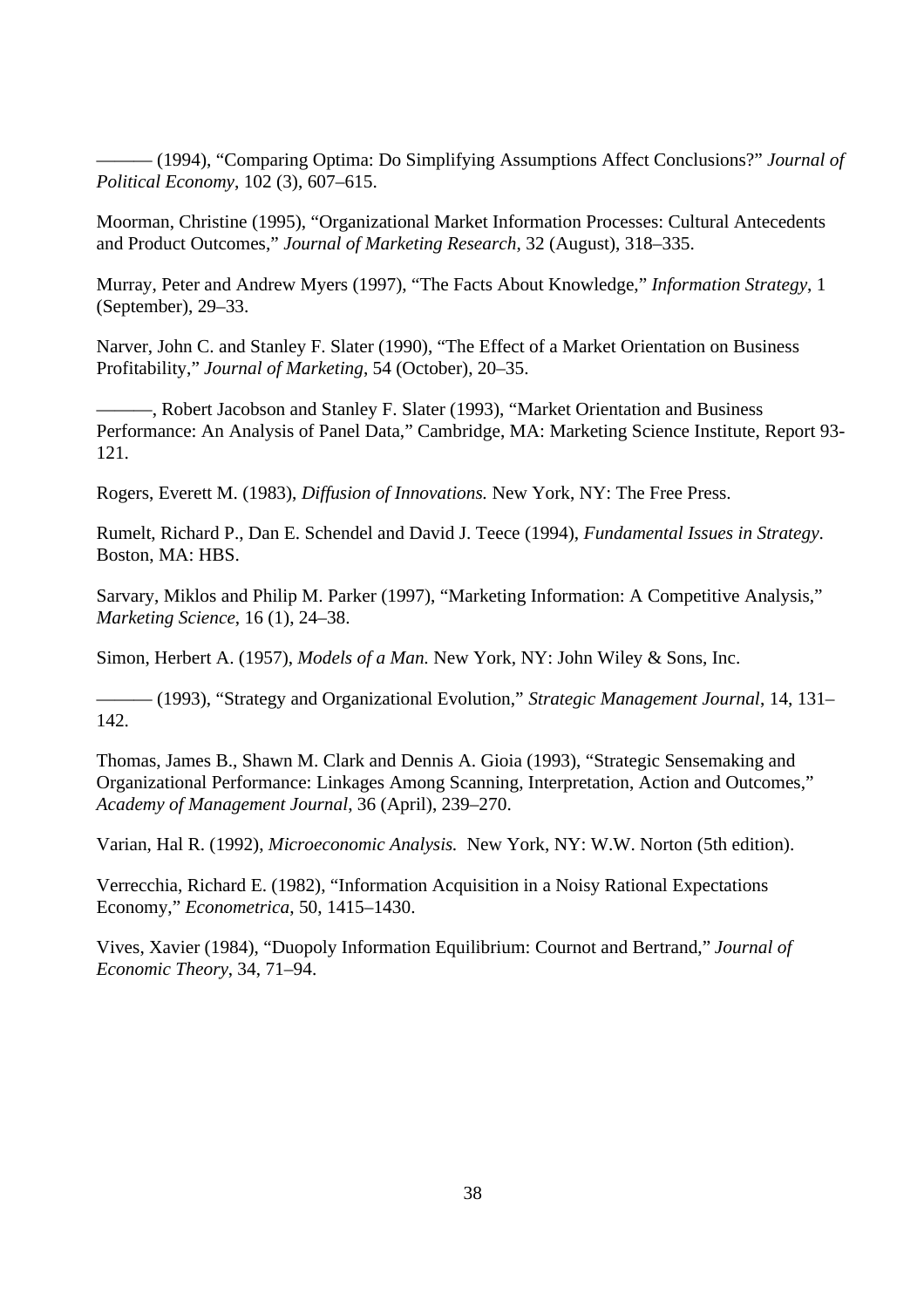——— (1994), "Comparing Optima: Do Simplifying Assumptions Affect Conclusions?" *Journal of Political Economy*, 102 (3), 607–615.

Moorman, Christine (1995), "Organizational Market Information Processes: Cultural Antecedents and Product Outcomes," *Journal of Marketing Research*, 32 (August), 318–335.

Murray, Peter and Andrew Myers (1997), "The Facts About Knowledge," *Information Strategy*, 1 (September), 29–33.

Narver, John C. and Stanley F. Slater (1990), "The Effect of a Market Orientation on Business Profitability," *Journal of Marketing*, 54 (October), 20–35.

———, Robert Jacobson and Stanley F. Slater (1993), "Market Orientation and Business Performance: An Analysis of Panel Data," Cambridge, MA: Marketing Science Institute, Report 93- 121.

Rogers, Everett M. (1983), *Diffusion of Innovations.* New York, NY: The Free Press.

Rumelt, Richard P., Dan E. Schendel and David J. Teece (1994), *Fundamental Issues in Strategy*. Boston, MA: HBS.

Sarvary, Miklos and Philip M. Parker (1997), "Marketing Information: A Competitive Analysis," *Marketing Science*, 16 (1), 24–38.

Simon, Herbert A. (1957), *Models of a Man.* New York, NY: John Wiley & Sons, Inc.

——— (1993), "Strategy and Organizational Evolution," *Strategic Management Journal*, 14, 131– 142.

Thomas, James B., Shawn M. Clark and Dennis A. Gioia (1993), "Strategic Sensemaking and Organizational Performance: Linkages Among Scanning, Interpretation, Action and Outcomes," *Academy of Management Journal*, 36 (April), 239–270.

Varian, Hal R. (1992), *Microeconomic Analysis.* New York, NY: W.W. Norton (5th edition).

Verrecchia, Richard E. (1982), "Information Acquisition in a Noisy Rational Expectations Economy," *Econometrica*, 50, 1415–1430.

Vives, Xavier (1984), "Duopoly Information Equilibrium: Cournot and Bertrand," *Journal of Economic Theory*, 34, 71–94.